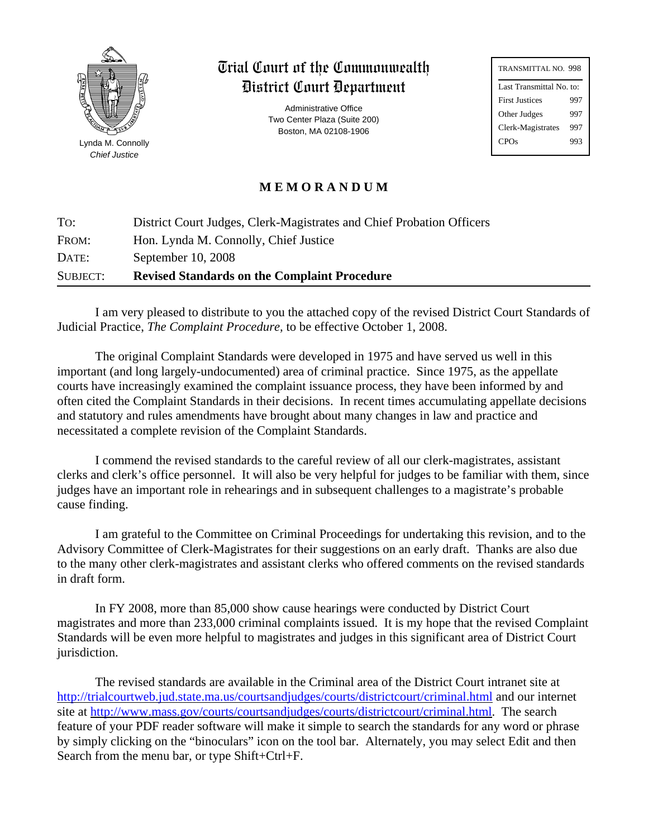

Lynda M. Connolly *Chief Justice*

# Trial Court of the Commonwealth District Court Department

Administrative Office Two Center Plaza (Suite 200) Boston, MA 02108-1906

| TRANSMITTAL NO. 998      |  |  |
|--------------------------|--|--|
| Last Transmittal No. to: |  |  |
| 997                      |  |  |
| 997                      |  |  |
| 997                      |  |  |
| 993                      |  |  |
|                          |  |  |

# **M E M O R A N D U M**

| To:      | District Court Judges, Clerk-Magistrates and Chief Probation Officers |
|----------|-----------------------------------------------------------------------|
| FROM:    | Hon. Lynda M. Connolly, Chief Justice                                 |
| DATE:    | September 10, 2008                                                    |
| SUBJECT: | <b>Revised Standards on the Complaint Procedure</b>                   |

I am very pleased to distribute to you the attached copy of the revised District Court Standards of Judicial Practice, *The Complaint Procedure,* to be effective October 1, 2008.

The original Complaint Standards were developed in 1975 and have served us well in this important (and long largely-undocumented) area of criminal practice. Since 1975, as the appellate courts have increasingly examined the complaint issuance process, they have been informed by and often cited the Complaint Standards in their decisions. In recent times accumulating appellate decisions and statutory and rules amendments have brought about many changes in law and practice and necessitated a complete revision of the Complaint Standards.

I commend the revised standards to the careful review of all our clerk-magistrates, assistant clerks and clerk's office personnel. It will also be very helpful for judges to be familiar with them, since judges have an important role in rehearings and in subsequent challenges to a magistrate's probable cause finding.

I am grateful to the Committee on Criminal Proceedings for undertaking this revision, and to the Advisory Committee of Clerk-Magistrates for their suggestions on an early draft. Thanks are also due to the many other clerk-magistrates and assistant clerks who offered comments on the revised standards in draft form.

In FY 2008, more than 85,000 show cause hearings were conducted by District Court magistrates and more than 233,000 criminal complaints issued. It is my hope that the revised Complaint Standards will be even more helpful to magistrates and judges in this significant area of District Court jurisdiction.

The revised standards are available in the Criminal area of the District Court intranet site at http://trialcourtweb.jud.state.ma.us/courtsandjudges/courts/districtcourt/criminal.html and our internet site at [http://www.mass.gov/courts/courtsandjudges/courts/districtcourt/criminal.html.](http://www.mass.gov/courts/court-info/trial-court/dc/dc-laws-standards-gen.html) The search feature of your PDF reader software will make it simple to search the standards for any word or phrase by simply clicking on the "binoculars" icon on the tool bar. Alternately, you may select Edit and then Search from the menu bar, or type Shift+Ctrl+F.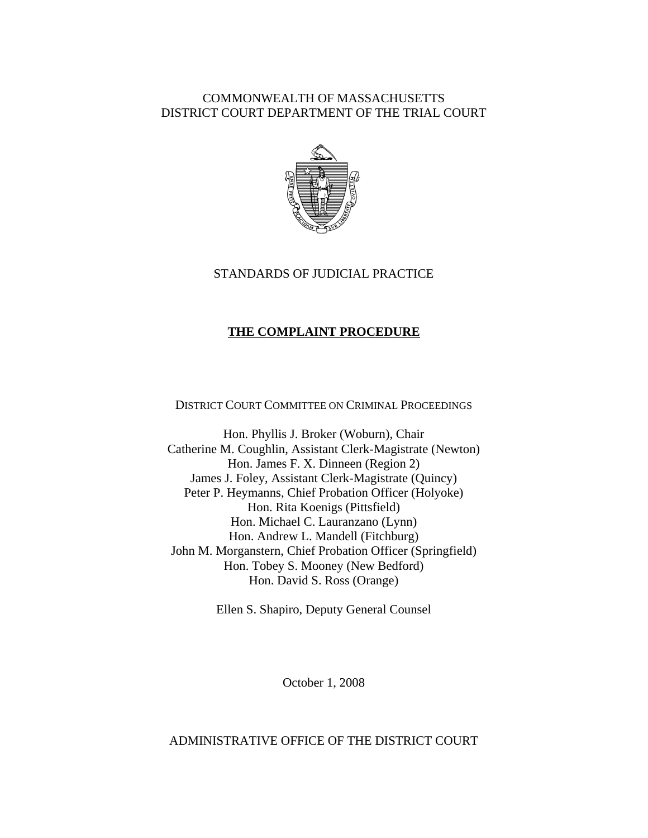# COMMONWEALTH OF MASSACHUSETTS DISTRICT COURT DEPARTMENT OF THE TRIAL COURT



# STANDARDS OF JUDICIAL PRACTICE

# **THE COMPLAINT PROCEDURE**

DISTRICT COURT COMMITTEE ON CRIMINAL PROCEEDINGS

Hon. Phyllis J. Broker (Woburn), Chair Catherine M. Coughlin, Assistant Clerk-Magistrate (Newton) Hon. James F. X. Dinneen (Region 2) James J. Foley, Assistant Clerk-Magistrate (Quincy) Peter P. Heymanns, Chief Probation Officer (Holyoke) Hon. Rita Koenigs (Pittsfield) Hon. Michael C. Lauranzano (Lynn) Hon. Andrew L. Mandell (Fitchburg) John M. Morganstern, Chief Probation Officer (Springfield) Hon. Tobey S. Mooney (New Bedford) Hon. David S. Ross (Orange)

Ellen S. Shapiro, Deputy General Counsel

October 1, 2008

# ADMINISTRATIVE OFFICE OF THE DISTRICT COURT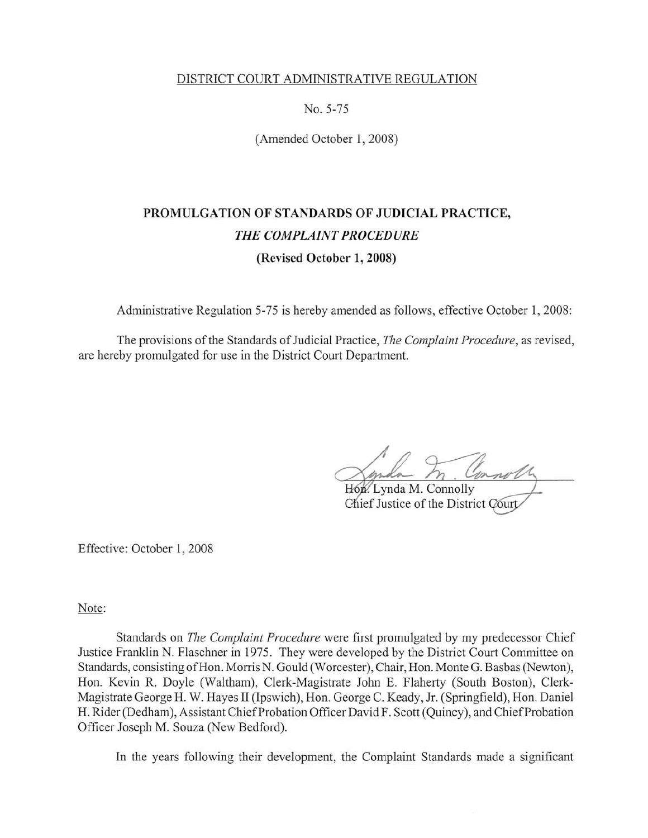## DISTRICT COURT ADMINISTRATIVE REGULATION

No. 5-75

(Amended October 1, 2008)

# PROMULGATION OF STANDARDS OF JUDICIAL PRACTICE, THE COMPLAINT PROCEDURE (Revised October 1, 2008)

Administrative Regulation 5-75 is hereby amended as follows, effective October 1, 2008:

The provisions of the Standards of Judicial Practice, The Complaint Procedure, as revised, are hereby promulgated for use in the District Court Department.

Hon. Lynda M. Connolly

Chief Justice of the District Court

Effective: October 1, 2008

Note:

Standards on The Complaint Procedure were first promulgated by my predecessor Chief Justice Franklin N. Flaschner in 1975. They were developed by the District Court Committee on Standards, consisting of Hon. Morris N. Gould (Worcester), Chair, Hon. Monte G. Basbas (Newton), Hon. Kevin R. Doyle (Waltham), Clerk-Magistrate John E. Flaherty (South Boston), Clerk-Magistrate George H. W. Hayes II (Ipswich), Hon. George C. Keady, Jr. (Springfield), Hon. Daniel H. Rider (Dedham), Assistant Chief Probation Officer David F. Scott (Quincy), and Chief Probation Officer Joseph M. Souza (New Bedford).

In the years following their development, the Complaint Standards made a significant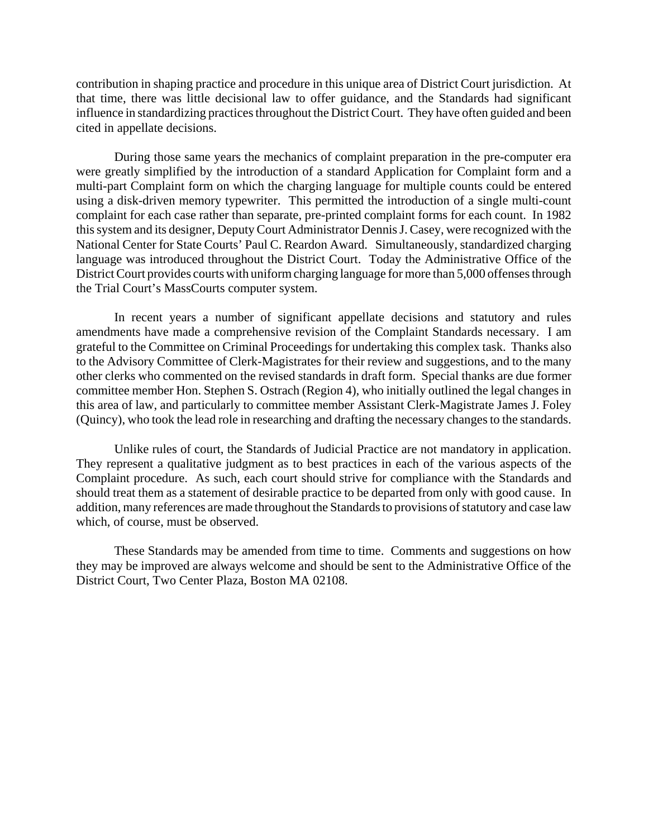contribution in shaping practice and procedure in this unique area of District Court jurisdiction. At that time, there was little decisional law to offer guidance, and the Standards had significant influence in standardizing practices throughout the District Court. They have often guided and been cited in appellate decisions.

During those same years the mechanics of complaint preparation in the pre-computer era were greatly simplified by the introduction of a standard Application for Complaint form and a multi-part Complaint form on which the charging language for multiple counts could be entered using a disk-driven memory typewriter. This permitted the introduction of a single multi-count complaint for each case rather than separate, pre-printed complaint forms for each count. In 1982 this system and its designer, Deputy Court Administrator Dennis J. Casey, were recognized with the National Center for State Courts' Paul C. Reardon Award. Simultaneously, standardized charging language was introduced throughout the District Court. Today the Administrative Office of the District Court provides courts with uniform charging language for more than 5,000 offenses through the Trial Court's MassCourts computer system.

In recent years a number of significant appellate decisions and statutory and rules amendments have made a comprehensive revision of the Complaint Standards necessary. I am grateful to the Committee on Criminal Proceedings for undertaking this complex task. Thanks also to the Advisory Committee of Clerk-Magistrates for their review and suggestions, and to the many other clerks who commented on the revised standards in draft form. Special thanks are due former committee member Hon. Stephen S. Ostrach (Region 4), who initially outlined the legal changes in this area of law, and particularly to committee member Assistant Clerk-Magistrate James J. Foley (Quincy), who took the lead role in researching and drafting the necessary changes to the standards.

Unlike rules of court, the Standards of Judicial Practice are not mandatory in application. They represent a qualitative judgment as to best practices in each of the various aspects of the Complaint procedure. As such, each court should strive for compliance with the Standards and should treat them as a statement of desirable practice to be departed from only with good cause. In addition, many references are made throughout the Standards to provisions of statutory and case law which, of course, must be observed.

These Standards may be amended from time to time. Comments and suggestions on how they may be improved are always welcome and should be sent to the Administrative Office of the District Court, Two Center Plaza, Boston MA 02108.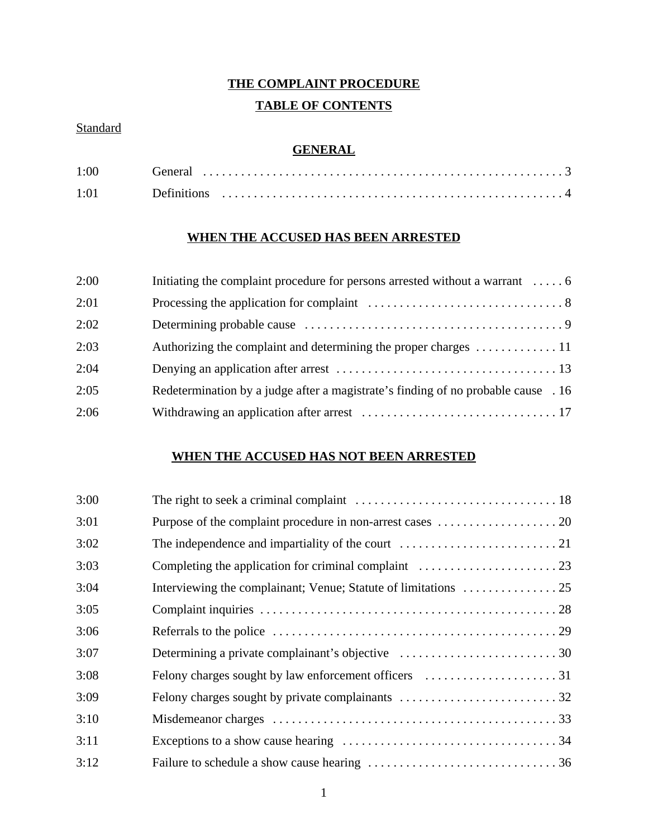# **THE COMPLAINT PROCEDURE**

# **TABLE OF CONTENTS**

# **Standard**

# **GENERAL**

| 1:00 | General            |
|------|--------------------|
| 1.01 | <b>Definitions</b> |

# **WHEN THE ACCUSED HAS BEEN ARRESTED**

| 2:00 | Initiating the complaint procedure for persons arrested without a warrant  6              |
|------|-------------------------------------------------------------------------------------------|
| 2:01 |                                                                                           |
| 2:02 |                                                                                           |
| 2:03 | Authorizing the complaint and determining the proper charges $\dots \dots \dots \dots 11$ |
| 2:04 |                                                                                           |
| 2:05 | Redetermination by a judge after a magistrate's finding of no probable cause . 16         |
| 2:06 |                                                                                           |

# **WHEN THE ACCUSED HAS NOT BEEN ARRESTED**

| 3:00 |                                                                                              |
|------|----------------------------------------------------------------------------------------------|
| 3:01 |                                                                                              |
| 3:02 | The independence and impartiality of the court $\dots\dots\dots\dots\dots\dots\dots\dots 21$ |
| 3:03 | Completing the application for criminal complaint $\dots\dots\dots\dots\dots\dots\dots$ 23   |
| 3:04 |                                                                                              |
| 3:05 |                                                                                              |
| 3:06 |                                                                                              |
| 3:07 |                                                                                              |
| 3:08 |                                                                                              |
| 3:09 |                                                                                              |
| 3:10 |                                                                                              |
| 3:11 |                                                                                              |
| 3:12 |                                                                                              |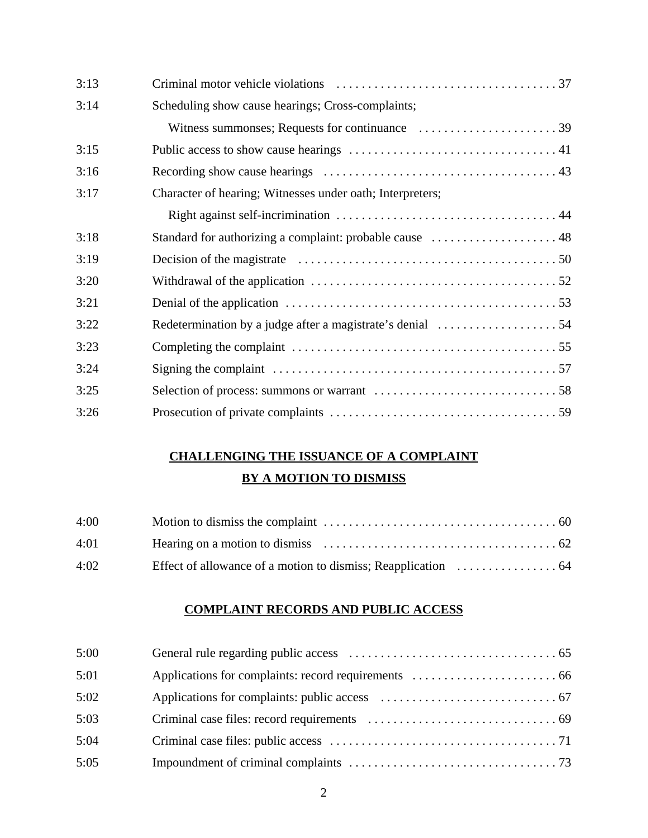| 3:13 |                                                           |
|------|-----------------------------------------------------------|
| 3:14 | Scheduling show cause hearings; Cross-complaints;         |
|      |                                                           |
| 3:15 |                                                           |
| 3:16 |                                                           |
| 3:17 | Character of hearing; Witnesses under oath; Interpreters; |
|      |                                                           |
| 3:18 |                                                           |
| 3:19 |                                                           |
| 3:20 |                                                           |
| 3:21 |                                                           |
| 3:22 |                                                           |
| 3:23 |                                                           |
| 3:24 |                                                           |
| 3:25 |                                                           |
| 3:26 |                                                           |

# **CHALLENGING THE ISSUANCE OF A COMPLAINT BY A MOTION TO DISMISS**

| 4:00 |  |
|------|--|
| 4:01 |  |
| 4:02 |  |

# **COMPLAINT RECORDS AND PUBLIC ACCESS**

| 5:00 |  |
|------|--|
| 5:01 |  |
| 5:02 |  |
| 5:03 |  |
| 5:04 |  |
| 5:05 |  |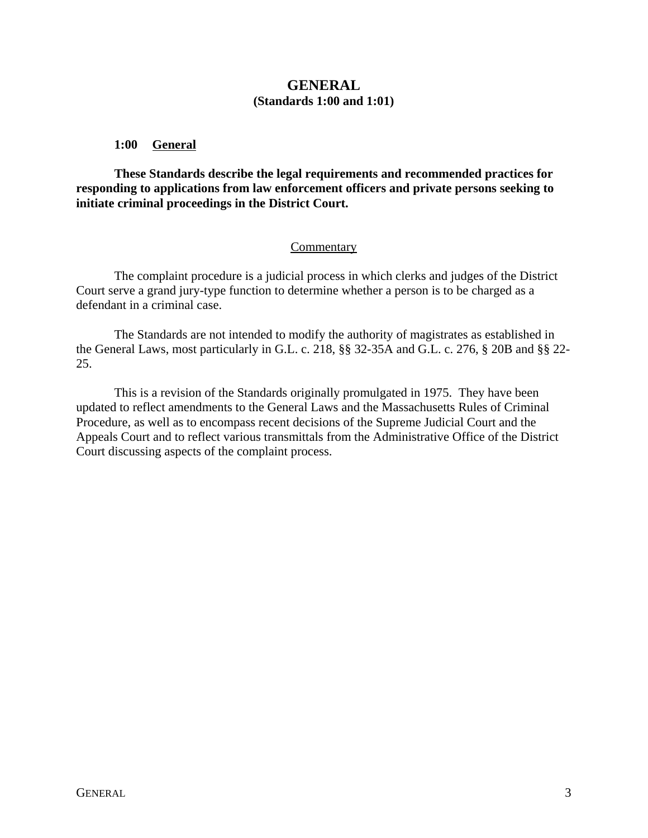# **GENERAL (Standards 1:00 and 1:01)**

# **1:00 General**

**These Standards describe the legal requirements and recommended practices for responding to applications from law enforcement officers and private persons seeking to initiate criminal proceedings in the District Court.**

# Commentary

The complaint procedure is a judicial process in which clerks and judges of the District Court serve a grand jury-type function to determine whether a person is to be charged as a defendant in a criminal case.

The Standards are not intended to modify the authority of magistrates as established in the General Laws, most particularly in G.L. c. 218, §§ 32-35A and G.L. c. 276, § 20B and §§ 22- 25.

This is a revision of the Standards originally promulgated in 1975. They have been updated to reflect amendments to the General Laws and the Massachusetts Rules of Criminal Procedure, as well as to encompass recent decisions of the Supreme Judicial Court and the Appeals Court and to reflect various transmittals from the Administrative Office of the District Court discussing aspects of the complaint process.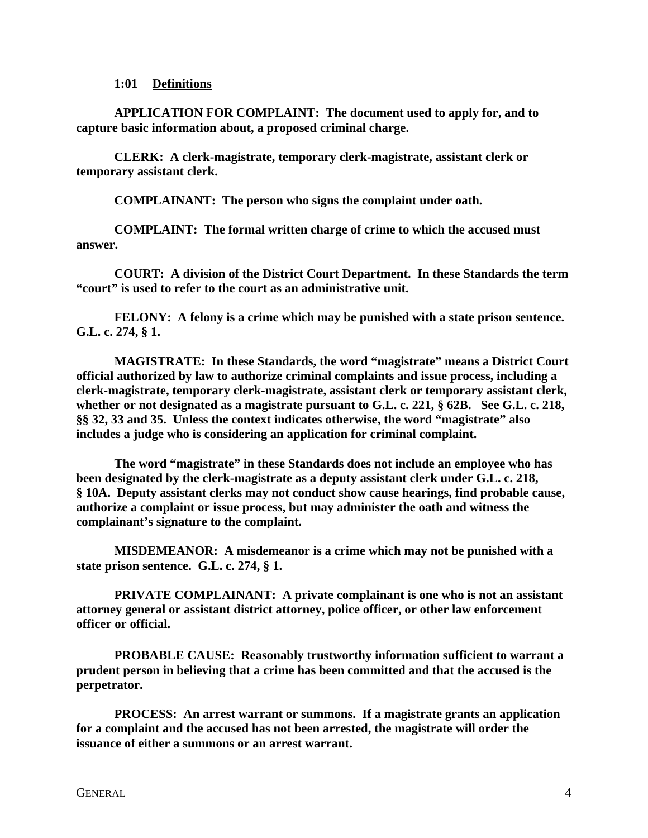#### **1:01 Definitions**

**APPLICATION FOR COMPLAINT: The document used to apply for, and to capture basic information about, a proposed criminal charge.**

**CLERK: A clerk-magistrate, temporary clerk-magistrate, assistant clerk or temporary assistant clerk.**

**COMPLAINANT: The person who signs the complaint under oath.**

**COMPLAINT: The formal written charge of crime to which the accused must answer.**

**COURT: A division of the District Court Department. In these Standards the term "court" is used to refer to the court as an administrative unit.**

**FELONY: A felony is a crime which may be punished with a state prison sentence. G.L. c. 274, § 1.**

**MAGISTRATE: In these Standards, the word "magistrate" means a District Court official authorized by law to authorize criminal complaints and issue process, including a clerk-magistrate, temporary clerk-magistrate, assistant clerk or temporary assistant clerk, whether or not designated as a magistrate pursuant to G.L. c. 221, § 62B. See G.L. c. 218, §§ 32, 33 and 35. Unless the context indicates otherwise, the word "magistrate" also includes a judge who is considering an application for criminal complaint.** 

**The word "magistrate" in these Standards does not include an employee who has been designated by the clerk-magistrate as a deputy assistant clerk under G.L. c. 218, § 10A. Deputy assistant clerks may not conduct show cause hearings, find probable cause, authorize a complaint or issue process, but may administer the oath and witness the complainant's signature to the complaint.**

**MISDEMEANOR: A misdemeanor is a crime which may not be punished with a state prison sentence. G.L. c. 274, § 1.**

**PRIVATE COMPLAINANT: A private complainant is one who is not an assistant attorney general or assistant district attorney, police officer, or other law enforcement officer or official.**

**PROBABLE CAUSE: Reasonably trustworthy information sufficient to warrant a prudent person in believing that a crime has been committed and that the accused is the perpetrator.** 

**PROCESS: An arrest warrant or summons. If a magistrate grants an application for a complaint and the accused has not been arrested, the magistrate will order the issuance of either a summons or an arrest warrant.**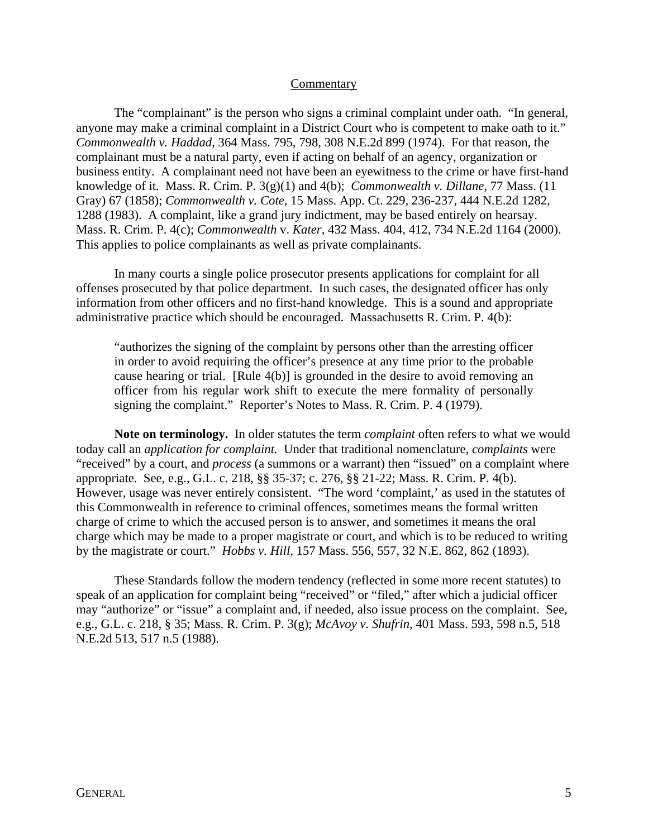#### **Commentary**

The "complainant" is the person who signs a criminal complaint under oath. "In general, anyone may make a criminal complaint in a District Court who is competent to make oath to it." *Commonwealth v. Haddad,* 364 Mass. 795, 798, 308 N.E.2d 899 (1974). For that reason, the complainant must be a natural party, even if acting on behalf of an agency, organization or business entity. A complainant need not have been an eyewitness to the crime or have first-hand knowledge of it. Mass. R. Crim. P. 3(g)(1) and 4(b); *Commonwealth v. Dillane,* 77 Mass. (11 Gray) 67 (1858); *Commonwealth v. Cote,* 15 Mass. App. Ct. 229, 236-237, 444 N.E.2d 1282, 1288 (1983). A complaint, like a grand jury indictment, may be based entirely on hearsay. Mass. R. Crim. P. 4(c); *Commonwealth* v. *Kater*, 432 Mass. 404, 412, 734 N.E.2d 1164 (2000). This applies to police complainants as well as private complainants.

In many courts a single police prosecutor presents applications for complaint for all offenses prosecuted by that police department. In such cases, the designated officer has only information from other officers and no first-hand knowledge. This is a sound and appropriate administrative practice which should be encouraged. Massachusetts R. Crim. P. 4(b):

"authorizes the signing of the complaint by persons other than the arresting officer in order to avoid requiring the officer's presence at any time prior to the probable cause hearing or trial. [Rule 4(b)] is grounded in the desire to avoid removing an officer from his regular work shift to execute the mere formality of personally signing the complaint." Reporter's Notes to Mass. R. Crim. P. 4 (1979).

**Note on terminology.** In older statutes the term *complaint* often refers to what we would today call an *application for complaint.* Under that traditional nomenclature, *complaints* were "received" by a court, and *process* (a summons or a warrant) then "issued" on a complaint where appropriate. See, e.g., G.L. c. 218, §§ 35-37; c. 276, §§ 21-22; Mass. R. Crim. P. 4(b). However, usage was never entirely consistent. "The word 'complaint,' as used in the statutes of this Commonwealth in reference to criminal offences, sometimes means the formal written charge of crime to which the accused person is to answer, and sometimes it means the oral charge which may be made to a proper magistrate or court, and which is to be reduced to writing by the magistrate or court." *Hobbs v. Hill,* 157 Mass. 556, 557, 32 N.E. 862, 862 (1893).

These Standards follow the modern tendency (reflected in some more recent statutes) to speak of an application for complaint being "received" or "filed," after which a judicial officer may "authorize" or "issue" a complaint and, if needed, also issue process on the complaint. See, e.g., G.L. c. 218, § 35; Mass. R. Crim. P. 3(g); *McAvoy v. Shufrin,* 401 Mass. 593, 598 n.5, 518 N.E.2d 513, 517 n.5 (1988).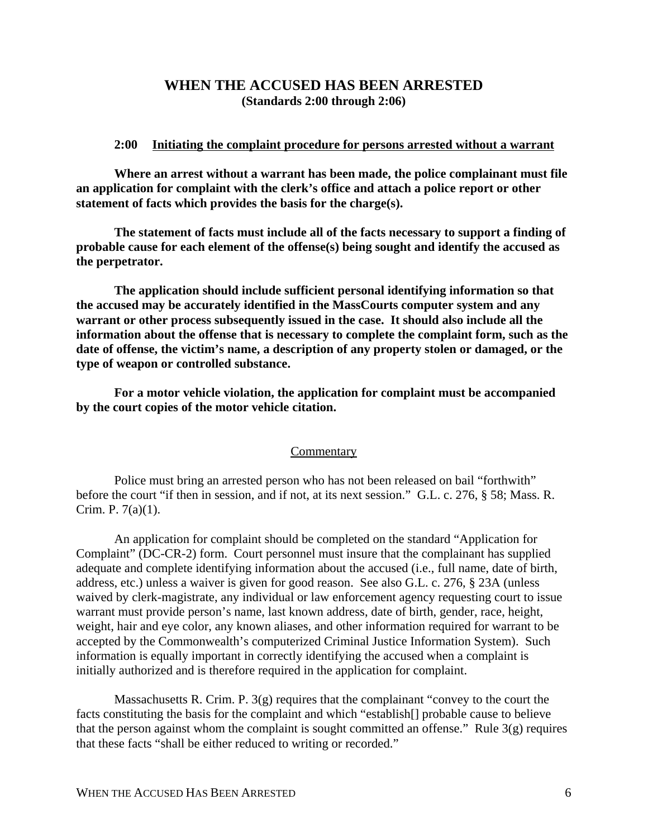# **WHEN THE ACCUSED HAS BEEN ARRESTED (Standards 2:00 through 2:06)**

### **2:00 Initiating the complaint procedure for persons arrested without a warrant**

**Where an arrest without a warrant has been made, the police complainant must file an application for complaint with the clerk's office and attach a police report or other statement of facts which provides the basis for the charge(s).**

**The statement of facts must include all of the facts necessary to support a finding of probable cause for each element of the offense(s) being sought and identify the accused as the perpetrator.**

**The application should include sufficient personal identifying information so that the accused may be accurately identified in the MassCourts computer system and any warrant or other process subsequently issued in the case. It should also include all the information about the offense that is necessary to complete the complaint form, such as the date of offense, the victim's name, a description of any property stolen or damaged, or the type of weapon or controlled substance.**

**For a motor vehicle violation, the application for complaint must be accompanied by the court copies of the motor vehicle citation.**

#### **Commentary**

Police must bring an arrested person who has not been released on bail "forthwith" before the court "if then in session, and if not, at its next session." G.L. c. 276, § 58; Mass. R. Crim. P. 7(a)(1).

An application for complaint should be completed on the standard "Application for Complaint" (DC-CR-2) form. Court personnel must insure that the complainant has supplied adequate and complete identifying information about the accused (i.e., full name, date of birth, address, etc.) unless a waiver is given for good reason. See also G.L. c. 276, § 23A (unless waived by clerk-magistrate, any individual or law enforcement agency requesting court to issue warrant must provide person's name, last known address, date of birth, gender, race, height, weight, hair and eye color, any known aliases, and other information required for warrant to be accepted by the Commonwealth's computerized Criminal Justice Information System). Such information is equally important in correctly identifying the accused when a complaint is initially authorized and is therefore required in the application for complaint.

Massachusetts R. Crim. P.  $3(g)$  requires that the complainant "convey to the court the facts constituting the basis for the complaint and which "establish[] probable cause to believe that the person against whom the complaint is sought committed an offense." Rule  $3(g)$  requires that these facts "shall be either reduced to writing or recorded."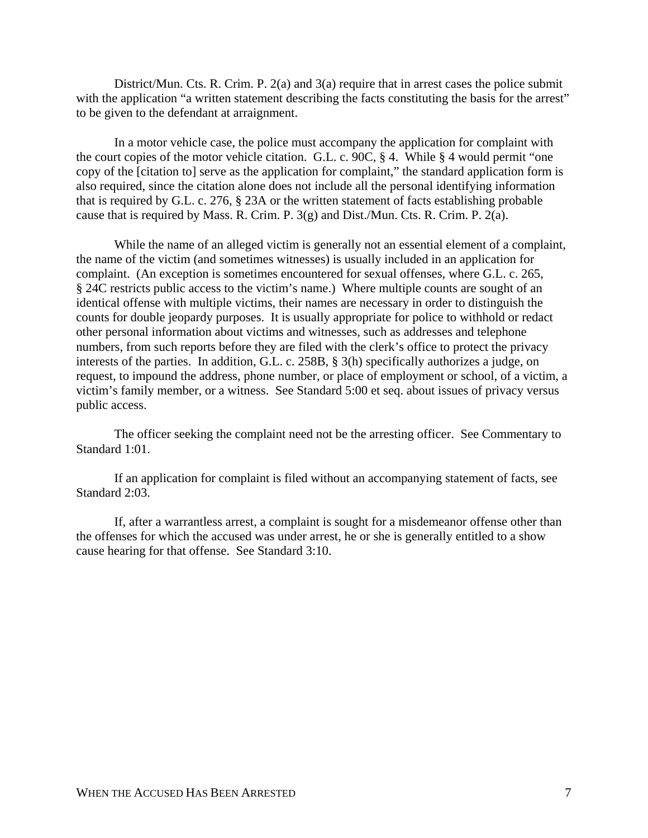District/Mun. Cts. R. Crim. P. 2(a) and 3(a) require that in arrest cases the police submit with the application "a written statement describing the facts constituting the basis for the arrest" to be given to the defendant at arraignment.

In a motor vehicle case, the police must accompany the application for complaint with the court copies of the motor vehicle citation. G.L. c. 90C, § 4. While § 4 would permit "one copy of the [citation to] serve as the application for complaint," the standard application form is also required, since the citation alone does not include all the personal identifying information that is required by G.L. c. 276, § 23A or the written statement of facts establishing probable cause that is required by Mass. R. Crim. P. 3(g) and Dist./Mun. Cts. R. Crim. P. 2(a).

While the name of an alleged victim is generally not an essential element of a complaint, the name of the victim (and sometimes witnesses) is usually included in an application for complaint. (An exception is sometimes encountered for sexual offenses, where G.L. c. 265, § 24C restricts public access to the victim's name.) Where multiple counts are sought of an identical offense with multiple victims, their names are necessary in order to distinguish the counts for double jeopardy purposes. It is usually appropriate for police to withhold or redact other personal information about victims and witnesses, such as addresses and telephone numbers, from such reports before they are filed with the clerk's office to protect the privacy interests of the parties. In addition, G.L. c. 258B, § 3(h) specifically authorizes a judge, on request, to impound the address, phone number, or place of employment or school, of a victim, a victim's family member, or a witness. See Standard 5:00 et seq. about issues of privacy versus public access.

The officer seeking the complaint need not be the arresting officer. See Commentary to Standard 1:01.

If an application for complaint is filed without an accompanying statement of facts, see Standard 2:03.

If, after a warrantless arrest, a complaint is sought for a misdemeanor offense other than the offenses for which the accused was under arrest, he or she is generally entitled to a show cause hearing for that offense. See Standard 3:10.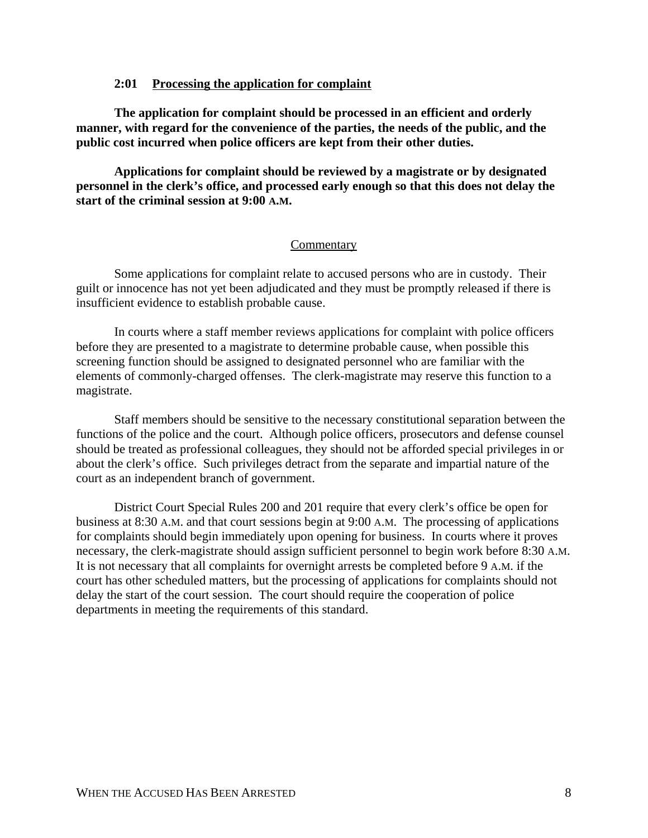## **2:01 Processing the application for complaint**

**The application for complaint should be processed in an efficient and orderly manner, with regard for the convenience of the parties, the needs of the public, and the public cost incurred when police officers are kept from their other duties.**

**Applications for complaint should be reviewed by a magistrate or by designated personnel in the clerk's office, and processed early enough so that this does not delay the start of the criminal session at 9:00 A.M.**

### Commentary

Some applications for complaint relate to accused persons who are in custody. Their guilt or innocence has not yet been adjudicated and they must be promptly released if there is insufficient evidence to establish probable cause.

In courts where a staff member reviews applications for complaint with police officers before they are presented to a magistrate to determine probable cause, when possible this screening function should be assigned to designated personnel who are familiar with the elements of commonly-charged offenses. The clerk-magistrate may reserve this function to a magistrate.

Staff members should be sensitive to the necessary constitutional separation between the functions of the police and the court. Although police officers, prosecutors and defense counsel should be treated as professional colleagues, they should not be afforded special privileges in or about the clerk's office. Such privileges detract from the separate and impartial nature of the court as an independent branch of government.

District Court Special Rules 200 and 201 require that every clerk's office be open for business at 8:30 A.M. and that court sessions begin at 9:00 A.M. The processing of applications for complaints should begin immediately upon opening for business. In courts where it proves necessary, the clerk-magistrate should assign sufficient personnel to begin work before 8:30 A.M. It is not necessary that all complaints for overnight arrests be completed before 9 A.M. if the court has other scheduled matters, but the processing of applications for complaints should not delay the start of the court session. The court should require the cooperation of police departments in meeting the requirements of this standard.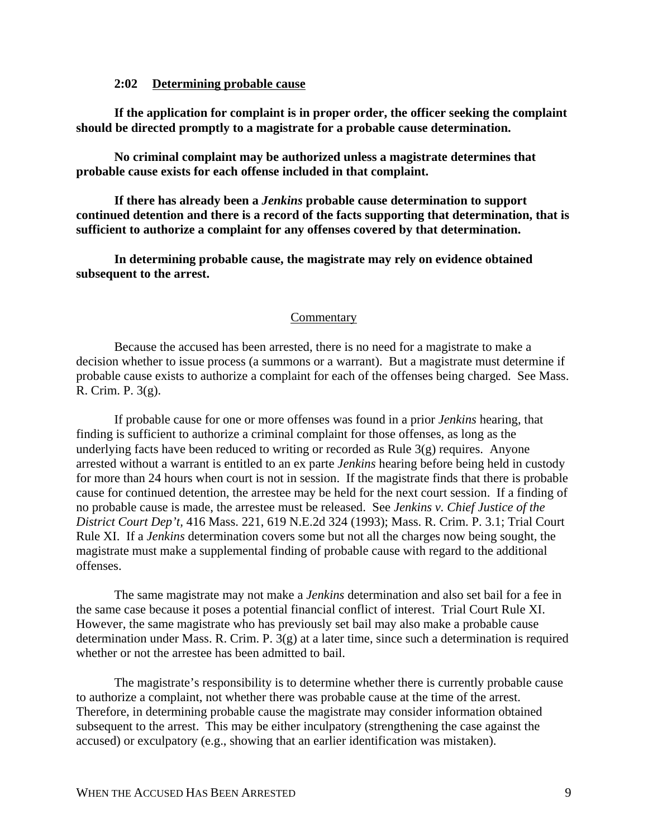### **2:02 Determining probable cause**

**If the application for complaint is in proper order, the officer seeking the complaint should be directed promptly to a magistrate for a probable cause determination.**

**No criminal complaint may be authorized unless a magistrate determines that probable cause exists for each offense included in that complaint.**

**If there has already been a** *Jenkins* **probable cause determination to support continued detention and there is a record of the facts supporting that determination, that is sufficient to authorize a complaint for any offenses covered by that determination.**

**In determining probable cause, the magistrate may rely on evidence obtained subsequent to the arrest.**

#### **Commentary**

Because the accused has been arrested, there is no need for a magistrate to make a decision whether to issue process (a summons or a warrant). But a magistrate must determine if probable cause exists to authorize a complaint for each of the offenses being charged. See Mass. R. Crim. P. 3(g).

If probable cause for one or more offenses was found in a prior *Jenkins* hearing, that finding is sufficient to authorize a criminal complaint for those offenses, as long as the underlying facts have been reduced to writing or recorded as Rule 3(g) requires. Anyone arrested without a warrant is entitled to an ex parte *Jenkins* hearing before being held in custody for more than 24 hours when court is not in session. If the magistrate finds that there is probable cause for continued detention, the arrestee may be held for the next court session. If a finding of no probable cause is made, the arrestee must be released. See *Jenkins v. Chief Justice of the District Court Dep't,* 416 Mass. 221, 619 N.E.2d 324 (1993); Mass. R. Crim. P. 3.1; Trial Court Rule XI. If a *Jenkins* determination covers some but not all the charges now being sought, the magistrate must make a supplemental finding of probable cause with regard to the additional offenses.

The same magistrate may not make a *Jenkins* determination and also set bail for a fee in the same case because it poses a potential financial conflict of interest. Trial Court Rule XI. However, the same magistrate who has previously set bail may also make a probable cause determination under Mass. R. Crim. P. 3(g) at a later time, since such a determination is required whether or not the arrestee has been admitted to bail.

The magistrate's responsibility is to determine whether there is currently probable cause to authorize a complaint, not whether there was probable cause at the time of the arrest. Therefore, in determining probable cause the magistrate may consider information obtained subsequent to the arrest. This may be either inculpatory (strengthening the case against the accused) or exculpatory (e.g., showing that an earlier identification was mistaken).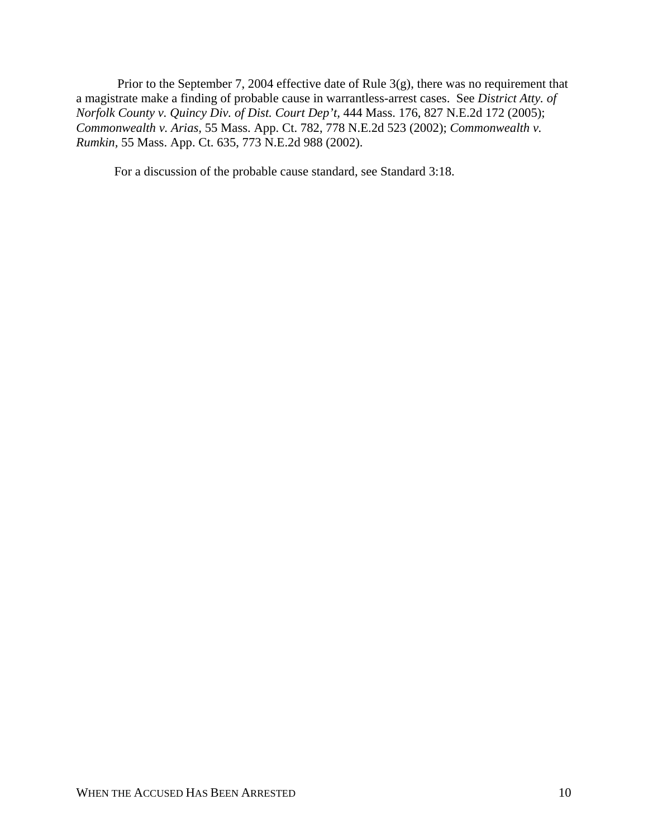Prior to the September 7, 2004 effective date of Rule 3(g), there was no requirement that a magistrate make a finding of probable cause in warrantless-arrest cases. See *District Atty. of Norfolk County v. Quincy Div. of Dist. Court Dep't,* 444 Mass. 176, 827 N.E.2d 172 (2005); *Commonwealth v. Arias,* 55 Mass. App. Ct. 782, 778 N.E.2d 523 (2002); *Commonwealth v. Rumkin,* 55 Mass. App. Ct. 635, 773 N.E.2d 988 (2002).

For a discussion of the probable cause standard, see Standard 3:18.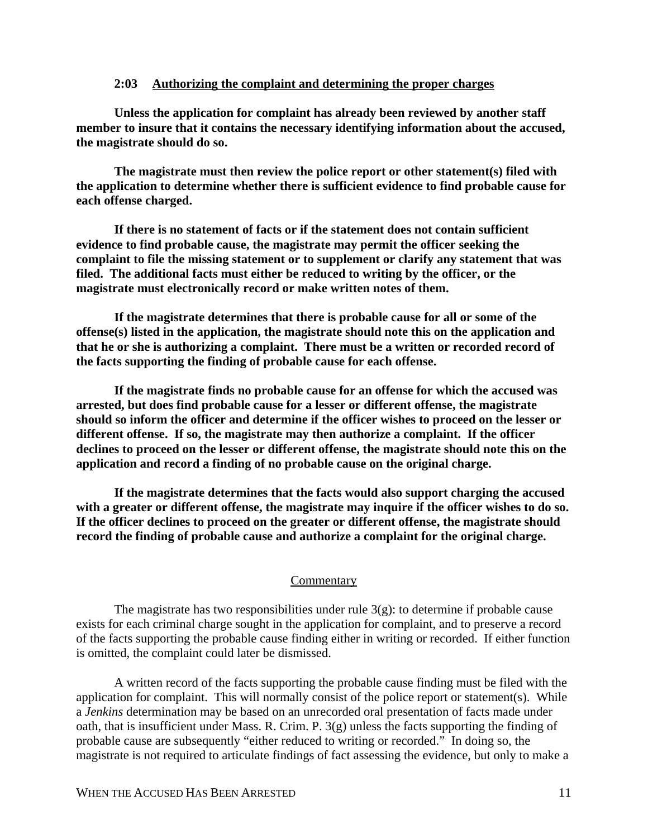## **2:03 Authorizing the complaint and determining the proper charges**

**Unless the application for complaint has already been reviewed by another staff member to insure that it contains the necessary identifying information about the accused, the magistrate should do so.** 

**The magistrate must then review the police report or other statement(s) filed with the application to determine whether there is sufficient evidence to find probable cause for each offense charged.**

**If there is no statement of facts or if the statement does not contain sufficient evidence to find probable cause, the magistrate may permit the officer seeking the complaint to file the missing statement or to supplement or clarify any statement that was filed. The additional facts must either be reduced to writing by the officer, or the magistrate must electronically record or make written notes of them.**

**If the magistrate determines that there is probable cause for all or some of the offense(s) listed in the application, the magistrate should note this on the application and that he or she is authorizing a complaint. There must be a written or recorded record of the facts supporting the finding of probable cause for each offense.**

**If the magistrate finds no probable cause for an offense for which the accused was arrested, but does find probable cause for a lesser or different offense, the magistrate should so inform the officer and determine if the officer wishes to proceed on the lesser or different offense. If so, the magistrate may then authorize a complaint. If the officer declines to proceed on the lesser or different offense, the magistrate should note this on the application and record a finding of no probable cause on the original charge.**

**If the magistrate determines that the facts would also support charging the accused with a greater or different offense, the magistrate may inquire if the officer wishes to do so. If the officer declines to proceed on the greater or different offense, the magistrate should record the finding of probable cause and authorize a complaint for the original charge.**

#### **Commentary**

The magistrate has two responsibilities under rule  $3(g)$ : to determine if probable cause exists for each criminal charge sought in the application for complaint, and to preserve a record of the facts supporting the probable cause finding either in writing or recorded. If either function is omitted, the complaint could later be dismissed.

A written record of the facts supporting the probable cause finding must be filed with the application for complaint. This will normally consist of the police report or statement(s). While a *Jenkins* determination may be based on an unrecorded oral presentation of facts made under oath, that is insufficient under Mass. R. Crim. P. 3(g) unless the facts supporting the finding of probable cause are subsequently "either reduced to writing or recorded." In doing so, the magistrate is not required to articulate findings of fact assessing the evidence, but only to make a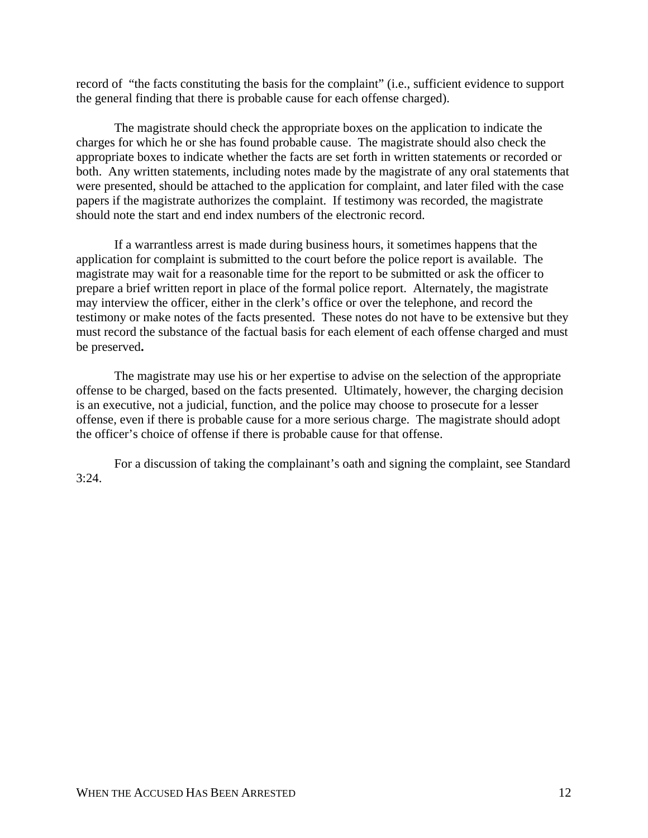record of "the facts constituting the basis for the complaint" (i.e., sufficient evidence to support the general finding that there is probable cause for each offense charged).

The magistrate should check the appropriate boxes on the application to indicate the charges for which he or she has found probable cause. The magistrate should also check the appropriate boxes to indicate whether the facts are set forth in written statements or recorded or both. Any written statements, including notes made by the magistrate of any oral statements that were presented, should be attached to the application for complaint, and later filed with the case papers if the magistrate authorizes the complaint. If testimony was recorded, the magistrate should note the start and end index numbers of the electronic record.

If a warrantless arrest is made during business hours, it sometimes happens that the application for complaint is submitted to the court before the police report is available. The magistrate may wait for a reasonable time for the report to be submitted or ask the officer to prepare a brief written report in place of the formal police report. Alternately, the magistrate may interview the officer, either in the clerk's office or over the telephone, and record the testimony or make notes of the facts presented. These notes do not have to be extensive but they must record the substance of the factual basis for each element of each offense charged and must be preserved**.**

The magistrate may use his or her expertise to advise on the selection of the appropriate offense to be charged, based on the facts presented. Ultimately, however, the charging decision is an executive, not a judicial, function, and the police may choose to prosecute for a lesser offense, even if there is probable cause for a more serious charge. The magistrate should adopt the officer's choice of offense if there is probable cause for that offense.

For a discussion of taking the complainant's oath and signing the complaint, see Standard  $3:24.$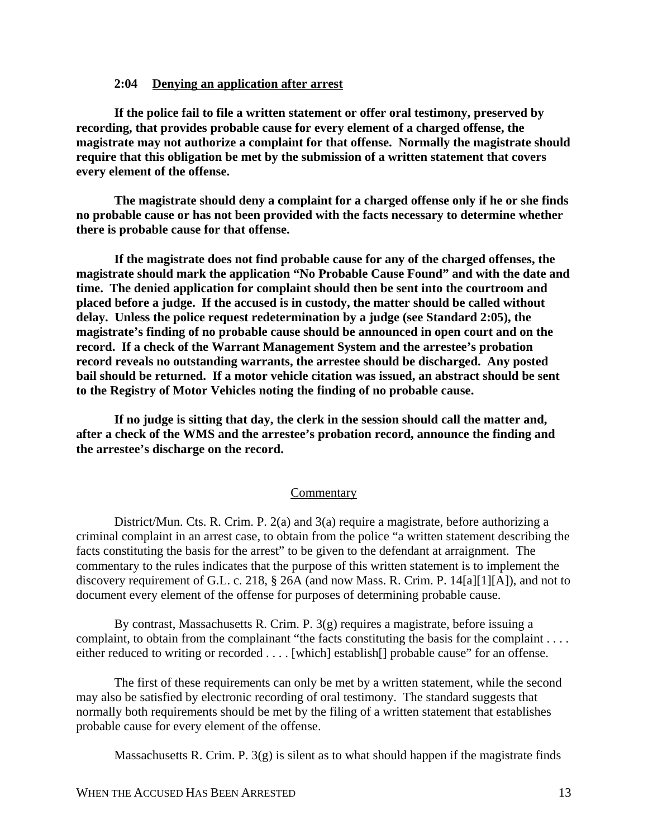### **2:04 Denying an application after arrest**

**If the police fail to file a written statement or offer oral testimony, preserved by recording, that provides probable cause for every element of a charged offense, the magistrate may not authorize a complaint for that offense. Normally the magistrate should require that this obligation be met by the submission of a written statement that covers every element of the offense.**

**The magistrate should deny a complaint for a charged offense only if he or she finds no probable cause or has not been provided with the facts necessary to determine whether there is probable cause for that offense.**

**If the magistrate does not find probable cause for any of the charged offenses, the magistrate should mark the application "No Probable Cause Found" and with the date and time. The denied application for complaint should then be sent into the courtroom and placed before a judge. If the accused is in custody, the matter should be called without delay. Unless the police request redetermination by a judge (see Standard 2:05), the magistrate's finding of no probable cause should be announced in open court and on the record. If a check of the Warrant Management System and the arrestee's probation record reveals no outstanding warrants, the arrestee should be discharged. Any posted bail should be returned. If a motor vehicle citation was issued, an abstract should be sent to the Registry of Motor Vehicles noting the finding of no probable cause.**

**If no judge is sitting that day, the clerk in the session should call the matter and, after a check of the WMS and the arrestee's probation record, announce the finding and the arrestee's discharge on the record.** 

#### **Commentary**

District/Mun. Cts. R. Crim. P. 2(a) and 3(a) require a magistrate, before authorizing a criminal complaint in an arrest case, to obtain from the police "a written statement describing the facts constituting the basis for the arrest" to be given to the defendant at arraignment. The commentary to the rules indicates that the purpose of this written statement is to implement the discovery requirement of G.L. c. 218, § 26A (and now Mass. R. Crim. P. 14[a][1][A]), and not to document every element of the offense for purposes of determining probable cause.

By contrast, Massachusetts R. Crim. P.  $3(g)$  requires a magistrate, before issuing a complaint, to obtain from the complainant "the facts constituting the basis for the complaint . . . . either reduced to writing or recorded . . . . [which] establish[] probable cause" for an offense.

The first of these requirements can only be met by a written statement, while the second may also be satisfied by electronic recording of oral testimony. The standard suggests that normally both requirements should be met by the filing of a written statement that establishes probable cause for every element of the offense.

Massachusetts R. Crim. P.  $3(g)$  is silent as to what should happen if the magistrate finds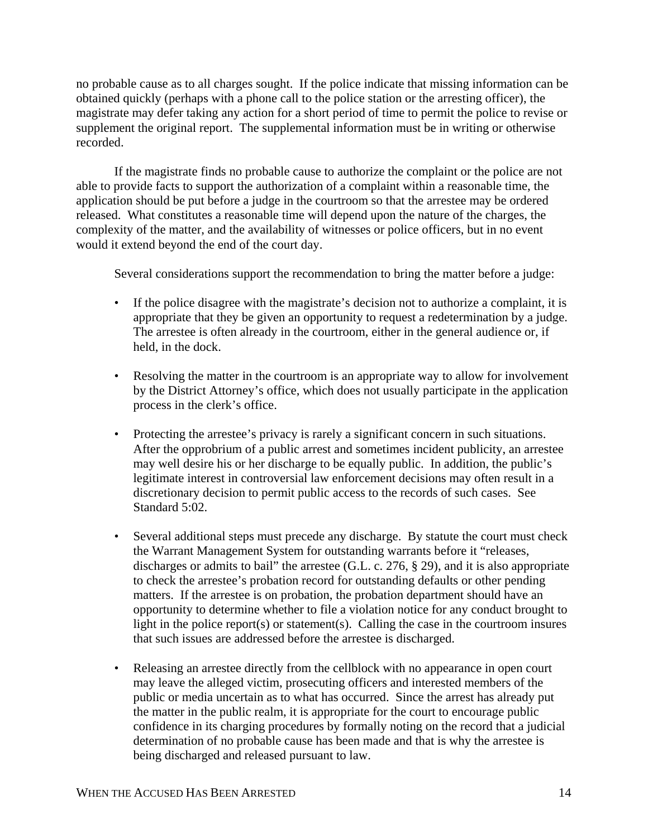no probable cause as to all charges sought. If the police indicate that missing information can be obtained quickly (perhaps with a phone call to the police station or the arresting officer), the magistrate may defer taking any action for a short period of time to permit the police to revise or supplement the original report. The supplemental information must be in writing or otherwise recorded.

If the magistrate finds no probable cause to authorize the complaint or the police are not able to provide facts to support the authorization of a complaint within a reasonable time, the application should be put before a judge in the courtroom so that the arrestee may be ordered released. What constitutes a reasonable time will depend upon the nature of the charges, the complexity of the matter, and the availability of witnesses or police officers, but in no event would it extend beyond the end of the court day.

Several considerations support the recommendation to bring the matter before a judge:

- If the police disagree with the magistrate's decision not to authorize a complaint, it is appropriate that they be given an opportunity to request a redetermination by a judge. The arrestee is often already in the courtroom, either in the general audience or, if held, in the dock.
- Resolving the matter in the courtroom is an appropriate way to allow for involvement by the District Attorney's office, which does not usually participate in the application process in the clerk's office.
- Protecting the arrestee's privacy is rarely a significant concern in such situations. After the opprobrium of a public arrest and sometimes incident publicity, an arrestee may well desire his or her discharge to be equally public. In addition, the public's legitimate interest in controversial law enforcement decisions may often result in a discretionary decision to permit public access to the records of such cases. See Standard 5:02.
- Several additional steps must precede any discharge. By statute the court must check the Warrant Management System for outstanding warrants before it "releases, discharges or admits to bail" the arrestee (G.L. c. 276, § 29), and it is also appropriate to check the arrestee's probation record for outstanding defaults or other pending matters. If the arrestee is on probation, the probation department should have an opportunity to determine whether to file a violation notice for any conduct brought to light in the police report(s) or statement(s). Calling the case in the courtroom insures that such issues are addressed before the arrestee is discharged.
- Releasing an arrestee directly from the cellblock with no appearance in open court may leave the alleged victim, prosecuting officers and interested members of the public or media uncertain as to what has occurred. Since the arrest has already put the matter in the public realm, it is appropriate for the court to encourage public confidence in its charging procedures by formally noting on the record that a judicial determination of no probable cause has been made and that is why the arrestee is being discharged and released pursuant to law.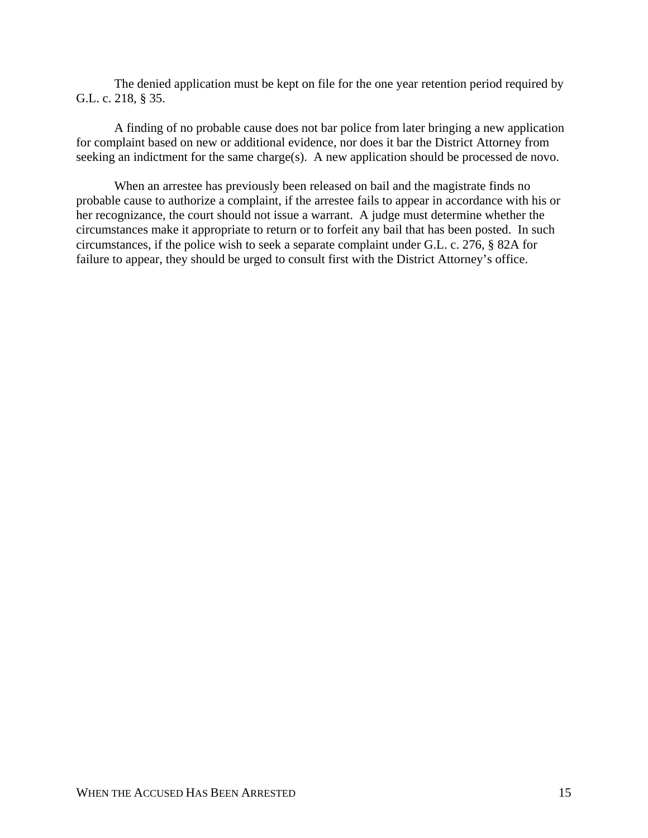The denied application must be kept on file for the one year retention period required by G.L. c. 218, § 35.

A finding of no probable cause does not bar police from later bringing a new application for complaint based on new or additional evidence, nor does it bar the District Attorney from seeking an indictment for the same charge(s). A new application should be processed de novo.

When an arrestee has previously been released on bail and the magistrate finds no probable cause to authorize a complaint, if the arrestee fails to appear in accordance with his or her recognizance, the court should not issue a warrant. A judge must determine whether the circumstances make it appropriate to return or to forfeit any bail that has been posted. In such circumstances, if the police wish to seek a separate complaint under G.L. c. 276, § 82A for failure to appear, they should be urged to consult first with the District Attorney's office.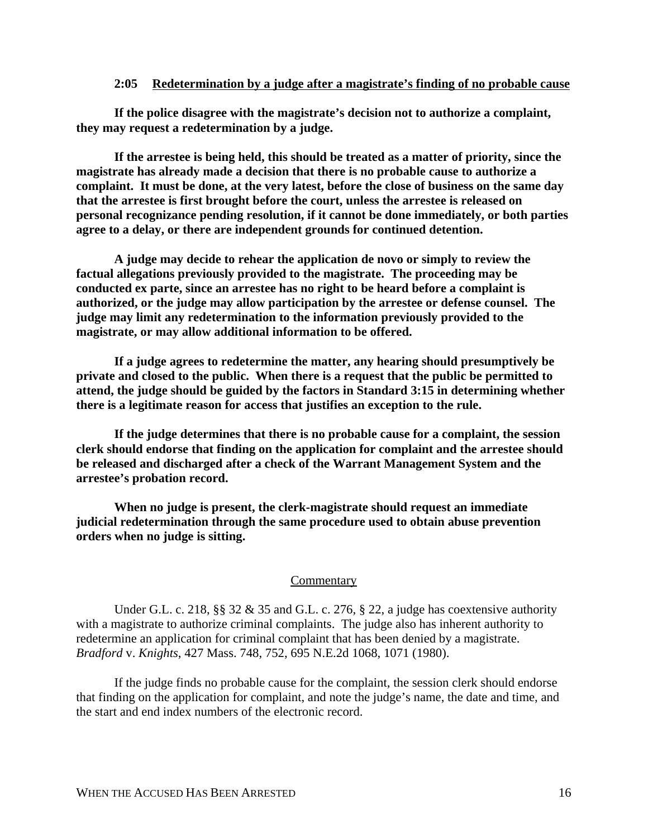### **2:05 Redetermination by a judge after a magistrate's finding of no probable cause**

**If the police disagree with the magistrate's decision not to authorize a complaint, they may request a redetermination by a judge.**

**If the arrestee is being held, this should be treated as a matter of priority, since the magistrate has already made a decision that there is no probable cause to authorize a complaint. It must be done, at the very latest, before the close of business on the same day that the arrestee is first brought before the court, unless the arrestee is released on personal recognizance pending resolution, if it cannot be done immediately, or both parties agree to a delay, or there are independent grounds for continued detention.**

**A judge may decide to rehear the application de novo or simply to review the factual allegations previously provided to the magistrate. The proceeding may be conducted ex parte, since an arrestee has no right to be heard before a complaint is authorized, or the judge may allow participation by the arrestee or defense counsel. The judge may limit any redetermination to the information previously provided to the magistrate, or may allow additional information to be offered.**

**If a judge agrees to redetermine the matter, any hearing should presumptively be private and closed to the public. When there is a request that the public be permitted to attend, the judge should be guided by the factors in Standard 3:15 in determining whether there is a legitimate reason for access that justifies an exception to the rule.**

**If the judge determines that there is no probable cause for a complaint, the session clerk should endorse that finding on the application for complaint and the arrestee should be released and discharged after a check of the Warrant Management System and the arrestee's probation record.**

**When no judge is present, the clerk-magistrate should request an immediate judicial redetermination through the same procedure used to obtain abuse prevention orders when no judge is sitting.**

#### **Commentary**

Under G.L. c. 218,  $\S$  32 & 35 and G.L. c. 276,  $\S$  22, a judge has coextensive authority with a magistrate to authorize criminal complaints. The judge also has inherent authority to redetermine an application for criminal complaint that has been denied by a magistrate. *Bradford* v. *Knights*, 427 Mass. 748, 752, 695 N.E.2d 1068, 1071 (1980).

If the judge finds no probable cause for the complaint, the session clerk should endorse that finding on the application for complaint, and note the judge's name, the date and time, and the start and end index numbers of the electronic record.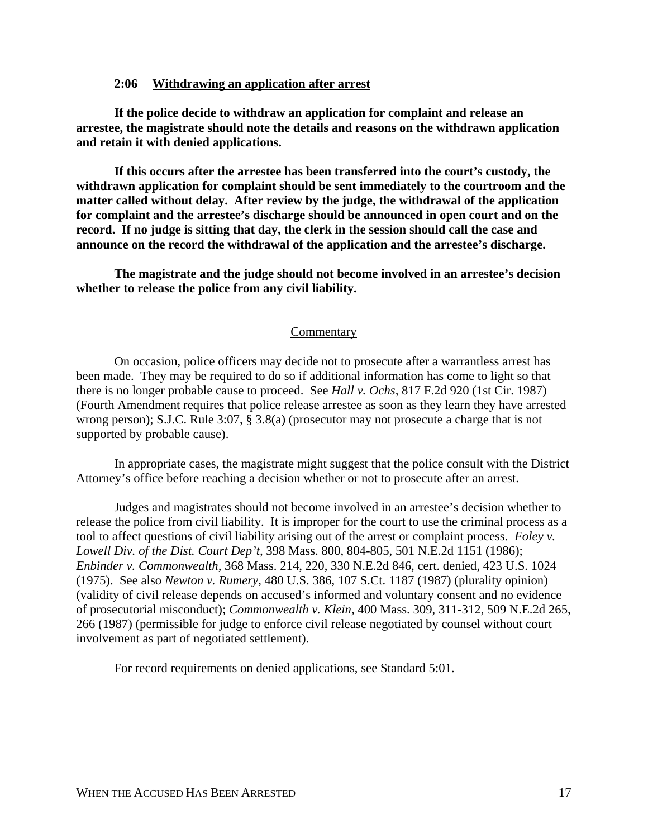## **2:06 Withdrawing an application after arrest**

**If the police decide to withdraw an application for complaint and release an arrestee, the magistrate should note the details and reasons on the withdrawn application and retain it with denied applications.**

**If this occurs after the arrestee has been transferred into the court's custody, the withdrawn application for complaint should be sent immediately to the courtroom and the matter called without delay. After review by the judge, the withdrawal of the application for complaint and the arrestee's discharge should be announced in open court and on the record. If no judge is sitting that day, the clerk in the session should call the case and announce on the record the withdrawal of the application and the arrestee's discharge.**

**The magistrate and the judge should not become involved in an arrestee's decision whether to release the police from any civil liability.** 

#### **Commentary**

On occasion, police officers may decide not to prosecute after a warrantless arrest has been made. They may be required to do so if additional information has come to light so that there is no longer probable cause to proceed. See *Hall v. Ochs,* 817 F.2d 920 (1st Cir. 1987) (Fourth Amendment requires that police release arrestee as soon as they learn they have arrested wrong person); S.J.C. Rule 3:07, § 3.8(a) (prosecutor may not prosecute a charge that is not supported by probable cause).

In appropriate cases, the magistrate might suggest that the police consult with the District Attorney's office before reaching a decision whether or not to prosecute after an arrest.

Judges and magistrates should not become involved in an arrestee's decision whether to release the police from civil liability. It is improper for the court to use the criminal process as a tool to affect questions of civil liability arising out of the arrest or complaint process. *Foley v. Lowell Div. of the Dist. Court Dep't,* 398 Mass. 800, 804-805, 501 N.E.2d 1151 (1986); *Enbinder v. Commonwealth,* 368 Mass. 214, 220, 330 N.E.2d 846, cert. denied, 423 U.S. 1024 (1975). See also *Newton v. Rumery,* 480 U.S. 386, 107 S.Ct. 1187 (1987) (plurality opinion) (validity of civil release depends on accused's informed and voluntary consent and no evidence of prosecutorial misconduct); *Commonwealth v. Klein,* 400 Mass. 309, 311-312, 509 N.E.2d 265, 266 (1987) (permissible for judge to enforce civil release negotiated by counsel without court involvement as part of negotiated settlement).

For record requirements on denied applications, see Standard 5:01.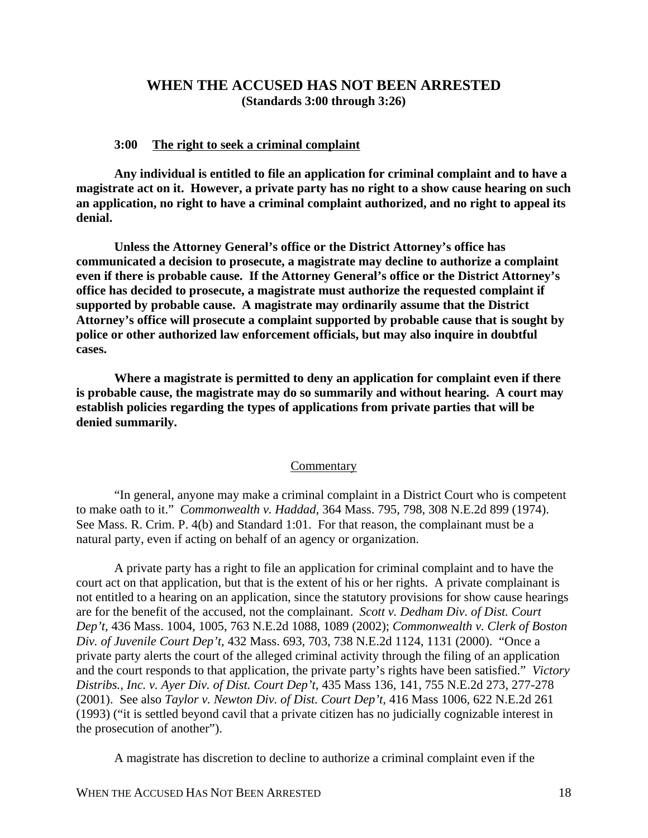# **WHEN THE ACCUSED HAS NOT BEEN ARRESTED (Standards 3:00 through 3:26)**

### **3:00 The right to seek a criminal complaint**

**Any individual is entitled to file an application for criminal complaint and to have a magistrate act on it. However, a private party has no right to a show cause hearing on such an application, no right to have a criminal complaint authorized, and no right to appeal its denial.**

**Unless the Attorney General's office or the District Attorney's office has communicated a decision to prosecute, a magistrate may decline to authorize a complaint even if there is probable cause. If the Attorney General's office or the District Attorney's office has decided to prosecute, a magistrate must authorize the requested complaint if supported by probable cause. A magistrate may ordinarily assume that the District Attorney's office will prosecute a complaint supported by probable cause that is sought by police or other authorized law enforcement officials, but may also inquire in doubtful cases.**

**Where a magistrate is permitted to deny an application for complaint even if there is probable cause, the magistrate may do so summarily and without hearing. A court may establish policies regarding the types of applications from private parties that will be denied summarily.**

## **Commentary**

"In general, anyone may make a criminal complaint in a District Court who is competent to make oath to it." *Commonwealth v. Haddad,* 364 Mass. 795, 798, 308 N.E.2d 899 (1974). See Mass. R. Crim. P. 4(b) and Standard 1:01. For that reason, the complainant must be a natural party, even if acting on behalf of an agency or organization.

A private party has a right to file an application for criminal complaint and to have the court act on that application, but that is the extent of his or her rights. A private complainant is not entitled to a hearing on an application, since the statutory provisions for show cause hearings are for the benefit of the accused, not the complainant. *Scott v. Dedham Div. of Dist. Court Dep't,* 436 Mass. 1004, 1005, 763 N.E.2d 1088, 1089 (2002); *Commonwealth v. Clerk of Boston Div. of Juvenile Court Dep't,* 432 Mass. 693, 703, 738 N.E.2d 1124, 1131 (2000). "Once a private party alerts the court of the alleged criminal activity through the filing of an application and the court responds to that application, the private party's rights have been satisfied." *Victory Distribs., Inc. v. Ayer Div. of Dist. Court Dep't,* 435 Mass 136, 141, 755 N.E.2d 273, 277-278 (2001). See also *Taylor v. Newton Div. of Dist. Court Dep't,* 416 Mass 1006, 622 N.E.2d 261 (1993) ("it is settled beyond cavil that a private citizen has no judicially cognizable interest in the prosecution of another").

A magistrate has discretion to decline to authorize a criminal complaint even if the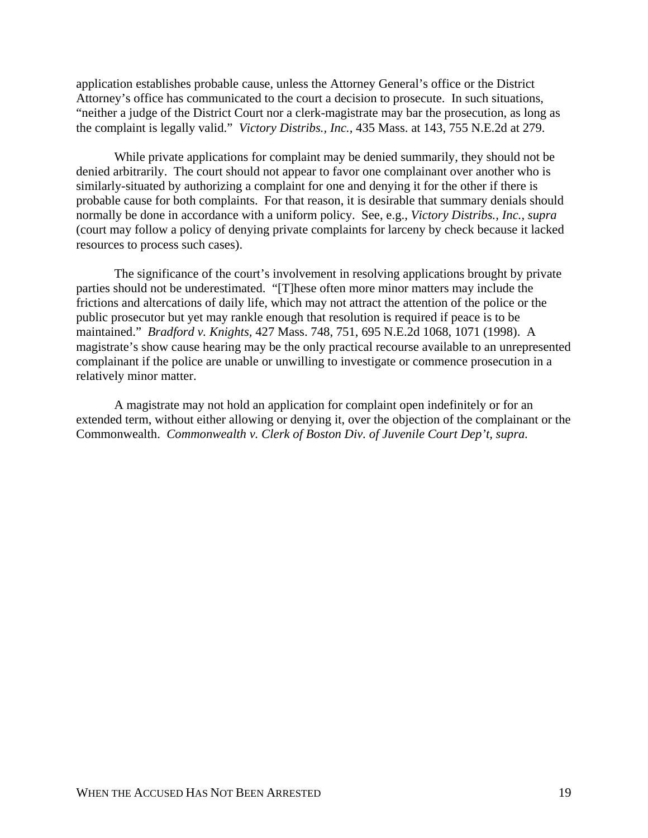application establishes probable cause, unless the Attorney General's office or the District Attorney's office has communicated to the court a decision to prosecute. In such situations, "neither a judge of the District Court nor a clerk-magistrate may bar the prosecution, as long as the complaint is legally valid." *Victory Distribs., Inc.,* 435 Mass. at 143, 755 N.E.2d at 279.

While private applications for complaint may be denied summarily, they should not be denied arbitrarily. The court should not appear to favor one complainant over another who is similarly-situated by authorizing a complaint for one and denying it for the other if there is probable cause for both complaints. For that reason, it is desirable that summary denials should normally be done in accordance with a uniform policy. See, e.g., *Victory Distribs., Inc., supra* (court may follow a policy of denying private complaints for larceny by check because it lacked resources to process such cases).

The significance of the court's involvement in resolving applications brought by private parties should not be underestimated. "[T]hese often more minor matters may include the frictions and altercations of daily life, which may not attract the attention of the police or the public prosecutor but yet may rankle enough that resolution is required if peace is to be maintained." *Bradford v. Knights,* 427 Mass. 748, 751, 695 N.E.2d 1068, 1071 (1998). A magistrate's show cause hearing may be the only practical recourse available to an unrepresented complainant if the police are unable or unwilling to investigate or commence prosecution in a relatively minor matter.

A magistrate may not hold an application for complaint open indefinitely or for an extended term, without either allowing or denying it, over the objection of the complainant or the Commonwealth. *Commonwealth v. Clerk of Boston Div. of Juvenile Court Dep't, supra.*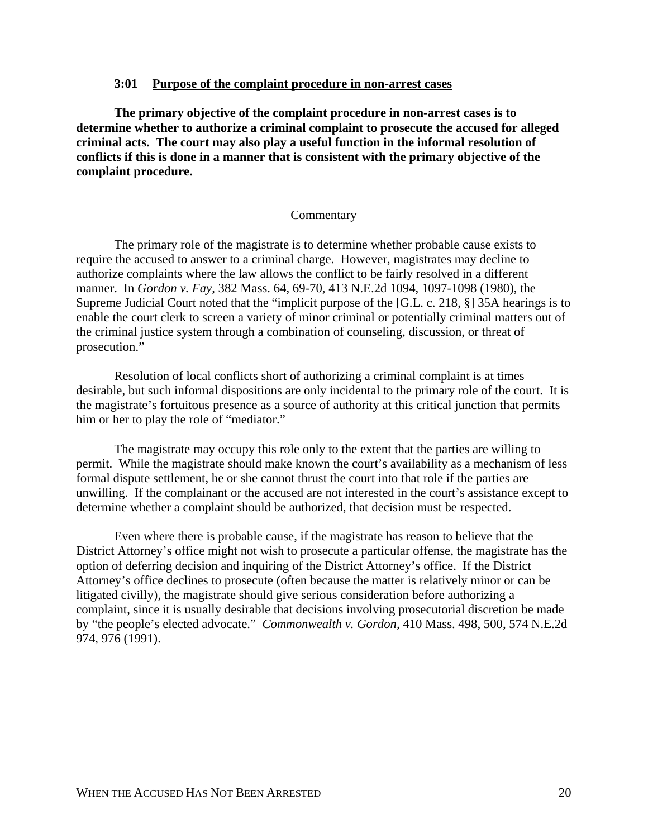### **3:01 Purpose of the complaint procedure in non-arrest cases**

**The primary objective of the complaint procedure in non-arrest cases is to determine whether to authorize a criminal complaint to prosecute the accused for alleged criminal acts. The court may also play a useful function in the informal resolution of conflicts if this is done in a manner that is consistent with the primary objective of the complaint procedure.**

## Commentary

The primary role of the magistrate is to determine whether probable cause exists to require the accused to answer to a criminal charge. However, magistrates may decline to authorize complaints where the law allows the conflict to be fairly resolved in a different manner. In *Gordon v. Fay,* 382 Mass. 64, 69-70, 413 N.E.2d 1094, 1097-1098 (1980), the Supreme Judicial Court noted that the "implicit purpose of the [G.L. c. 218, §] 35A hearings is to enable the court clerk to screen a variety of minor criminal or potentially criminal matters out of the criminal justice system through a combination of counseling, discussion, or threat of prosecution."

Resolution of local conflicts short of authorizing a criminal complaint is at times desirable, but such informal dispositions are only incidental to the primary role of the court. It is the magistrate's fortuitous presence as a source of authority at this critical junction that permits him or her to play the role of "mediator."

The magistrate may occupy this role only to the extent that the parties are willing to permit. While the magistrate should make known the court's availability as a mechanism of less formal dispute settlement, he or she cannot thrust the court into that role if the parties are unwilling. If the complainant or the accused are not interested in the court's assistance except to determine whether a complaint should be authorized, that decision must be respected.

Even where there is probable cause, if the magistrate has reason to believe that the District Attorney's office might not wish to prosecute a particular offense, the magistrate has the option of deferring decision and inquiring of the District Attorney's office. If the District Attorney's office declines to prosecute (often because the matter is relatively minor or can be litigated civilly), the magistrate should give serious consideration before authorizing a complaint, since it is usually desirable that decisions involving prosecutorial discretion be made by "the people's elected advocate." *Commonwealth v. Gordon,* 410 Mass. 498, 500, 574 N.E.2d 974, 976 (1991).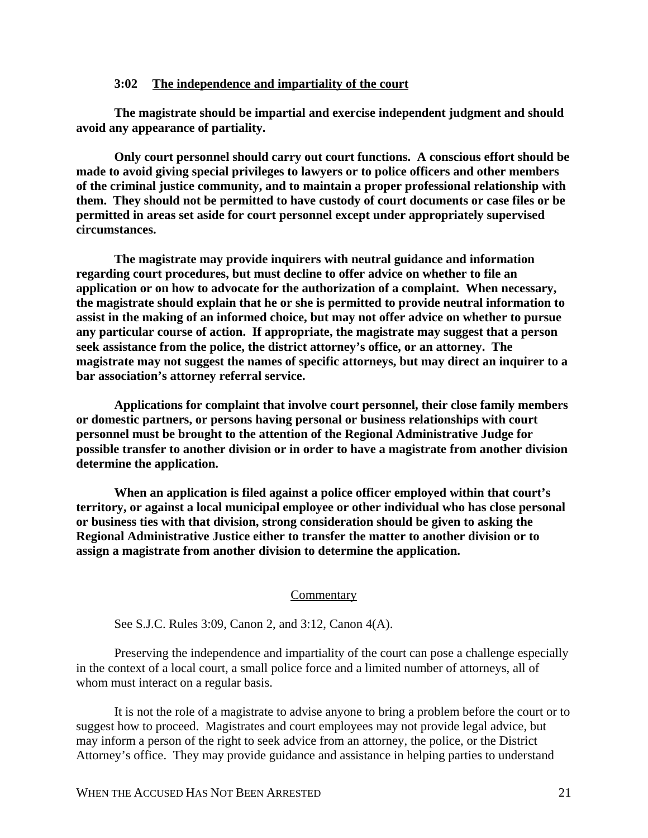### **3:02 The independence and impartiality of the court**

**The magistrate should be impartial and exercise independent judgment and should avoid any appearance of partiality.**

**Only court personnel should carry out court functions. A conscious effort should be made to avoid giving special privileges to lawyers or to police officers and other members of the criminal justice community, and to maintain a proper professional relationship with them. They should not be permitted to have custody of court documents or case files or be permitted in areas set aside for court personnel except under appropriately supervised circumstances.**

**The magistrate may provide inquirers with neutral guidance and information regarding court procedures, but must decline to offer advice on whether to file an application or on how to advocate for the authorization of a complaint. When necessary, the magistrate should explain that he or she is permitted to provide neutral information to assist in the making of an informed choice, but may not offer advice on whether to pursue any particular course of action. If appropriate, the magistrate may suggest that a person seek assistance from the police, the district attorney's office, or an attorney. The magistrate may not suggest the names of specific attorneys, but may direct an inquirer to a bar association's attorney referral service.**

**Applications for complaint that involve court personnel, their close family members or domestic partners, or persons having personal or business relationships with court personnel must be brought to the attention of the Regional Administrative Judge for possible transfer to another division or in order to have a magistrate from another division determine the application.**

**When an application is filed against a police officer employed within that court's territory, or against a local municipal employee or other individual who has close personal or business ties with that division, strong consideration should be given to asking the Regional Administrative Justice either to transfer the matter to another division or to assign a magistrate from another division to determine the application.**

#### **Commentary**

See S.J.C. Rules 3:09, Canon 2, and 3:12, Canon 4(A).

Preserving the independence and impartiality of the court can pose a challenge especially in the context of a local court, a small police force and a limited number of attorneys, all of whom must interact on a regular basis.

It is not the role of a magistrate to advise anyone to bring a problem before the court or to suggest how to proceed. Magistrates and court employees may not provide legal advice, but may inform a person of the right to seek advice from an attorney, the police, or the District Attorney's office. They may provide guidance and assistance in helping parties to understand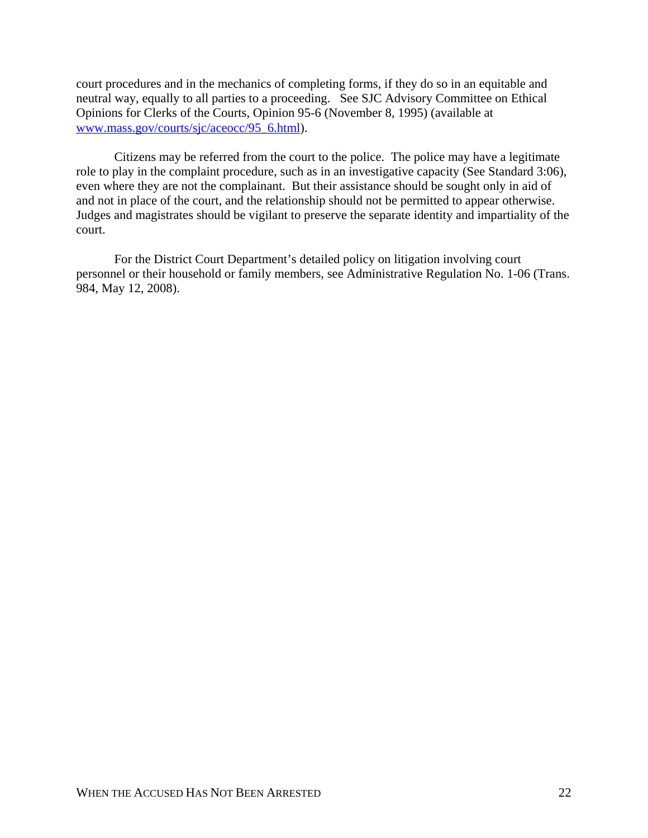court procedures and in the mechanics of completing forms, if they do so in an equitable and neutral way, equally to all parties to a proceeding. See SJC Advisory Committee on Ethical Opinions for Clerks of the Courts, Opinion 95-6 (November 8, 1995) (available at www.mass.gov/courts/sjc/aceocc/95\_6.html).

Citizens may be referred from the court to the police. The police may have a legitimate role to play in the complaint procedure, such as in an investigative capacity (See Standard 3:06), even where they are not the complainant. But their assistance should be sought only in aid of and not in place of the court, and the relationship should not be permitted to appear otherwise. Judges and magistrates should be vigilant to preserve the separate identity and impartiality of the court.

For the District Court Department's detailed policy on litigation involving court personnel or their household or family members, see Administrative Regulation No. 1-06 (Trans. 984, May 12, 2008).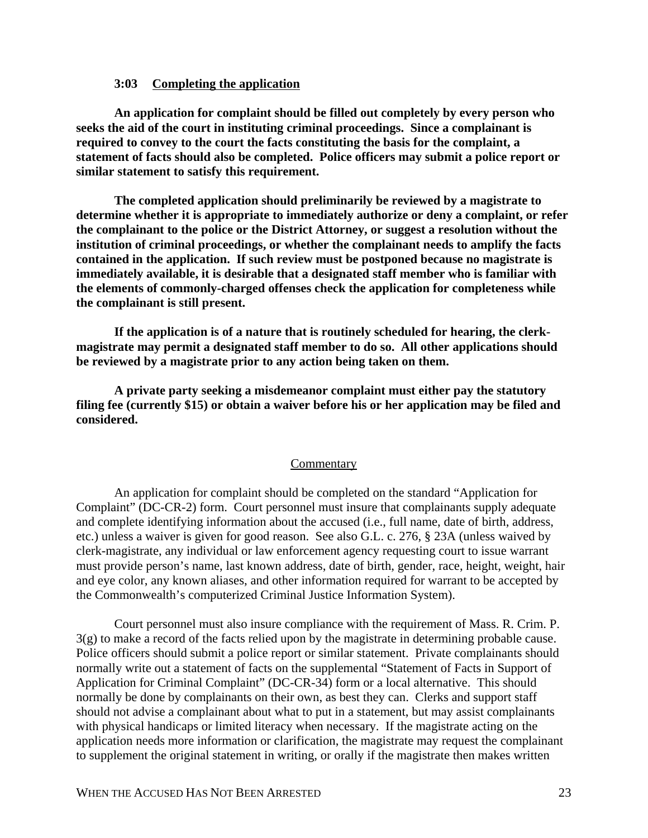# **3:03 Completing the application**

**An application for complaint should be filled out completely by every person who seeks the aid of the court in instituting criminal proceedings. Since a complainant is required to convey to the court the facts constituting the basis for the complaint, a statement of facts should also be completed. Police officers may submit a police report or similar statement to satisfy this requirement.**

**The completed application should preliminarily be reviewed by a magistrate to determine whether it is appropriate to immediately authorize or deny a complaint, or refer the complainant to the police or the District Attorney, or suggest a resolution without the institution of criminal proceedings, or whether the complainant needs to amplify the facts contained in the application. If such review must be postponed because no magistrate is immediately available, it is desirable that a designated staff member who is familiar with the elements of commonly-charged offenses check the application for completeness while the complainant is still present.**

**If the application is of a nature that is routinely scheduled for hearing, the clerkmagistrate may permit a designated staff member to do so. All other applications should be reviewed by a magistrate prior to any action being taken on them.** 

**A private party seeking a misdemeanor complaint must either pay the statutory filing fee (currently \$15) or obtain a waiver before his or her application may be filed and considered.**

#### **Commentary**

An application for complaint should be completed on the standard "Application for Complaint" (DC-CR-2) form. Court personnel must insure that complainants supply adequate and complete identifying information about the accused (i.e., full name, date of birth, address, etc.) unless a waiver is given for good reason. See also G.L. c. 276, § 23A (unless waived by clerk-magistrate, any individual or law enforcement agency requesting court to issue warrant must provide person's name, last known address, date of birth, gender, race, height, weight, hair and eye color, any known aliases, and other information required for warrant to be accepted by the Commonwealth's computerized Criminal Justice Information System).

Court personnel must also insure compliance with the requirement of Mass. R. Crim. P. 3(g) to make a record of the facts relied upon by the magistrate in determining probable cause. Police officers should submit a police report or similar statement. Private complainants should normally write out a statement of facts on the supplemental "Statement of Facts in Support of Application for Criminal Complaint" (DC-CR-34) form or a local alternative. This should normally be done by complainants on their own, as best they can. Clerks and support staff should not advise a complainant about what to put in a statement, but may assist complainants with physical handicaps or limited literacy when necessary. If the magistrate acting on the application needs more information or clarification, the magistrate may request the complainant to supplement the original statement in writing, or orally if the magistrate then makes written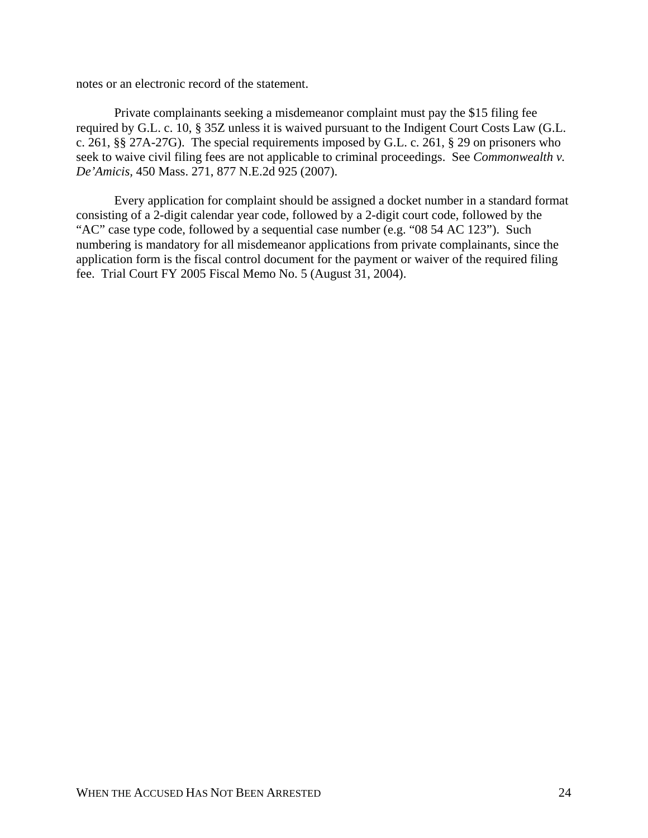notes or an electronic record of the statement.

Private complainants seeking a misdemeanor complaint must pay the \$15 filing fee required by G.L. c. 10, § 35Z unless it is waived pursuant to the Indigent Court Costs Law (G.L. c. 261, §§ 27A-27G). The special requirements imposed by G.L. c. 261, § 29 on prisoners who seek to waive civil filing fees are not applicable to criminal proceedings. See *Commonwealth v. De'Amicis,* 450 Mass. 271, 877 N.E.2d 925 (2007).

Every application for complaint should be assigned a docket number in a standard format consisting of a 2-digit calendar year code, followed by a 2-digit court code, followed by the "AC" case type code, followed by a sequential case number (e.g. "08 54 AC 123"). Such numbering is mandatory for all misdemeanor applications from private complainants, since the application form is the fiscal control document for the payment or waiver of the required filing fee. Trial Court FY 2005 Fiscal Memo No. 5 (August 31, 2004).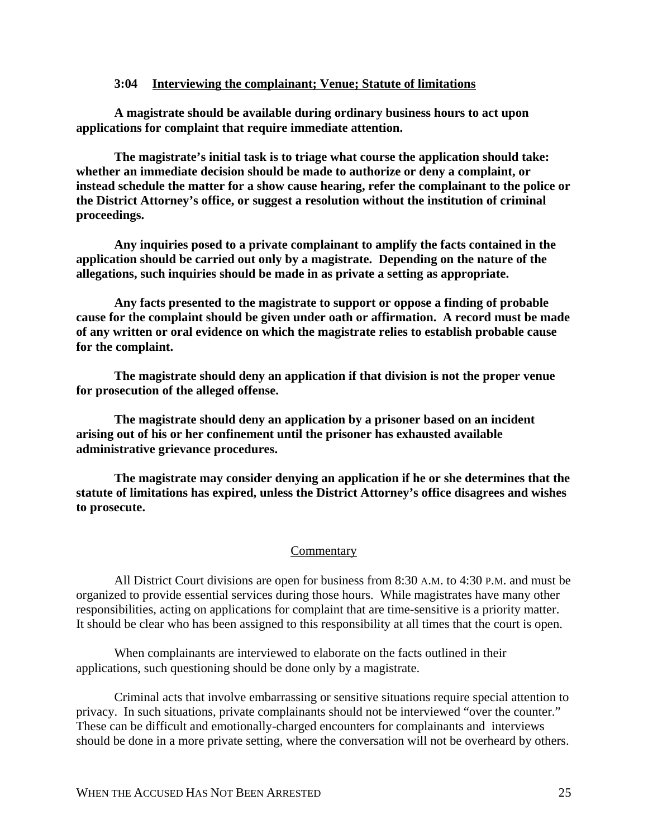### **3:04 Interviewing the complainant; Venue; Statute of limitations**

**A magistrate should be available during ordinary business hours to act upon applications for complaint that require immediate attention.**

**The magistrate's initial task is to triage what course the application should take: whether an immediate decision should be made to authorize or deny a complaint, or instead schedule the matter for a show cause hearing, refer the complainant to the police or the District Attorney's office, or suggest a resolution without the institution of criminal proceedings.**

**Any inquiries posed to a private complainant to amplify the facts contained in the application should be carried out only by a magistrate. Depending on the nature of the allegations, such inquiries should be made in as private a setting as appropriate.**

**Any facts presented to the magistrate to support or oppose a finding of probable cause for the complaint should be given under oath or affirmation. A record must be made of any written or oral evidence on which the magistrate relies to establish probable cause for the complaint.**

**The magistrate should deny an application if that division is not the proper venue for prosecution of the alleged offense.** 

**The magistrate should deny an application by a prisoner based on an incident arising out of his or her confinement until the prisoner has exhausted available administrative grievance procedures.**

**The magistrate may consider denying an application if he or she determines that the statute of limitations has expired, unless the District Attorney's office disagrees and wishes to prosecute.** 

#### **Commentary**

All District Court divisions are open for business from 8:30 A.M. to 4:30 P.M. and must be organized to provide essential services during those hours. While magistrates have many other responsibilities, acting on applications for complaint that are time-sensitive is a priority matter. It should be clear who has been assigned to this responsibility at all times that the court is open.

When complainants are interviewed to elaborate on the facts outlined in their applications, such questioning should be done only by a magistrate.

Criminal acts that involve embarrassing or sensitive situations require special attention to privacy. In such situations, private complainants should not be interviewed "over the counter." These can be difficult and emotionally-charged encounters for complainants and interviews should be done in a more private setting, where the conversation will not be overheard by others.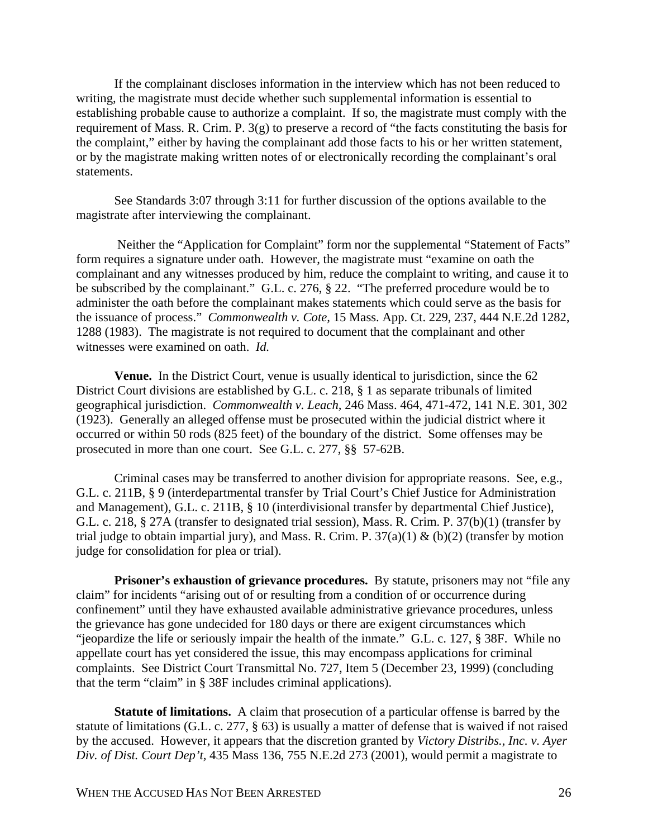If the complainant discloses information in the interview which has not been reduced to writing, the magistrate must decide whether such supplemental information is essential to establishing probable cause to authorize a complaint. If so, the magistrate must comply with the requirement of Mass. R. Crim. P. 3(g) to preserve a record of "the facts constituting the basis for the complaint," either by having the complainant add those facts to his or her written statement, or by the magistrate making written notes of or electronically recording the complainant's oral statements.

See Standards 3:07 through 3:11 for further discussion of the options available to the magistrate after interviewing the complainant.

 Neither the "Application for Complaint" form nor the supplemental "Statement of Facts" form requires a signature under oath. However, the magistrate must "examine on oath the complainant and any witnesses produced by him, reduce the complaint to writing, and cause it to be subscribed by the complainant." G.L. c. 276, § 22. "The preferred procedure would be to administer the oath before the complainant makes statements which could serve as the basis for the issuance of process." *Commonwealth v. Cote,* 15 Mass. App. Ct. 229, 237, 444 N.E.2d 1282, 1288 (1983). The magistrate is not required to document that the complainant and other witnesses were examined on oath. *Id.*

**Venue.** In the District Court, venue is usually identical to jurisdiction, since the 62 District Court divisions are established by G.L. c. 218, § 1 as separate tribunals of limited geographical jurisdiction. *Commonwealth v. Leach,* 246 Mass. 464, 471-472, 141 N.E. 301, 302 (1923). Generally an alleged offense must be prosecuted within the judicial district where it occurred or within 50 rods (825 feet) of the boundary of the district. Some offenses may be prosecuted in more than one court. See G.L. c. 277, §§ 57-62B.

Criminal cases may be transferred to another division for appropriate reasons. See, e.g., G.L. c. 211B, § 9 (interdepartmental transfer by Trial Court's Chief Justice for Administration and Management), G.L. c. 211B, § 10 (interdivisional transfer by departmental Chief Justice), G.L. c. 218, § 27A (transfer to designated trial session), Mass. R. Crim. P. 37(b)(1) (transfer by trial judge to obtain impartial jury), and Mass. R. Crim. P.  $37(a)(1) & (b)(2)$  (transfer by motion judge for consolidation for plea or trial).

**Prisoner's exhaustion of grievance procedures.** By statute, prisoners may not "file any claim" for incidents "arising out of or resulting from a condition of or occurrence during confinement" until they have exhausted available administrative grievance procedures, unless the grievance has gone undecided for 180 days or there are exigent circumstances which "jeopardize the life or seriously impair the health of the inmate." G.L. c. 127, § 38F. While no appellate court has yet considered the issue, this may encompass applications for criminal complaints. See District Court Transmittal No. 727, Item 5 (December 23, 1999) (concluding that the term "claim" in § 38F includes criminal applications).

**Statute of limitations.** A claim that prosecution of a particular offense is barred by the statute of limitations (G.L. c. 277, § 63) is usually a matter of defense that is waived if not raised by the accused. However, it appears that the discretion granted by *Victory Distribs., Inc. v. Ayer Div. of Dist. Court Dep't,* 435 Mass 136, 755 N.E.2d 273 (2001), would permit a magistrate to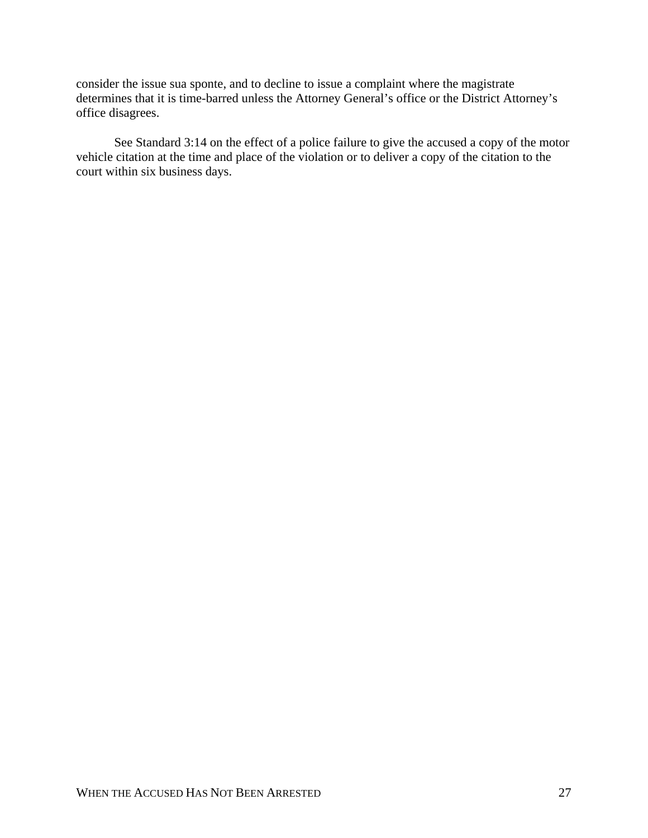consider the issue sua sponte, and to decline to issue a complaint where the magistrate determines that it is time-barred unless the Attorney General's office or the District Attorney's office disagrees.

See Standard 3:14 on the effect of a police failure to give the accused a copy of the motor vehicle citation at the time and place of the violation or to deliver a copy of the citation to the court within six business days.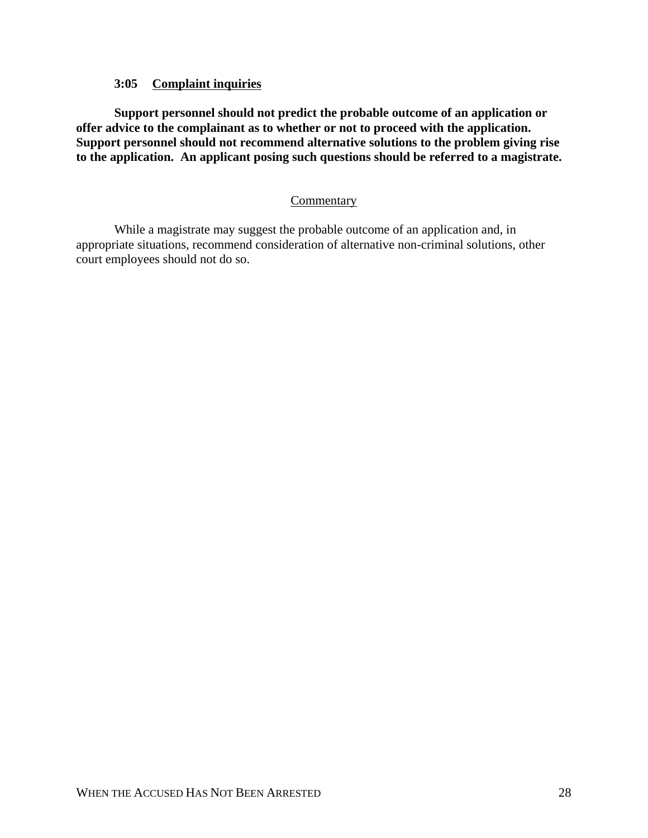# **3:05 Complaint inquiries**

**Support personnel should not predict the probable outcome of an application or offer advice to the complainant as to whether or not to proceed with the application. Support personnel should not recommend alternative solutions to the problem giving rise to the application. An applicant posing such questions should be referred to a magistrate.**

# **Commentary**

While a magistrate may suggest the probable outcome of an application and, in appropriate situations, recommend consideration of alternative non-criminal solutions, other court employees should not do so.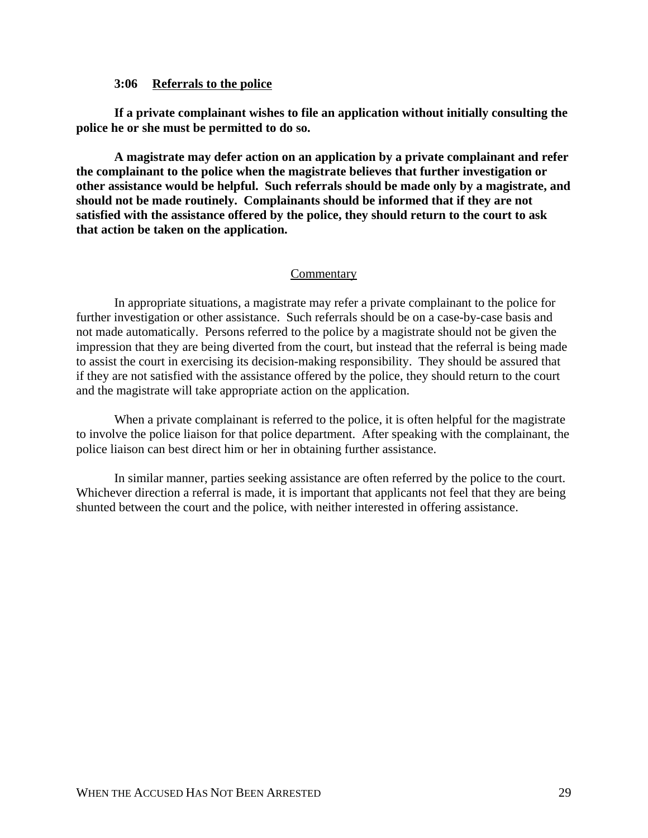### **3:06 Referrals to the police**

**If a private complainant wishes to file an application without initially consulting the police he or she must be permitted to do so.**

**A magistrate may defer action on an application by a private complainant and refer the complainant to the police when the magistrate believes that further investigation or other assistance would be helpful. Such referrals should be made only by a magistrate, and should not be made routinely. Complainants should be informed that if they are not satisfied with the assistance offered by the police, they should return to the court to ask that action be taken on the application.**

## **Commentary**

In appropriate situations, a magistrate may refer a private complainant to the police for further investigation or other assistance. Such referrals should be on a case-by-case basis and not made automatically. Persons referred to the police by a magistrate should not be given the impression that they are being diverted from the court, but instead that the referral is being made to assist the court in exercising its decision-making responsibility. They should be assured that if they are not satisfied with the assistance offered by the police, they should return to the court and the magistrate will take appropriate action on the application.

When a private complainant is referred to the police, it is often helpful for the magistrate to involve the police liaison for that police department. After speaking with the complainant, the police liaison can best direct him or her in obtaining further assistance.

In similar manner, parties seeking assistance are often referred by the police to the court. Whichever direction a referral is made, it is important that applicants not feel that they are being shunted between the court and the police, with neither interested in offering assistance.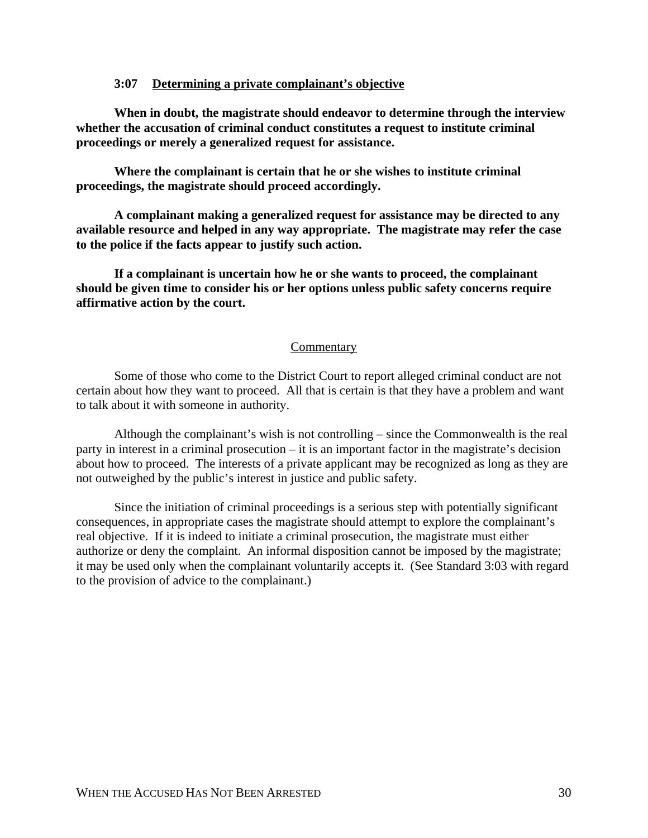## **3:07 Determining a private complainant's objective**

**When in doubt, the magistrate should endeavor to determine through the interview whether the accusation of criminal conduct constitutes a request to institute criminal proceedings or merely a generalized request for assistance.**

**Where the complainant is certain that he or she wishes to institute criminal proceedings, the magistrate should proceed accordingly.**

**A complainant making a generalized request for assistance may be directed to any available resource and helped in any way appropriate. The magistrate may refer the case to the police if the facts appear to justify such action.**

**If a complainant is uncertain how he or she wants to proceed, the complainant should be given time to consider his or her options unless public safety concerns require affirmative action by the court.**

#### **Commentary**

Some of those who come to the District Court to report alleged criminal conduct are not certain about how they want to proceed. All that is certain is that they have a problem and want to talk about it with someone in authority.

Although the complainant's wish is not controlling – since the Commonwealth is the real party in interest in a criminal prosecution – it is an important factor in the magistrate's decision about how to proceed. The interests of a private applicant may be recognized as long as they are not outweighed by the public's interest in justice and public safety.

Since the initiation of criminal proceedings is a serious step with potentially significant consequences, in appropriate cases the magistrate should attempt to explore the complainant's real objective. If it is indeed to initiate a criminal prosecution, the magistrate must either authorize or deny the complaint. An informal disposition cannot be imposed by the magistrate; it may be used only when the complainant voluntarily accepts it. (See Standard 3:03 with regard to the provision of advice to the complainant.)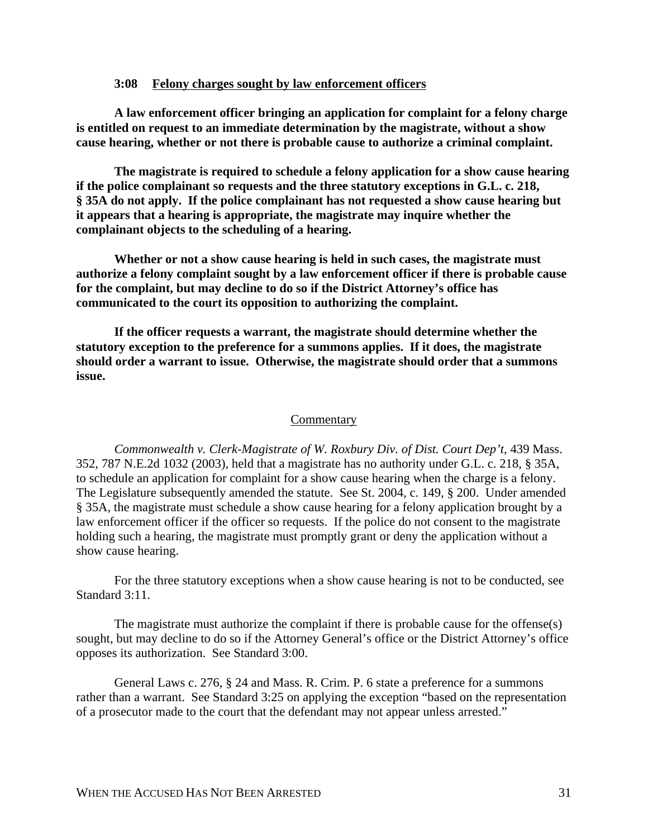#### **3:08 Felony charges sought by law enforcement officers**

**A law enforcement officer bringing an application for complaint for a felony charge is entitled on request to an immediate determination by the magistrate, without a show cause hearing, whether or not there is probable cause to authorize a criminal complaint.**

**The magistrate is required to schedule a felony application for a show cause hearing if the police complainant so requests and the three statutory exceptions in G.L. c. 218, § 35A do not apply. If the police complainant has not requested a show cause hearing but it appears that a hearing is appropriate, the magistrate may inquire whether the complainant objects to the scheduling of a hearing.**

**Whether or not a show cause hearing is held in such cases, the magistrate must authorize a felony complaint sought by a law enforcement officer if there is probable cause for the complaint, but may decline to do so if the District Attorney's office has communicated to the court its opposition to authorizing the complaint.**

**If the officer requests a warrant, the magistrate should determine whether the statutory exception to the preference for a summons applies. If it does, the magistrate should order a warrant to issue. Otherwise, the magistrate should order that a summons issue.**

#### **Commentary**

*Commonwealth v. Clerk-Magistrate of W. Roxbury Div. of Dist. Court Dep't,* 439 Mass. 352, 787 N.E.2d 1032 (2003), held that a magistrate has no authority under G.L. c. 218, § 35A, to schedule an application for complaint for a show cause hearing when the charge is a felony. The Legislature subsequently amended the statute. See St. 2004, c. 149, § 200. Under amended § 35A, the magistrate must schedule a show cause hearing for a felony application brought by a law enforcement officer if the officer so requests. If the police do not consent to the magistrate holding such a hearing, the magistrate must promptly grant or deny the application without a show cause hearing.

For the three statutory exceptions when a show cause hearing is not to be conducted, see Standard 3:11.

The magistrate must authorize the complaint if there is probable cause for the offense(s) sought, but may decline to do so if the Attorney General's office or the District Attorney's office opposes its authorization. See Standard 3:00.

General Laws c. 276, § 24 and Mass. R. Crim. P. 6 state a preference for a summons rather than a warrant. See Standard 3:25 on applying the exception "based on the representation of a prosecutor made to the court that the defendant may not appear unless arrested."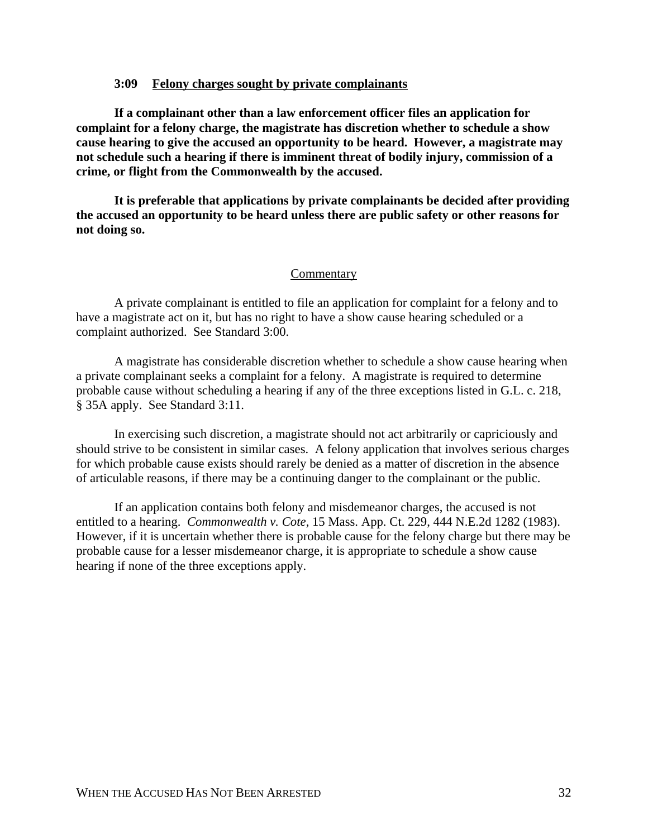#### **3:09 Felony charges sought by private complainants**

**If a complainant other than a law enforcement officer files an application for complaint for a felony charge, the magistrate has discretion whether to schedule a show cause hearing to give the accused an opportunity to be heard. However, a magistrate may not schedule such a hearing if there is imminent threat of bodily injury, commission of a crime, or flight from the Commonwealth by the accused.**

**It is preferable that applications by private complainants be decided after providing the accused an opportunity to be heard unless there are public safety or other reasons for not doing so.**

#### **Commentary**

A private complainant is entitled to file an application for complaint for a felony and to have a magistrate act on it, but has no right to have a show cause hearing scheduled or a complaint authorized. See Standard 3:00.

A magistrate has considerable discretion whether to schedule a show cause hearing when a private complainant seeks a complaint for a felony. A magistrate is required to determine probable cause without scheduling a hearing if any of the three exceptions listed in G.L. c. 218, § 35A apply. See Standard 3:11.

In exercising such discretion, a magistrate should not act arbitrarily or capriciously and should strive to be consistent in similar cases. A felony application that involves serious charges for which probable cause exists should rarely be denied as a matter of discretion in the absence of articulable reasons, if there may be a continuing danger to the complainant or the public.

If an application contains both felony and misdemeanor charges, the accused is not entitled to a hearing. *Commonwealth v. Cote,* 15 Mass. App. Ct. 229, 444 N.E.2d 1282 (1983). However, if it is uncertain whether there is probable cause for the felony charge but there may be probable cause for a lesser misdemeanor charge, it is appropriate to schedule a show cause hearing if none of the three exceptions apply.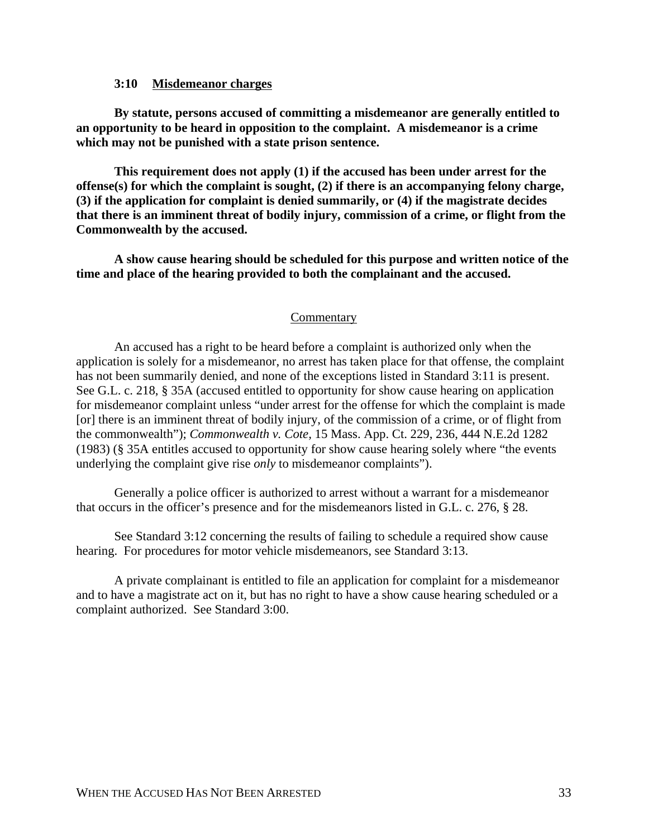## **3:10 Misdemeanor charges**

**By statute, persons accused of committing a misdemeanor are generally entitled to an opportunity to be heard in opposition to the complaint. A misdemeanor is a crime which may not be punished with a state prison sentence.**

**This requirement does not apply (1) if the accused has been under arrest for the offense(s) for which the complaint is sought, (2) if there is an accompanying felony charge, (3) if the application for complaint is denied summarily, or (4) if the magistrate decides that there is an imminent threat of bodily injury, commission of a crime, or flight from the Commonwealth by the accused.**

**A show cause hearing should be scheduled for this purpose and written notice of the time and place of the hearing provided to both the complainant and the accused.**

#### **Commentary**

An accused has a right to be heard before a complaint is authorized only when the application is solely for a misdemeanor, no arrest has taken place for that offense, the complaint has not been summarily denied, and none of the exceptions listed in Standard 3:11 is present. See G.L. c. 218, § 35A (accused entitled to opportunity for show cause hearing on application for misdemeanor complaint unless "under arrest for the offense for which the complaint is made [or] there is an imminent threat of bodily injury, of the commission of a crime, or of flight from the commonwealth"); *Commonwealth v. Cote,* 15 Mass. App. Ct. 229, 236, 444 N.E.2d 1282 (1983) (§ 35A entitles accused to opportunity for show cause hearing solely where "the events underlying the complaint give rise *only* to misdemeanor complaints").

Generally a police officer is authorized to arrest without a warrant for a misdemeanor that occurs in the officer's presence and for the misdemeanors listed in G.L. c. 276, § 28.

See Standard 3:12 concerning the results of failing to schedule a required show cause hearing. For procedures for motor vehicle misdemeanors, see Standard 3:13.

A private complainant is entitled to file an application for complaint for a misdemeanor and to have a magistrate act on it, but has no right to have a show cause hearing scheduled or a complaint authorized. See Standard 3:00.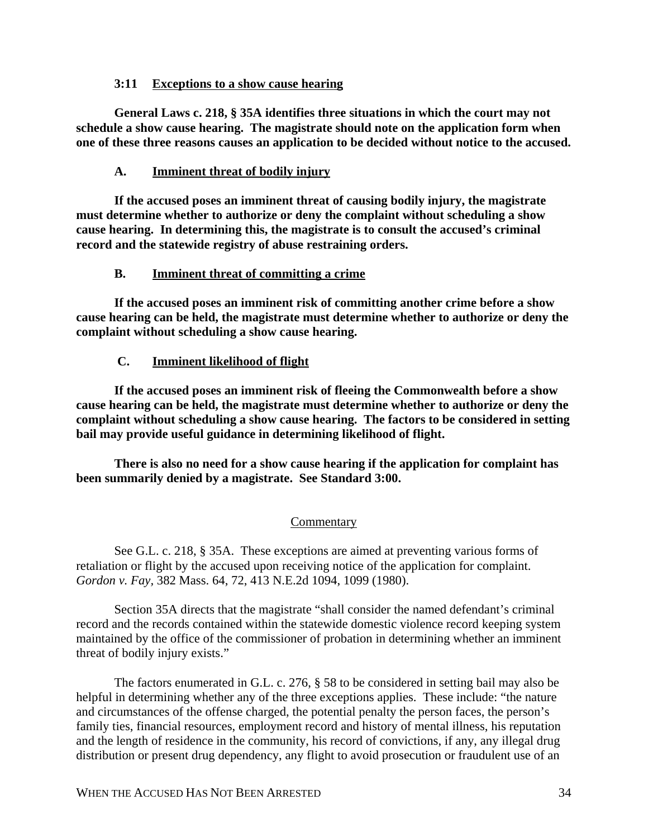## **3:11 Exceptions to a show cause hearing**

**General Laws c. 218, § 35A identifies three situations in which the court may not schedule a show cause hearing. The magistrate should note on the application form when one of these three reasons causes an application to be decided without notice to the accused.**

## **A. Imminent threat of bodily injury**

**If the accused poses an imminent threat of causing bodily injury, the magistrate must determine whether to authorize or deny the complaint without scheduling a show cause hearing. In determining this, the magistrate is to consult the accused's criminal record and the statewide registry of abuse restraining orders.**

## **B. Imminent threat of committing a crime**

 **If the accused poses an imminent risk of committing another crime before a show cause hearing can be held, the magistrate must determine whether to authorize or deny the complaint without scheduling a show cause hearing.**

# **C. Imminent likelihood of flight**

 **If the accused poses an imminent risk of fleeing the Commonwealth before a show cause hearing can be held, the magistrate must determine whether to authorize or deny the complaint without scheduling a show cause hearing. The factors to be considered in setting bail may provide useful guidance in determining likelihood of flight.**

**There is also no need for a show cause hearing if the application for complaint has been summarily denied by a magistrate. See Standard 3:00.**

# **Commentary**

See G.L. c. 218, § 35A. These exceptions are aimed at preventing various forms of retaliation or flight by the accused upon receiving notice of the application for complaint. *Gordon v. Fay,* 382 Mass. 64, 72, 413 N.E.2d 1094, 1099 (1980).

Section 35A directs that the magistrate "shall consider the named defendant's criminal record and the records contained within the statewide domestic violence record keeping system maintained by the office of the commissioner of probation in determining whether an imminent threat of bodily injury exists."

The factors enumerated in G.L. c. 276, § 58 to be considered in setting bail may also be helpful in determining whether any of the three exceptions applies. These include: "the nature and circumstances of the offense charged, the potential penalty the person faces, the person's family ties, financial resources, employment record and history of mental illness, his reputation and the length of residence in the community, his record of convictions, if any, any illegal drug distribution or present drug dependency, any flight to avoid prosecution or fraudulent use of an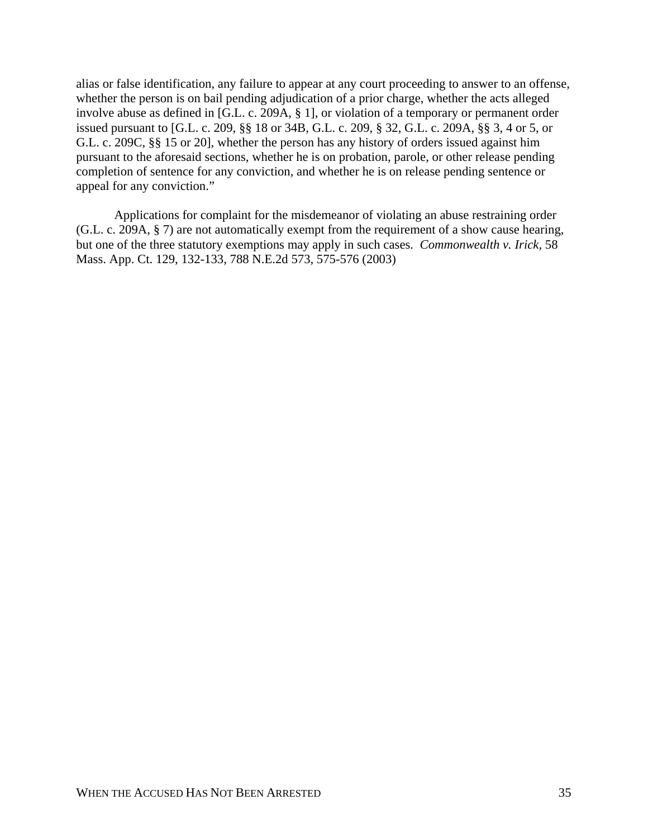alias or false identification, any failure to appear at any court proceeding to answer to an offense, whether the person is on bail pending adjudication of a prior charge, whether the acts alleged involve abuse as defined in [G.L. c. 209A, § 1], or violation of a temporary or permanent order issued pursuant to [G.L. c. 209, §§ 18 or 34B, G.L. c. 209, § 32, G.L. c. 209A, §§ 3, 4 or 5, or G.L. c. 209C, §§ 15 or 20], whether the person has any history of orders issued against him pursuant to the aforesaid sections, whether he is on probation, parole, or other release pending completion of sentence for any conviction, and whether he is on release pending sentence or appeal for any conviction."

Applications for complaint for the misdemeanor of violating an abuse restraining order (G.L. c. 209A, § 7) are not automatically exempt from the requirement of a show cause hearing, but one of the three statutory exemptions may apply in such cases. *Commonwealth v. Irick,* 58 Mass. App. Ct. 129, 132-133, 788 N.E.2d 573, 575-576 (2003)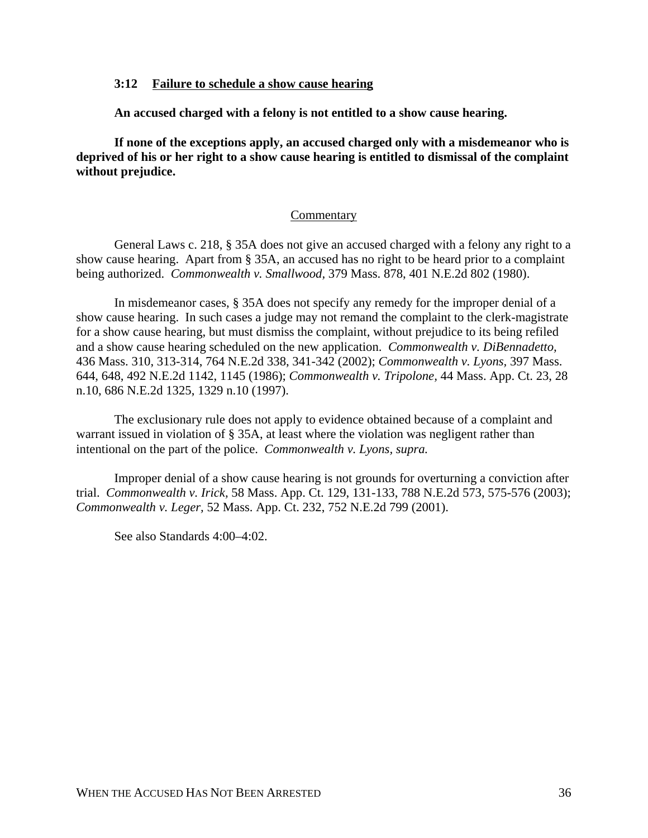## **3:12 Failure to schedule a show cause hearing**

**An accused charged with a felony is not entitled to a show cause hearing.**

**If none of the exceptions apply, an accused charged only with a misdemeanor who is deprived of his or her right to a show cause hearing is entitled to dismissal of the complaint without prejudice.**

## Commentary

General Laws c. 218, § 35A does not give an accused charged with a felony any right to a show cause hearing. Apart from § 35A, an accused has no right to be heard prior to a complaint being authorized. *Commonwealth v. Smallwood,* 379 Mass. 878, 401 N.E.2d 802 (1980).

In misdemeanor cases, § 35A does not specify any remedy for the improper denial of a show cause hearing. In such cases a judge may not remand the complaint to the clerk-magistrate for a show cause hearing, but must dismiss the complaint, without prejudice to its being refiled and a show cause hearing scheduled on the new application. *Commonwealth v. DiBennadetto,* 436 Mass. 310, 313-314, 764 N.E.2d 338, 341-342 (2002); *Commonwealth v. Lyons,* 397 Mass. 644, 648, 492 N.E.2d 1142, 1145 (1986); *Commonwealth v. Tripolone,* 44 Mass. App. Ct. 23, 28 n.10, 686 N.E.2d 1325, 1329 n.10 (1997).

The exclusionary rule does not apply to evidence obtained because of a complaint and warrant issued in violation of § 35A, at least where the violation was negligent rather than intentional on the part of the police. *Commonwealth v. Lyons, supra.*

Improper denial of a show cause hearing is not grounds for overturning a conviction after trial. *Commonwealth v. Irick,* 58 Mass. App. Ct. 129, 131-133, 788 N.E.2d 573, 575-576 (2003); *Commonwealth v. Leger,* 52 Mass. App. Ct. 232, 752 N.E.2d 799 (2001).

See also Standards 4:00–4:02.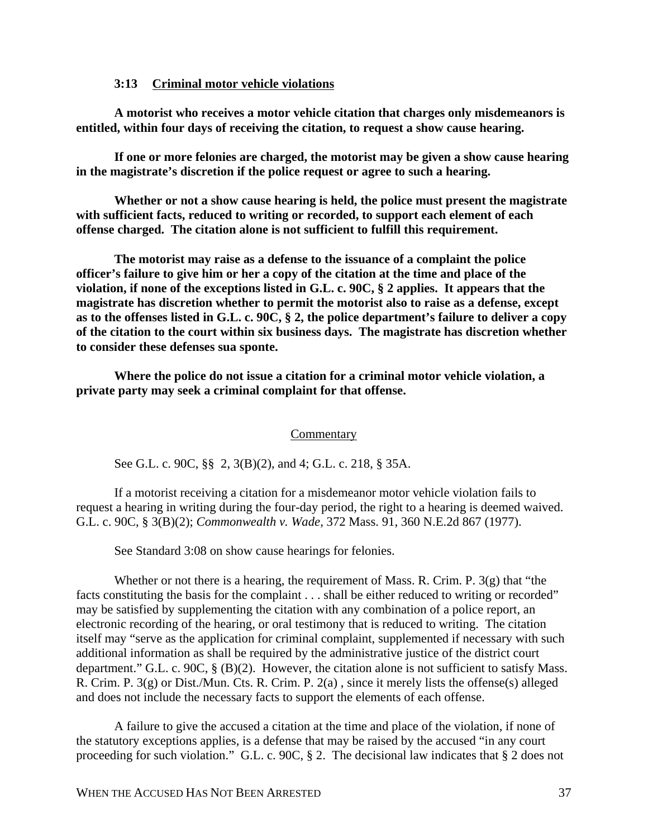## **3:13 Criminal motor vehicle violations**

**A motorist who receives a motor vehicle citation that charges only misdemeanors is entitled, within four days of receiving the citation, to request a show cause hearing.**

**If one or more felonies are charged, the motorist may be given a show cause hearing in the magistrate's discretion if the police request or agree to such a hearing.**

**Whether or not a show cause hearing is held, the police must present the magistrate with sufficient facts, reduced to writing or recorded, to support each element of each offense charged. The citation alone is not sufficient to fulfill this requirement.**

**The motorist may raise as a defense to the issuance of a complaint the police officer's failure to give him or her a copy of the citation at the time and place of the violation, if none of the exceptions listed in G.L. c. 90C, § 2 applies. It appears that the magistrate has discretion whether to permit the motorist also to raise as a defense, except as to the offenses listed in G.L. c. 90C, § 2, the police department's failure to deliver a copy of the citation to the court within six business days. The magistrate has discretion whether to consider these defenses sua sponte.**

**Where the police do not issue a citation for a criminal motor vehicle violation, a private party may seek a criminal complaint for that offense.** 

#### **Commentary**

See G.L. c. 90C, §§ 2, 3(B)(2), and 4; G.L. c. 218, § 35A.

If a motorist receiving a citation for a misdemeanor motor vehicle violation fails to request a hearing in writing during the four-day period, the right to a hearing is deemed waived. G.L. c. 90C, § 3(B)(2); *Commonwealth v. Wade*, 372 Mass. 91, 360 N.E.2d 867 (1977).

See Standard 3:08 on show cause hearings for felonies.

Whether or not there is a hearing, the requirement of Mass. R. Crim. P.  $3(g)$  that "the facts constituting the basis for the complaint . . . shall be either reduced to writing or recorded" may be satisfied by supplementing the citation with any combination of a police report, an electronic recording of the hearing, or oral testimony that is reduced to writing. The citation itself may "serve as the application for criminal complaint, supplemented if necessary with such additional information as shall be required by the administrative justice of the district court department." G.L. c. 90C, § (B)(2). However, the citation alone is not sufficient to satisfy Mass. R. Crim. P. 3(g) or Dist./Mun. Cts. R. Crim. P. 2(a) , since it merely lists the offense(s) alleged and does not include the necessary facts to support the elements of each offense.

A failure to give the accused a citation at the time and place of the violation, if none of the statutory exceptions applies, is a defense that may be raised by the accused "in any court proceeding for such violation." G.L. c. 90C, § 2. The decisional law indicates that § 2 does not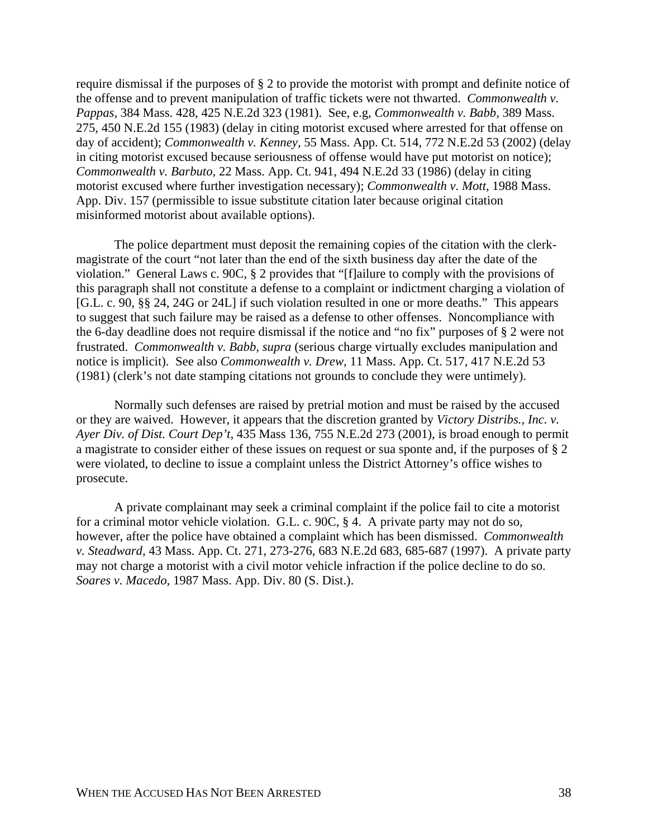require dismissal if the purposes of § 2 to provide the motorist with prompt and definite notice of the offense and to prevent manipulation of traffic tickets were not thwarted. *Commonwealth v. Pappas,* 384 Mass. 428, 425 N.E.2d 323 (1981). See, e.g, *Commonwealth v. Babb,* 389 Mass. 275, 450 N.E.2d 155 (1983) (delay in citing motorist excused where arrested for that offense on day of accident); *Commonwealth v. Kenney,* 55 Mass. App. Ct. 514, 772 N.E.2d 53 (2002) (delay in citing motorist excused because seriousness of offense would have put motorist on notice); *Commonwealth v. Barbuto,* 22 Mass. App. Ct. 941, 494 N.E.2d 33 (1986) (delay in citing motorist excused where further investigation necessary); *Commonwealth v. Mott,* 1988 Mass. App. Div. 157 (permissible to issue substitute citation later because original citation misinformed motorist about available options).

The police department must deposit the remaining copies of the citation with the clerkmagistrate of the court "not later than the end of the sixth business day after the date of the violation." General Laws c. 90C, § 2 provides that "[f]ailure to comply with the provisions of this paragraph shall not constitute a defense to a complaint or indictment charging a violation of [G.L. c. 90, §§ 24, 24G or 24L] if such violation resulted in one or more deaths." This appears to suggest that such failure may be raised as a defense to other offenses. Noncompliance with the 6-day deadline does not require dismissal if the notice and "no fix" purposes of § 2 were not frustrated. *Commonwealth v. Babb, supra* (serious charge virtually excludes manipulation and notice is implicit). See also *Commonwealth v. Drew,* 11 Mass. App. Ct. 517, 417 N.E.2d 53 (1981) (clerk's not date stamping citations not grounds to conclude they were untimely).

Normally such defenses are raised by pretrial motion and must be raised by the accused or they are waived. However, it appears that the discretion granted by *Victory Distribs., Inc. v. Ayer Div. of Dist. Court Dep't,* 435 Mass 136, 755 N.E.2d 273 (2001), is broad enough to permit a magistrate to consider either of these issues on request or sua sponte and, if the purposes of § 2 were violated, to decline to issue a complaint unless the District Attorney's office wishes to prosecute.

A private complainant may seek a criminal complaint if the police fail to cite a motorist for a criminal motor vehicle violation. G.L. c. 90C, § 4. A private party may not do so, however, after the police have obtained a complaint which has been dismissed. *Commonwealth v. Steadward,* 43 Mass. App. Ct. 271, 273-276, 683 N.E.2d 683, 685-687 (1997). A private party may not charge a motorist with a civil motor vehicle infraction if the police decline to do so. *Soares v. Macedo,* 1987 Mass. App. Div. 80 (S. Dist.).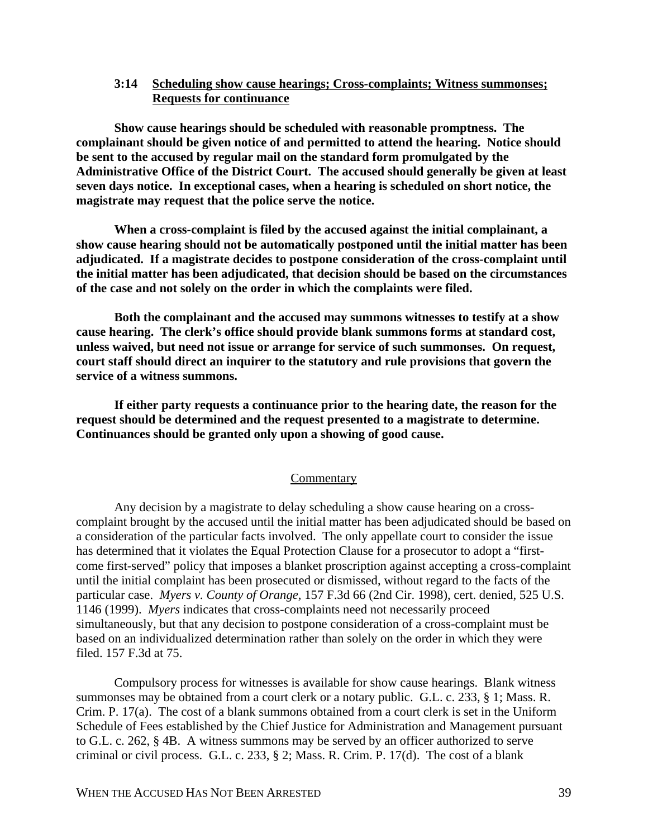## **3:14 Scheduling show cause hearings; Cross-complaints; Witness summonses; Requests for continuance**

**Show cause hearings should be scheduled with reasonable promptness. The complainant should be given notice of and permitted to attend the hearing. Notice should be sent to the accused by regular mail on the standard form promulgated by the Administrative Office of the District Court. The accused should generally be given at least seven days notice. In exceptional cases, when a hearing is scheduled on short notice, the magistrate may request that the police serve the notice.**

**When a cross-complaint is filed by the accused against the initial complainant, a show cause hearing should not be automatically postponed until the initial matter has been adjudicated. If a magistrate decides to postpone consideration of the cross-complaint until the initial matter has been adjudicated, that decision should be based on the circumstances of the case and not solely on the order in which the complaints were filed.**

**Both the complainant and the accused may summons witnesses to testify at a show cause hearing. The clerk's office should provide blank summons forms at standard cost, unless waived, but need not issue or arrange for service of such summonses. On request, court staff should direct an inquirer to the statutory and rule provisions that govern the service of a witness summons.**

**If either party requests a continuance prior to the hearing date, the reason for the request should be determined and the request presented to a magistrate to determine. Continuances should be granted only upon a showing of good cause.**

## **Commentary**

Any decision by a magistrate to delay scheduling a show cause hearing on a crosscomplaint brought by the accused until the initial matter has been adjudicated should be based on a consideration of the particular facts involved. The only appellate court to consider the issue has determined that it violates the Equal Protection Clause for a prosecutor to adopt a "firstcome first-served" policy that imposes a blanket proscription against accepting a cross-complaint until the initial complaint has been prosecuted or dismissed, without regard to the facts of the particular case. *Myers v. County of Orange,* 157 F.3d 66 (2nd Cir. 1998), cert. denied, 525 U.S. 1146 (1999). *Myers* indicates that cross-complaints need not necessarily proceed simultaneously, but that any decision to postpone consideration of a cross-complaint must be based on an individualized determination rather than solely on the order in which they were filed. 157 F.3d at 75.

Compulsory process for witnesses is available for show cause hearings. Blank witness summonses may be obtained from a court clerk or a notary public. G.L. c. 233, § 1; Mass. R. Crim. P. 17(a). The cost of a blank summons obtained from a court clerk is set in the Uniform Schedule of Fees established by the Chief Justice for Administration and Management pursuant to G.L. c. 262, § 4B. A witness summons may be served by an officer authorized to serve criminal or civil process. G.L. c. 233, § 2; Mass. R. Crim. P. 17(d). The cost of a blank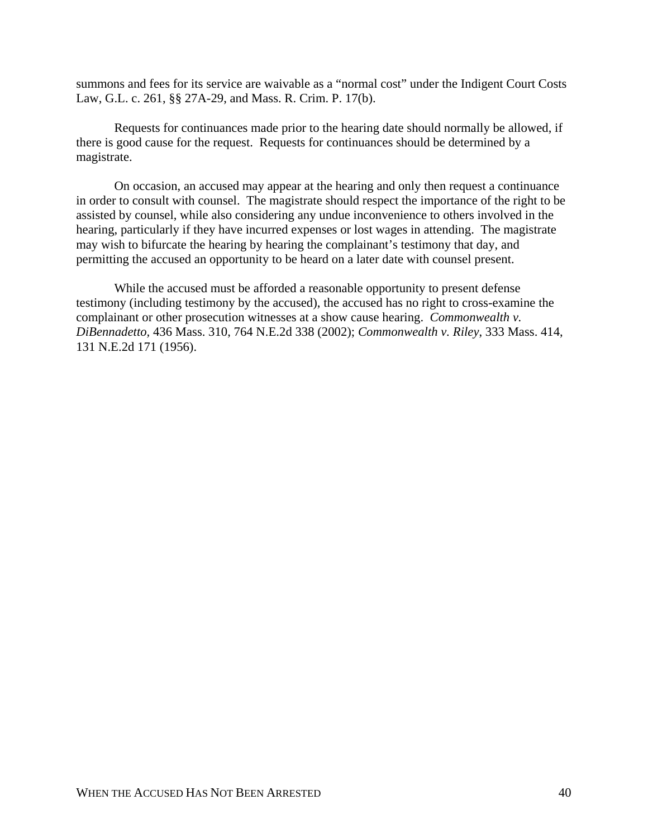summons and fees for its service are waivable as a "normal cost" under the Indigent Court Costs Law, G.L. c. 261, §§ 27A-29, and Mass. R. Crim. P. 17(b).

Requests for continuances made prior to the hearing date should normally be allowed, if there is good cause for the request. Requests for continuances should be determined by a magistrate.

On occasion, an accused may appear at the hearing and only then request a continuance in order to consult with counsel. The magistrate should respect the importance of the right to be assisted by counsel, while also considering any undue inconvenience to others involved in the hearing, particularly if they have incurred expenses or lost wages in attending. The magistrate may wish to bifurcate the hearing by hearing the complainant's testimony that day, and permitting the accused an opportunity to be heard on a later date with counsel present.

While the accused must be afforded a reasonable opportunity to present defense testimony (including testimony by the accused), the accused has no right to cross-examine the complainant or other prosecution witnesses at a show cause hearing. *Commonwealth v. DiBennadetto,* 436 Mass. 310, 764 N.E.2d 338 (2002); *Commonwealth v. Riley*, 333 Mass. 414, 131 N.E.2d 171 (1956).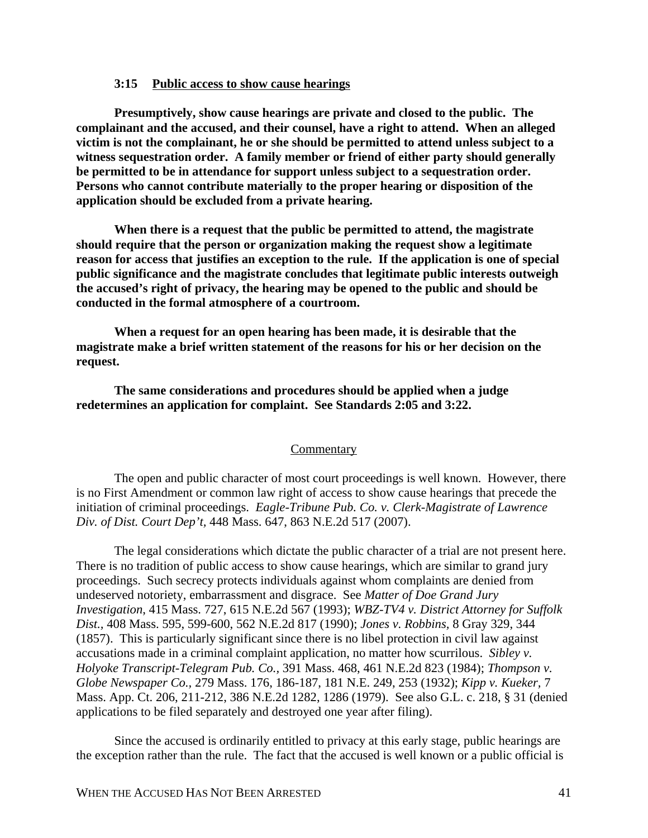## **3:15 Public access to show cause hearings**

**Presumptively, show cause hearings are private and closed to the public. The complainant and the accused, and their counsel, have a right to attend. When an alleged victim is not the complainant, he or she should be permitted to attend unless subject to a witness sequestration order. A family member or friend of either party should generally be permitted to be in attendance for support unless subject to a sequestration order. Persons who cannot contribute materially to the proper hearing or disposition of the application should be excluded from a private hearing.**

**When there is a request that the public be permitted to attend, the magistrate should require that the person or organization making the request show a legitimate reason for access that justifies an exception to the rule. If the application is one of special public significance and the magistrate concludes that legitimate public interests outweigh the accused's right of privacy, the hearing may be opened to the public and should be conducted in the formal atmosphere of a courtroom.**

**When a request for an open hearing has been made, it is desirable that the magistrate make a brief written statement of the reasons for his or her decision on the request.**

**The same considerations and procedures should be applied when a judge redetermines an application for complaint. See Standards 2:05 and 3:22.**

#### Commentary

The open and public character of most court proceedings is well known. However, there is no First Amendment or common law right of access to show cause hearings that precede the initiation of criminal proceedings. *Eagle-Tribune Pub. Co. v. Clerk-Magistrate of Lawrence Div. of Dist. Court Dep't,* 448 Mass. 647, 863 N.E.2d 517 (2007).

The legal considerations which dictate the public character of a trial are not present here. There is no tradition of public access to show cause hearings, which are similar to grand jury proceedings. Such secrecy protects individuals against whom complaints are denied from undeserved notoriety, embarrassment and disgrace. See *Matter of Doe Grand Jury Investigation*, 415 Mass. 727, 615 N.E.2d 567 (1993); *WBZ-TV4 v. District Attorney for Suffolk Dist.,* 408 Mass. 595, 599-600, 562 N.E.2d 817 (1990); *Jones v. Robbins,* 8 Gray 329, 344 (1857). This is particularly significant since there is no libel protection in civil law against accusations made in a criminal complaint application, no matter how scurrilous. *Sibley v. Holyoke Transcript-Telegram Pub. Co.,* 391 Mass. 468, 461 N.E.2d 823 (1984); *Thompson v. Globe Newspaper Co.,* 279 Mass. 176, 186-187, 181 N.E. 249, 253 (1932); *Kipp v. Kueker,* 7 Mass. App. Ct. 206, 211-212, 386 N.E.2d 1282, 1286 (1979). See also G.L. c. 218, § 31 (denied applications to be filed separately and destroyed one year after filing).

Since the accused is ordinarily entitled to privacy at this early stage, public hearings are the exception rather than the rule. The fact that the accused is well known or a public official is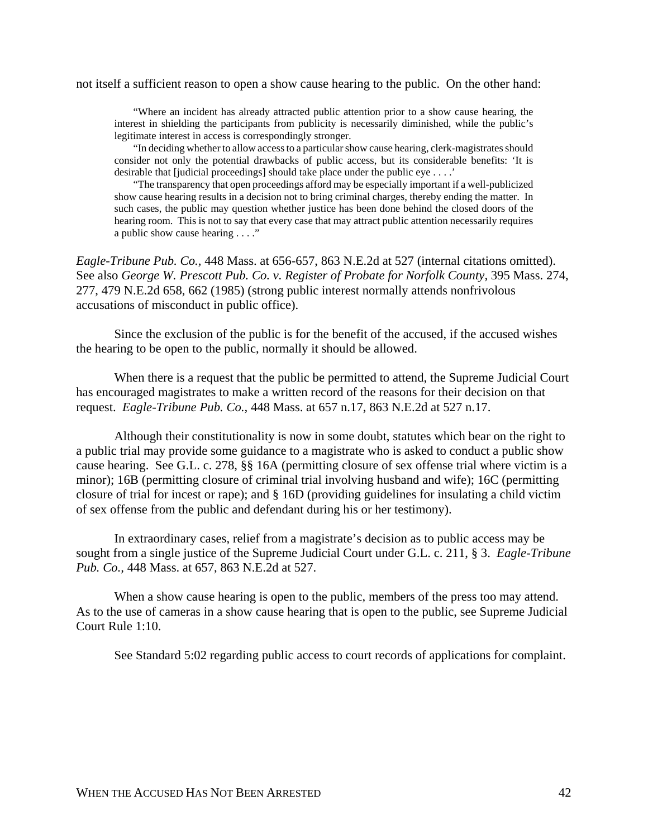not itself a sufficient reason to open a show cause hearing to the public. On the other hand:

"Where an incident has already attracted public attention prior to a show cause hearing, the interest in shielding the participants from publicity is necessarily diminished, while the public's legitimate interest in access is correspondingly stronger.

"In deciding whether to allow access to a particular show cause hearing, clerk-magistrates should consider not only the potential drawbacks of public access, but its considerable benefits: 'It is desirable that [judicial proceedings] should take place under the public eye . . . .'

"The transparency that open proceedings afford may be especially important if a well-publicized show cause hearing results in a decision not to bring criminal charges, thereby ending the matter. In such cases, the public may question whether justice has been done behind the closed doors of the hearing room. This is not to say that every case that may attract public attention necessarily requires a public show cause hearing . . . ."

*Eagle-Tribune Pub. Co.,* 448 Mass. at 656-657, 863 N.E.2d at 527 (internal citations omitted). See also *George W. Prescott Pub. Co. v. Register of Probate for Norfolk County,* 395 Mass. 274, 277, 479 N.E.2d 658, 662 (1985) (strong public interest normally attends nonfrivolous accusations of misconduct in public office).

Since the exclusion of the public is for the benefit of the accused, if the accused wishes the hearing to be open to the public, normally it should be allowed.

When there is a request that the public be permitted to attend, the Supreme Judicial Court has encouraged magistrates to make a written record of the reasons for their decision on that request. *Eagle-Tribune Pub. Co.,* 448 Mass. at 657 n.17, 863 N.E.2d at 527 n.17.

Although their constitutionality is now in some doubt, statutes which bear on the right to a public trial may provide some guidance to a magistrate who is asked to conduct a public show cause hearing. See G.L. c. 278, §§ 16A (permitting closure of sex offense trial where victim is a minor); 16B (permitting closure of criminal trial involving husband and wife); 16C (permitting closure of trial for incest or rape); and § 16D (providing guidelines for insulating a child victim of sex offense from the public and defendant during his or her testimony).

In extraordinary cases, relief from a magistrate's decision as to public access may be sought from a single justice of the Supreme Judicial Court under G.L. c. 211, § 3. *Eagle-Tribune Pub. Co.,* 448 Mass. at 657, 863 N.E.2d at 527.

When a show cause hearing is open to the public, members of the press too may attend. As to the use of cameras in a show cause hearing that is open to the public, see Supreme Judicial Court Rule 1:10.

See Standard 5:02 regarding public access to court records of applications for complaint.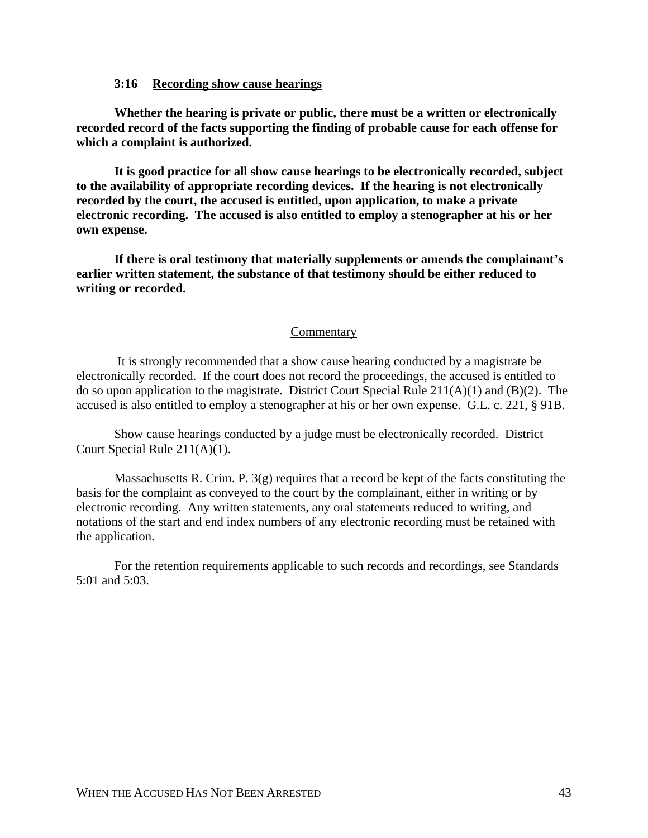## **3:16 Recording show cause hearings**

**Whether the hearing is private or public, there must be a written or electronically recorded record of the facts supporting the finding of probable cause for each offense for which a complaint is authorized.**

**It is good practice for all show cause hearings to be electronically recorded, subject to the availability of appropriate recording devices. If the hearing is not electronically recorded by the court, the accused is entitled, upon application, to make a private electronic recording. The accused is also entitled to employ a stenographer at his or her own expense.**

**If there is oral testimony that materially supplements or amends the complainant's earlier written statement, the substance of that testimony should be either reduced to writing or recorded.**

#### Commentary

 It is strongly recommended that a show cause hearing conducted by a magistrate be electronically recorded. If the court does not record the proceedings, the accused is entitled to do so upon application to the magistrate. District Court Special Rule 211(A)(1) and (B)(2). The accused is also entitled to employ a stenographer at his or her own expense. G.L. c. 221, § 91B.

Show cause hearings conducted by a judge must be electronically recorded. District Court Special Rule 211(A)(1).

Massachusetts R. Crim. P.  $3(g)$  requires that a record be kept of the facts constituting the basis for the complaint as conveyed to the court by the complainant, either in writing or by electronic recording. Any written statements, any oral statements reduced to writing, and notations of the start and end index numbers of any electronic recording must be retained with the application.

For the retention requirements applicable to such records and recordings, see Standards 5:01 and 5:03.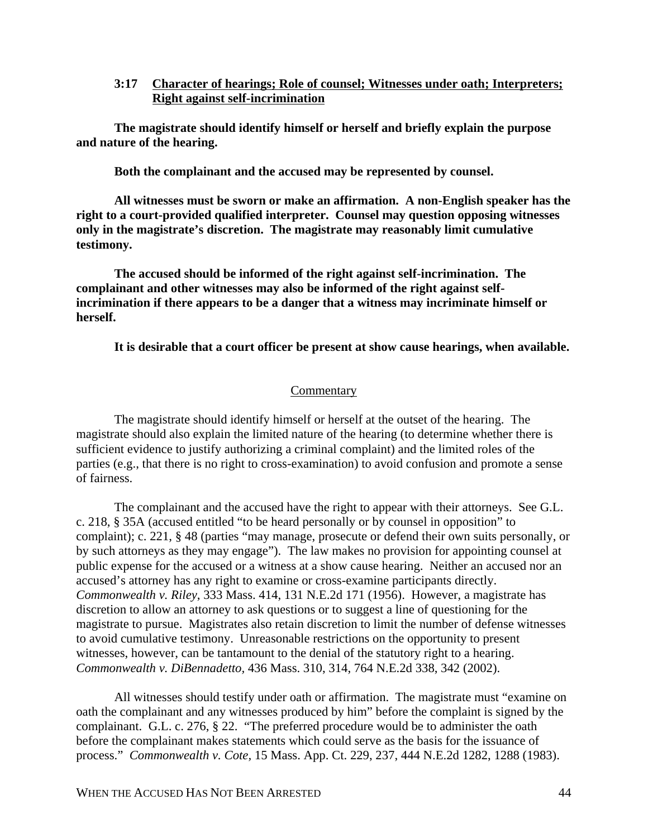**3:17 Character of hearings; Role of counsel; Witnesses under oath; Interpreters; Right against self-incrimination**

**The magistrate should identify himself or herself and briefly explain the purpose and nature of the hearing.**

**Both the complainant and the accused may be represented by counsel.**

**All witnesses must be sworn or make an affirmation. A non-English speaker has the right to a court-provided qualified interpreter. Counsel may question opposing witnesses only in the magistrate's discretion. The magistrate may reasonably limit cumulative testimony.**

**The accused should be informed of the right against self-incrimination. The complainant and other witnesses may also be informed of the right against selfincrimination if there appears to be a danger that a witness may incriminate himself or herself.**

**It is desirable that a court officer be present at show cause hearings, when available.**

#### **Commentary**

The magistrate should identify himself or herself at the outset of the hearing. The magistrate should also explain the limited nature of the hearing (to determine whether there is sufficient evidence to justify authorizing a criminal complaint) and the limited roles of the parties (e.g., that there is no right to cross-examination) to avoid confusion and promote a sense of fairness.

The complainant and the accused have the right to appear with their attorneys. See G.L. c. 218, § 35A (accused entitled "to be heard personally or by counsel in opposition" to complaint); c. 221, § 48 (parties "may manage, prosecute or defend their own suits personally, or by such attorneys as they may engage"). The law makes no provision for appointing counsel at public expense for the accused or a witness at a show cause hearing. Neither an accused nor an accused's attorney has any right to examine or cross-examine participants directly. *Commonwealth v. Riley*, 333 Mass. 414, 131 N.E.2d 171 (1956). However, a magistrate has discretion to allow an attorney to ask questions or to suggest a line of questioning for the magistrate to pursue. Magistrates also retain discretion to limit the number of defense witnesses to avoid cumulative testimony. Unreasonable restrictions on the opportunity to present witnesses, however, can be tantamount to the denial of the statutory right to a hearing. *Commonwealth v. DiBennadetto,* 436 Mass. 310, 314, 764 N.E.2d 338, 342 (2002).

All witnesses should testify under oath or affirmation. The magistrate must "examine on oath the complainant and any witnesses produced by him" before the complaint is signed by the complainant. G.L. c. 276, § 22. "The preferred procedure would be to administer the oath before the complainant makes statements which could serve as the basis for the issuance of process." *Commonwealth v. Cote,* 15 Mass. App. Ct. 229, 237, 444 N.E.2d 1282, 1288 (1983).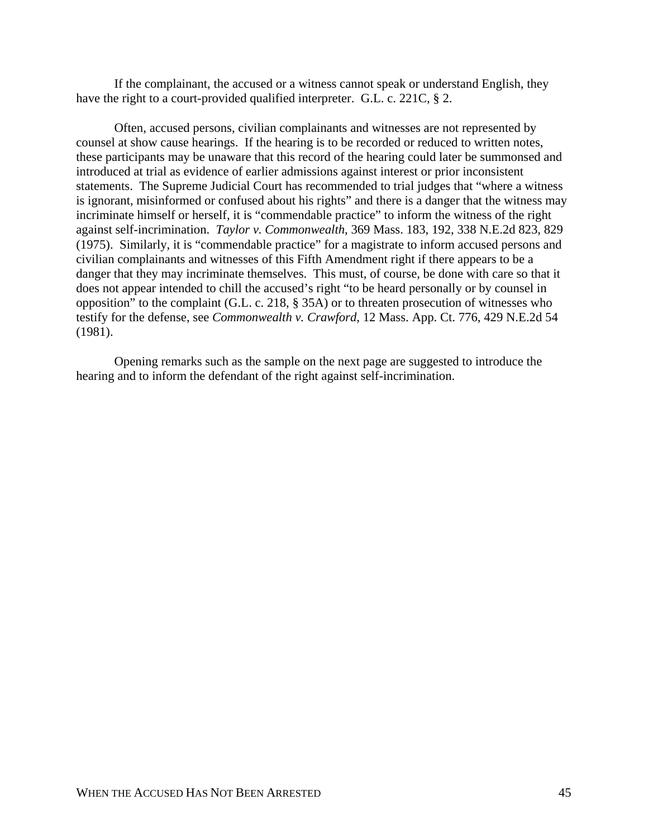If the complainant, the accused or a witness cannot speak or understand English, they have the right to a court-provided qualified interpreter. G.L. c. 221C, § 2.

Often, accused persons, civilian complainants and witnesses are not represented by counsel at show cause hearings. If the hearing is to be recorded or reduced to written notes, these participants may be unaware that this record of the hearing could later be summonsed and introduced at trial as evidence of earlier admissions against interest or prior inconsistent statements. The Supreme Judicial Court has recommended to trial judges that "where a witness is ignorant, misinformed or confused about his rights" and there is a danger that the witness may incriminate himself or herself, it is "commendable practice" to inform the witness of the right against self-incrimination. *Taylor v. Commonwealth*, 369 Mass. 183, 192, 338 N.E.2d 823, 829 (1975). Similarly, it is "commendable practice" for a magistrate to inform accused persons and civilian complainants and witnesses of this Fifth Amendment right if there appears to be a danger that they may incriminate themselves. This must, of course, be done with care so that it does not appear intended to chill the accused's right "to be heard personally or by counsel in opposition" to the complaint (G.L. c. 218, § 35A) or to threaten prosecution of witnesses who testify for the defense, see *Commonwealth v. Crawford*, 12 Mass. App. Ct. 776, 429 N.E.2d 54 (1981).

Opening remarks such as the sample on the next page are suggested to introduce the hearing and to inform the defendant of the right against self-incrimination.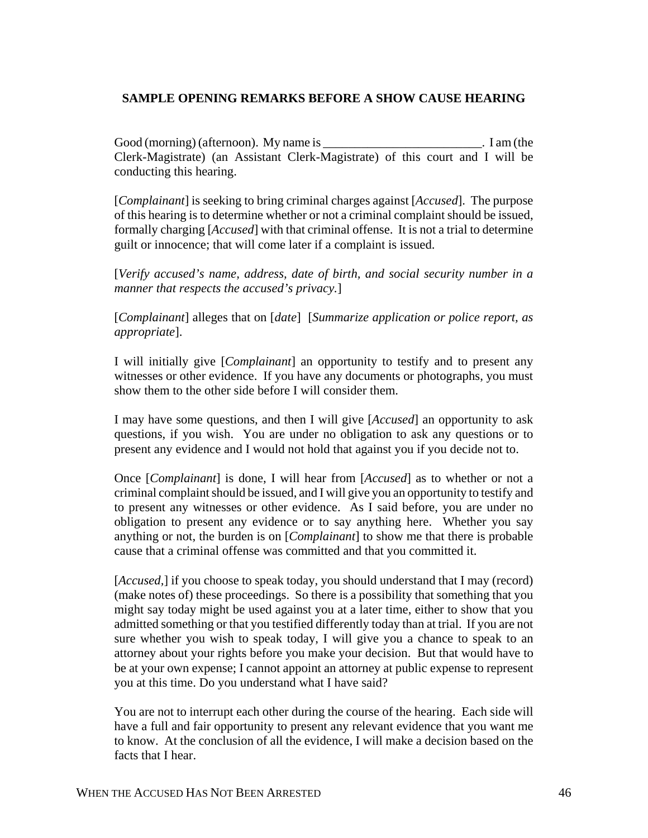# **SAMPLE OPENING REMARKS BEFORE A SHOW CAUSE HEARING**

Good (morning) (afternoon). My name is \_\_\_\_\_\_\_\_\_\_\_\_\_\_\_\_\_\_\_\_\_\_\_\_\_. I am (the Clerk-Magistrate) (an Assistant Clerk-Magistrate) of this court and I will be conducting this hearing.

[*Complainant*] is seeking to bring criminal charges against [*Accused*]. The purpose of this hearing is to determine whether or not a criminal complaint should be issued, formally charging [*Accused*] with that criminal offense. It is not a trial to determine guilt or innocence; that will come later if a complaint is issued.

[*Verify accused's name, address, date of birth, and social security number in a manner that respects the accused's privacy.*]

[*Complainant*] alleges that on [*date*] [*Summarize application or police report, as appropriate*].

I will initially give [*Complainant*] an opportunity to testify and to present any witnesses or other evidence. If you have any documents or photographs, you must show them to the other side before I will consider them.

I may have some questions, and then I will give [*Accused*] an opportunity to ask questions, if you wish. You are under no obligation to ask any questions or to present any evidence and I would not hold that against you if you decide not to.

Once [*Complainant*] is done, I will hear from [*Accused*] as to whether or not a criminal complaint should be issued, and I will give you an opportunity to testify and to present any witnesses or other evidence. As I said before, you are under no obligation to present any evidence or to say anything here. Whether you say anything or not, the burden is on [*Complainant*] to show me that there is probable cause that a criminal offense was committed and that you committed it.

[*Accused,*] if you choose to speak today, you should understand that I may (record) (make notes of) these proceedings. So there is a possibility that something that you might say today might be used against you at a later time, either to show that you admitted something or that you testified differently today than at trial. If you are not sure whether you wish to speak today, I will give you a chance to speak to an attorney about your rights before you make your decision. But that would have to be at your own expense; I cannot appoint an attorney at public expense to represent you at this time. Do you understand what I have said?

You are not to interrupt each other during the course of the hearing. Each side will have a full and fair opportunity to present any relevant evidence that you want me to know. At the conclusion of all the evidence, I will make a decision based on the facts that I hear.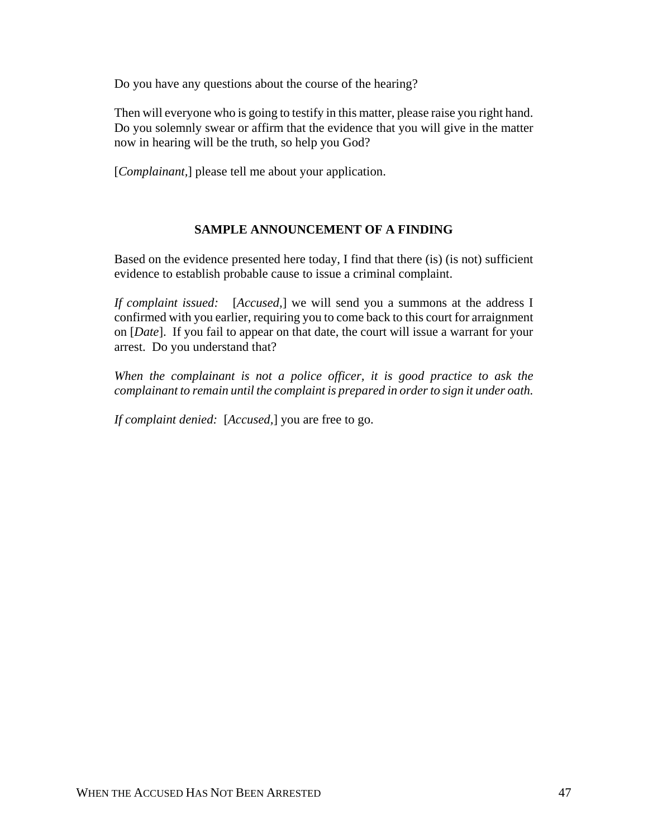Do you have any questions about the course of the hearing?

Then will everyone who is going to testify in this matter, please raise you right hand. Do you solemnly swear or affirm that the evidence that you will give in the matter now in hearing will be the truth, so help you God?

[*Complainant*,] please tell me about your application.

# **SAMPLE ANNOUNCEMENT OF A FINDING**

Based on the evidence presented here today, I find that there (is) (is not) sufficient evidence to establish probable cause to issue a criminal complaint.

*If complaint issued:* [*Accused,*] we will send you a summons at the address I confirmed with you earlier, requiring you to come back to this court for arraignment on [*Date*]. If you fail to appear on that date, the court will issue a warrant for your arrest. Do you understand that?

*When the complainant is not a police officer, it is good practice to ask the complainant to remain until the complaint is prepared in order to sign it under oath.*

*If complaint denied:* [*Accused,*] you are free to go.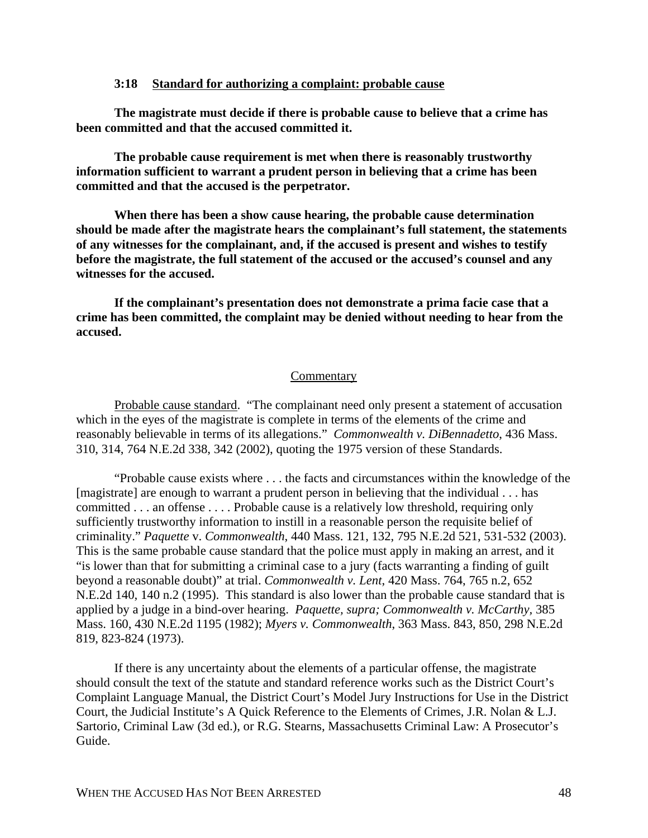## **3:18 Standard for authorizing a complaint: probable cause**

**The magistrate must decide if there is probable cause to believe that a crime has been committed and that the accused committed it.**

**The probable cause requirement is met when there is reasonably trustworthy information sufficient to warrant a prudent person in believing that a crime has been committed and that the accused is the perpetrator.** 

**When there has been a show cause hearing, the probable cause determination should be made after the magistrate hears the complainant's full statement, the statements of any witnesses for the complainant, and, if the accused is present and wishes to testify before the magistrate, the full statement of the accused or the accused's counsel and any witnesses for the accused.**

**If the complainant's presentation does not demonstrate a prima facie case that a crime has been committed, the complaint may be denied without needing to hear from the accused.**

#### **Commentary**

Probable cause standard. "The complainant need only present a statement of accusation which in the eyes of the magistrate is complete in terms of the elements of the crime and reasonably believable in terms of its allegations." *Commonwealth v. DiBennadetto*, 436 Mass. 310, 314, 764 N.E.2d 338, 342 (2002), quoting the 1975 version of these Standards.

"Probable cause exists where . . . the facts and circumstances within the knowledge of the [magistrate] are enough to warrant a prudent person in believing that the individual . . . has committed . . . an offense . . . . Probable cause is a relatively low threshold, requiring only sufficiently trustworthy information to instill in a reasonable person the requisite belief of criminality." *Paquette* v. *Commonwealth*, 440 Mass. 121, 132, 795 N.E.2d 521, 531-532 (2003). This is the same probable cause standard that the police must apply in making an arrest, and it "is lower than that for submitting a criminal case to a jury (facts warranting a finding of guilt beyond a reasonable doubt)" at trial. *Commonwealth v. Lent*, 420 Mass. 764, 765 n.2, 652 N.E.2d 140, 140 n.2 (1995). This standard is also lower than the probable cause standard that is applied by a judge in a bind-over hearing. *Paquette, supra; Commonwealth v. McCarthy,* 385 Mass. 160, 430 N.E.2d 1195 (1982); *Myers v. Commonwealth*, 363 Mass. 843, 850, 298 N.E.2d 819, 823-824 (1973).

If there is any uncertainty about the elements of a particular offense, the magistrate should consult the text of the statute and standard reference works such as the District Court's Complaint Language Manual, the District Court's Model Jury Instructions for Use in the District Court, the Judicial Institute's A Quick Reference to the Elements of Crimes, J.R. Nolan & L.J. Sartorio, Criminal Law (3d ed.), or R.G. Stearns, Massachusetts Criminal Law: A Prosecutor's Guide.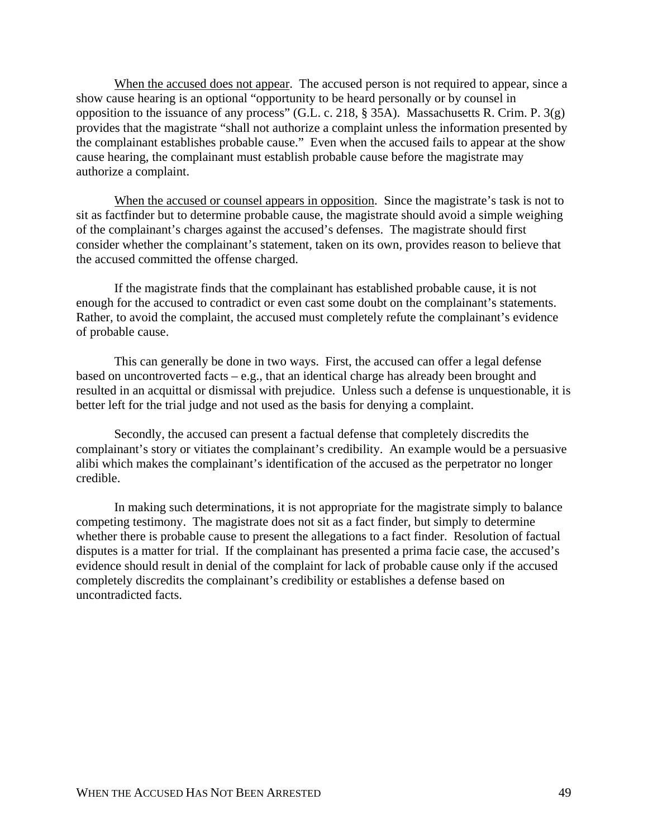When the accused does not appear. The accused person is not required to appear, since a show cause hearing is an optional "opportunity to be heard personally or by counsel in opposition to the issuance of any process" (G.L. c. 218, § 35A). Massachusetts R. Crim. P. 3(g) provides that the magistrate "shall not authorize a complaint unless the information presented by the complainant establishes probable cause." Even when the accused fails to appear at the show cause hearing, the complainant must establish probable cause before the magistrate may authorize a complaint.

When the accused or counsel appears in opposition. Since the magistrate's task is not to sit as factfinder but to determine probable cause, the magistrate should avoid a simple weighing of the complainant's charges against the accused's defenses. The magistrate should first consider whether the complainant's statement, taken on its own, provides reason to believe that the accused committed the offense charged.

If the magistrate finds that the complainant has established probable cause, it is not enough for the accused to contradict or even cast some doubt on the complainant's statements. Rather, to avoid the complaint, the accused must completely refute the complainant's evidence of probable cause.

This can generally be done in two ways. First, the accused can offer a legal defense based on uncontroverted facts – e.g., that an identical charge has already been brought and resulted in an acquittal or dismissal with prejudice. Unless such a defense is unquestionable, it is better left for the trial judge and not used as the basis for denying a complaint.

Secondly, the accused can present a factual defense that completely discredits the complainant's story or vitiates the complainant's credibility. An example would be a persuasive alibi which makes the complainant's identification of the accused as the perpetrator no longer credible.

In making such determinations, it is not appropriate for the magistrate simply to balance competing testimony. The magistrate does not sit as a fact finder, but simply to determine whether there is probable cause to present the allegations to a fact finder. Resolution of factual disputes is a matter for trial. If the complainant has presented a prima facie case, the accused's evidence should result in denial of the complaint for lack of probable cause only if the accused completely discredits the complainant's credibility or establishes a defense based on uncontradicted facts.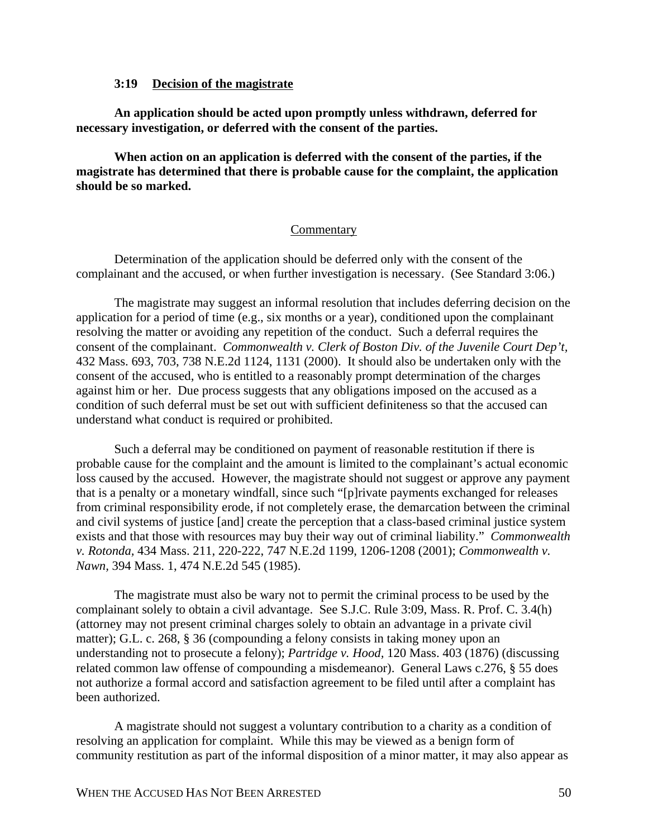## **3:19 Decision of the magistrate**

**An application should be acted upon promptly unless withdrawn, deferred for necessary investigation, or deferred with the consent of the parties.**

**When action on an application is deferred with the consent of the parties, if the magistrate has determined that there is probable cause for the complaint, the application should be so marked.**

## **Commentary**

Determination of the application should be deferred only with the consent of the complainant and the accused, or when further investigation is necessary. (See Standard 3:06.)

The magistrate may suggest an informal resolution that includes deferring decision on the application for a period of time (e.g., six months or a year), conditioned upon the complainant resolving the matter or avoiding any repetition of the conduct. Such a deferral requires the consent of the complainant. *Commonwealth v. Clerk of Boston Div. of the Juvenile Court Dep't,* 432 Mass. 693, 703, 738 N.E.2d 1124, 1131 (2000). It should also be undertaken only with the consent of the accused, who is entitled to a reasonably prompt determination of the charges against him or her. Due process suggests that any obligations imposed on the accused as a condition of such deferral must be set out with sufficient definiteness so that the accused can understand what conduct is required or prohibited.

Such a deferral may be conditioned on payment of reasonable restitution if there is probable cause for the complaint and the amount is limited to the complainant's actual economic loss caused by the accused. However, the magistrate should not suggest or approve any payment that is a penalty or a monetary windfall, since such "[p]rivate payments exchanged for releases from criminal responsibility erode, if not completely erase, the demarcation between the criminal and civil systems of justice [and] create the perception that a class-based criminal justice system exists and that those with resources may buy their way out of criminal liability." *Commonwealth v. Rotonda,* 434 Mass. 211, 220-222, 747 N.E.2d 1199, 1206-1208 (2001); *Commonwealth v. Nawn,* 394 Mass. 1, 474 N.E.2d 545 (1985).

The magistrate must also be wary not to permit the criminal process to be used by the complainant solely to obtain a civil advantage. See S.J.C. Rule 3:09, Mass. R. Prof. C. 3.4(h) (attorney may not present criminal charges solely to obtain an advantage in a private civil matter); G.L. c. 268, § 36 (compounding a felony consists in taking money upon an understanding not to prosecute a felony); *Partridge v. Hood,* 120 Mass. 403 (1876) (discussing related common law offense of compounding a misdemeanor). General Laws c.276, § 55 does not authorize a formal accord and satisfaction agreement to be filed until after a complaint has been authorized.

A magistrate should not suggest a voluntary contribution to a charity as a condition of resolving an application for complaint. While this may be viewed as a benign form of community restitution as part of the informal disposition of a minor matter, it may also appear as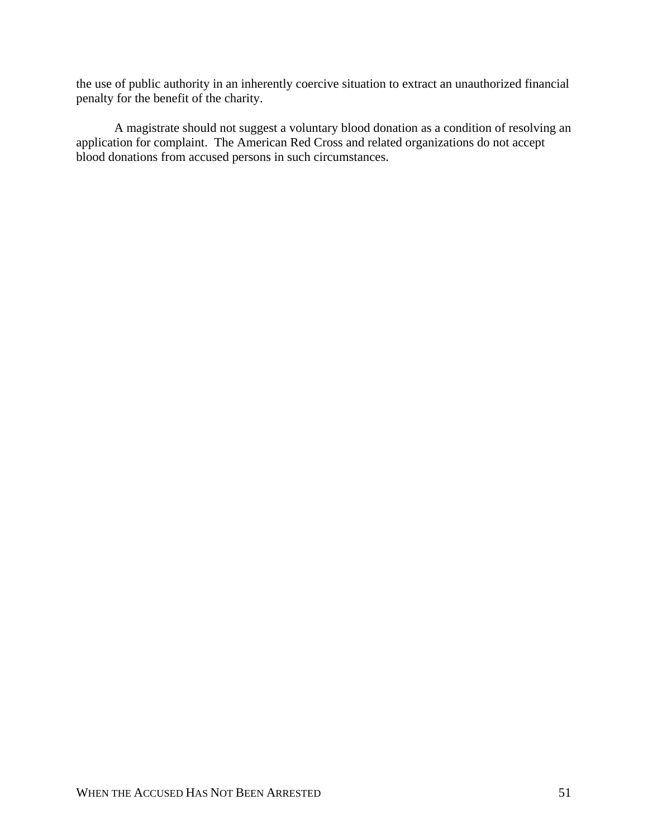the use of public authority in an inherently coercive situation to extract an unauthorized financial penalty for the benefit of the charity.

A magistrate should not suggest a voluntary blood donation as a condition of resolving an application for complaint. The American Red Cross and related organizations do not accept blood donations from accused persons in such circumstances.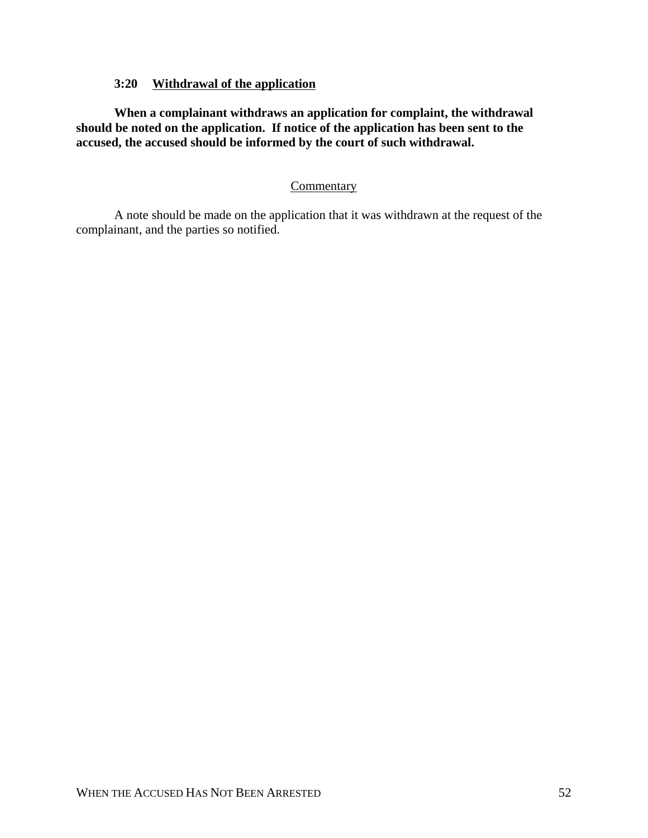# **3:20 Withdrawal of the application**

**When a complainant withdraws an application for complaint, the withdrawal should be noted on the application. If notice of the application has been sent to the accused, the accused should be informed by the court of such withdrawal.**

# **Commentary**

A note should be made on the application that it was withdrawn at the request of the complainant, and the parties so notified.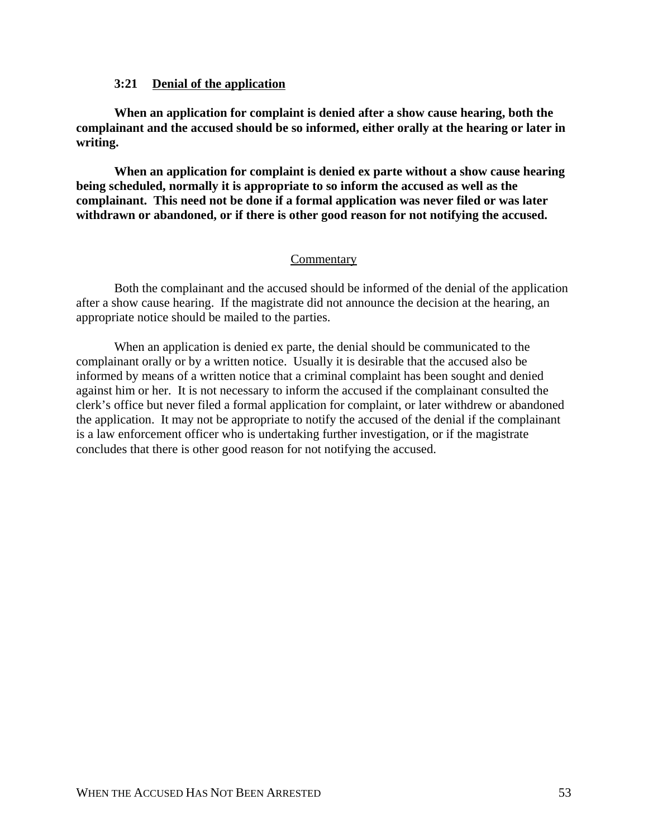## **3:21 Denial of the application**

**When an application for complaint is denied after a show cause hearing, both the complainant and the accused should be so informed, either orally at the hearing or later in writing.**

**When an application for complaint is denied ex parte without a show cause hearing being scheduled, normally it is appropriate to so inform the accused as well as the complainant. This need not be done if a formal application was never filed or was later withdrawn or abandoned, or if there is other good reason for not notifying the accused.**

## **Commentary**

Both the complainant and the accused should be informed of the denial of the application after a show cause hearing. If the magistrate did not announce the decision at the hearing, an appropriate notice should be mailed to the parties.

When an application is denied ex parte, the denial should be communicated to the complainant orally or by a written notice. Usually it is desirable that the accused also be informed by means of a written notice that a criminal complaint has been sought and denied against him or her. It is not necessary to inform the accused if the complainant consulted the clerk's office but never filed a formal application for complaint, or later withdrew or abandoned the application. It may not be appropriate to notify the accused of the denial if the complainant is a law enforcement officer who is undertaking further investigation, or if the magistrate concludes that there is other good reason for not notifying the accused.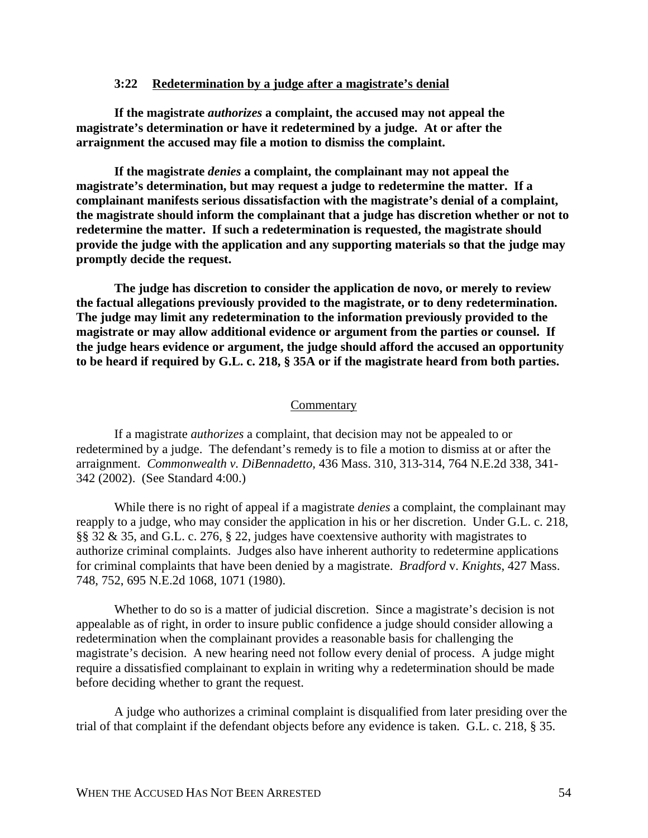### **3:22 Redetermination by a judge after a magistrate's denial**

**If the magistrate** *authorizes* **a complaint, the accused may not appeal the magistrate's determination or have it redetermined by a judge. At or after the arraignment the accused may file a motion to dismiss the complaint.**

**If the magistrate** *denies* **a complaint, the complainant may not appeal the magistrate's determination, but may request a judge to redetermine the matter. If a complainant manifests serious dissatisfaction with the magistrate's denial of a complaint, the magistrate should inform the complainant that a judge has discretion whether or not to redetermine the matter. If such a redetermination is requested, the magistrate should provide the judge with the application and any supporting materials so that the judge may promptly decide the request.**

**The judge has discretion to consider the application de novo, or merely to review the factual allegations previously provided to the magistrate, or to deny redetermination. The judge may limit any redetermination to the information previously provided to the magistrate or may allow additional evidence or argument from the parties or counsel. If the judge hears evidence or argument, the judge should afford the accused an opportunity to be heard if required by G.L. c. 218, § 35A or if the magistrate heard from both parties.**

#### **Commentary**

If a magistrate *authorizes* a complaint, that decision may not be appealed to or redetermined by a judge. The defendant's remedy is to file a motion to dismiss at or after the arraignment. *Commonwealth v. DiBennadetto,* 436 Mass. 310, 313-314, 764 N.E.2d 338, 341- 342 (2002). (See Standard 4:00.)

While there is no right of appeal if a magistrate *denies* a complaint, the complainant may reapply to a judge, who may consider the application in his or her discretion. Under G.L. c. 218, §§ 32 & 35, and G.L. c. 276, § 22, judges have coextensive authority with magistrates to authorize criminal complaints. Judges also have inherent authority to redetermine applications for criminal complaints that have been denied by a magistrate. *Bradford* v. *Knights*, 427 Mass. 748, 752, 695 N.E.2d 1068, 1071 (1980).

Whether to do so is a matter of judicial discretion. Since a magistrate's decision is not appealable as of right, in order to insure public confidence a judge should consider allowing a redetermination when the complainant provides a reasonable basis for challenging the magistrate's decision. A new hearing need not follow every denial of process. A judge might require a dissatisfied complainant to explain in writing why a redetermination should be made before deciding whether to grant the request.

A judge who authorizes a criminal complaint is disqualified from later presiding over the trial of that complaint if the defendant objects before any evidence is taken. G.L. c. 218, § 35.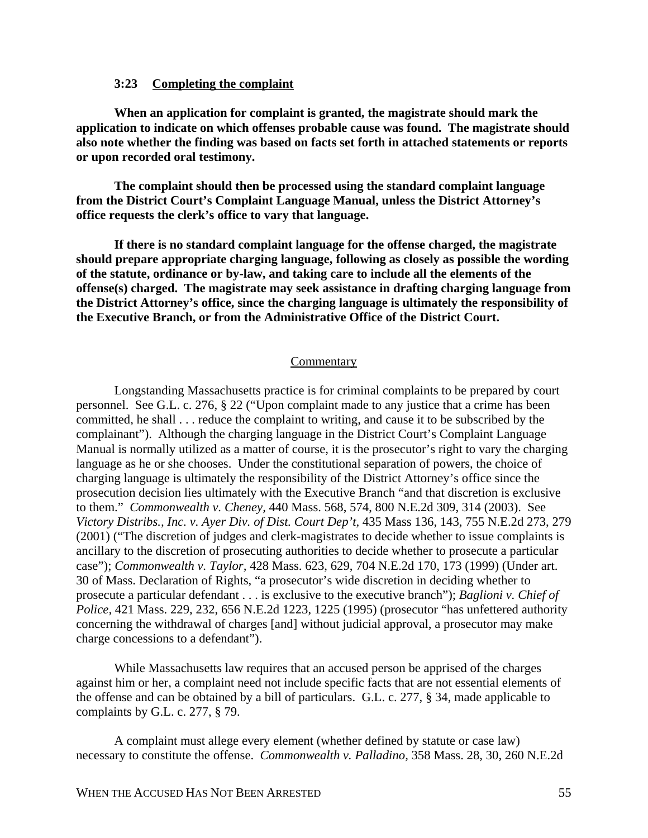## **3:23 Completing the complaint**

**When an application for complaint is granted, the magistrate should mark the application to indicate on which offenses probable cause was found. The magistrate should also note whether the finding was based on facts set forth in attached statements or reports or upon recorded oral testimony.**

**The complaint should then be processed using the standard complaint language from the District Court's Complaint Language Manual, unless the District Attorney's office requests the clerk's office to vary that language.** 

**If there is no standard complaint language for the offense charged, the magistrate should prepare appropriate charging language, following as closely as possible the wording of the statute, ordinance or by-law, and taking care to include all the elements of the offense(s) charged. The magistrate may seek assistance in drafting charging language from the District Attorney's office, since the charging language is ultimately the responsibility of the Executive Branch, or from the Administrative Office of the District Court.**

#### Commentary

Longstanding Massachusetts practice is for criminal complaints to be prepared by court personnel. See G.L. c. 276, § 22 ("Upon complaint made to any justice that a crime has been committed, he shall . . . reduce the complaint to writing, and cause it to be subscribed by the complainant"). Although the charging language in the District Court's Complaint Language Manual is normally utilized as a matter of course, it is the prosecutor's right to vary the charging language as he or she chooses. Under the constitutional separation of powers, the choice of charging language is ultimately the responsibility of the District Attorney's office since the prosecution decision lies ultimately with the Executive Branch "and that discretion is exclusive to them." *Commonwealth v. Cheney,* 440 Mass. 568, 574, 800 N.E.2d 309, 314 (2003). See *Victory Distribs., Inc. v. Ayer Div. of Dist. Court Dep't,* 435 Mass 136, 143, 755 N.E.2d 273, 279 (2001) ("The discretion of judges and clerk-magistrates to decide whether to issue complaints is ancillary to the discretion of prosecuting authorities to decide whether to prosecute a particular case"); *Commonwealth v. Taylor,* 428 Mass. 623, 629, 704 N.E.2d 170, 173 (1999) (Under art. 30 of Mass. Declaration of Rights, "a prosecutor's wide discretion in deciding whether to prosecute a particular defendant . . . is exclusive to the executive branch"); *Baglioni v. Chief of Police,* 421 Mass. 229, 232, 656 N.E.2d 1223, 1225 (1995) (prosecutor "has unfettered authority concerning the withdrawal of charges [and] without judicial approval, a prosecutor may make charge concessions to a defendant").

While Massachusetts law requires that an accused person be apprised of the charges against him or her, a complaint need not include specific facts that are not essential elements of the offense and can be obtained by a bill of particulars. G.L. c. 277, § 34, made applicable to complaints by G.L. c. 277, § 79.

A complaint must allege every element (whether defined by statute or case law) necessary to constitute the offense. *Commonwealth v. Palladino,* 358 Mass. 28, 30, 260 N.E.2d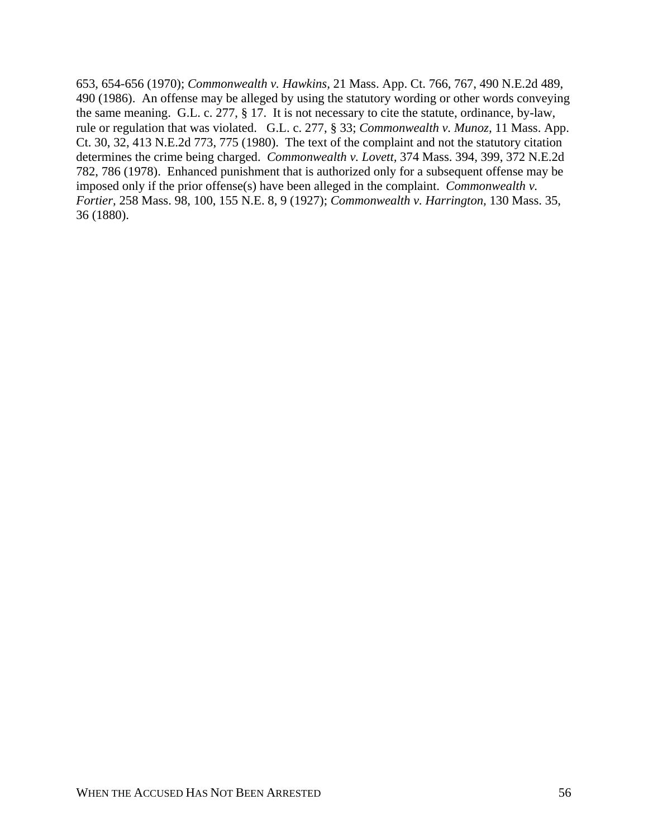653, 654-656 (1970); *Commonwealth v. Hawkins,* 21 Mass. App. Ct. 766, 767, 490 N.E.2d 489, 490 (1986). An offense may be alleged by using the statutory wording or other words conveying the same meaning. G.L. c. 277, § 17. It is not necessary to cite the statute, ordinance, by-law, rule or regulation that was violated. G.L. c. 277, § 33; *Commonwealth v. Munoz,* 11 Mass. App. Ct. 30, 32, 413 N.E.2d 773, 775 (1980). The text of the complaint and not the statutory citation determines the crime being charged. *Commonwealth v. Lovett,* 374 Mass. 394, 399, 372 N.E.2d 782, 786 (1978). Enhanced punishment that is authorized only for a subsequent offense may be imposed only if the prior offense(s) have been alleged in the complaint. *Commonwealth v. Fortier,* 258 Mass. 98, 100, 155 N.E. 8, 9 (1927); *Commonwealth v. Harrington,* 130 Mass. 35, 36 (1880).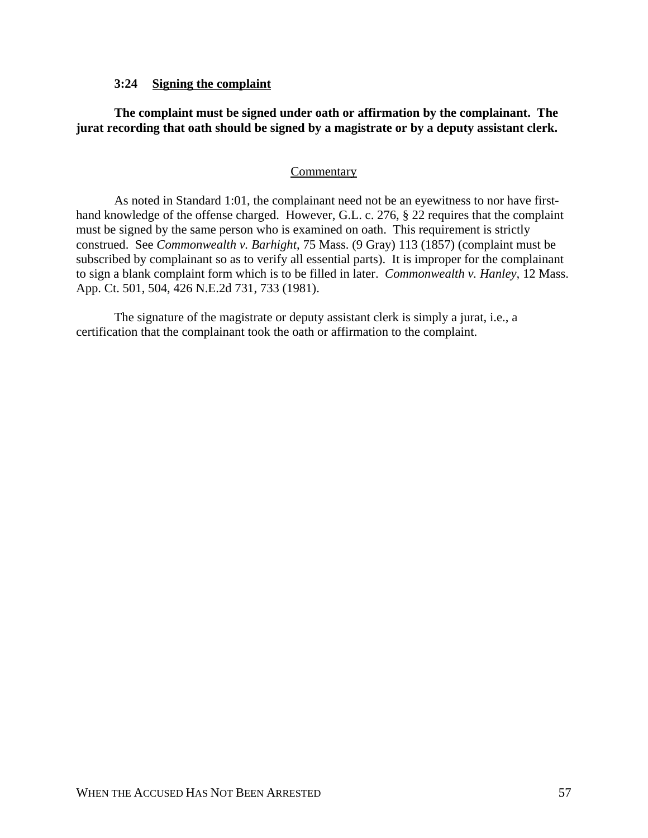## **3:24 Signing the complaint**

# **The complaint must be signed under oath or affirmation by the complainant. The jurat recording that oath should be signed by a magistrate or by a deputy assistant clerk.**

## Commentary

As noted in Standard 1:01, the complainant need not be an eyewitness to nor have firsthand knowledge of the offense charged. However, G.L. c. 276, § 22 requires that the complaint must be signed by the same person who is examined on oath. This requirement is strictly construed. See *Commonwealth v. Barhight*, 75 Mass. (9 Gray) 113 (1857) (complaint must be subscribed by complainant so as to verify all essential parts). It is improper for the complainant to sign a blank complaint form which is to be filled in later. *Commonwealth v. Hanley,* 12 Mass. App. Ct. 501, 504, 426 N.E.2d 731, 733 (1981).

The signature of the magistrate or deputy assistant clerk is simply a jurat, i.e., a certification that the complainant took the oath or affirmation to the complaint.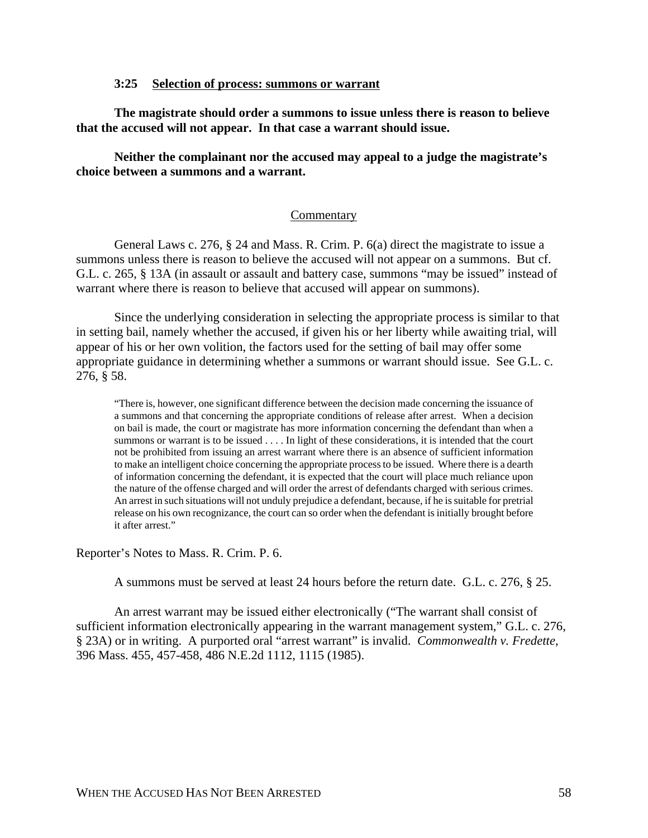### **3:25 Selection of process: summons or warrant**

**The magistrate should order a summons to issue unless there is reason to believe that the accused will not appear. In that case a warrant should issue.**

**Neither the complainant nor the accused may appeal to a judge the magistrate's choice between a summons and a warrant.**

## Commentary

General Laws c. 276, § 24 and Mass. R. Crim. P. 6(a) direct the magistrate to issue a summons unless there is reason to believe the accused will not appear on a summons. But cf. G.L. c. 265, § 13A (in assault or assault and battery case, summons "may be issued" instead of warrant where there is reason to believe that accused will appear on summons).

Since the underlying consideration in selecting the appropriate process is similar to that in setting bail, namely whether the accused, if given his or her liberty while awaiting trial, will appear of his or her own volition, the factors used for the setting of bail may offer some appropriate guidance in determining whether a summons or warrant should issue. See G.L. c. 276, § 58.

"There is, however, one significant difference between the decision made concerning the issuance of a summons and that concerning the appropriate conditions of release after arrest. When a decision on bail is made, the court or magistrate has more information concerning the defendant than when a summons or warrant is to be issued . . . . In light of these considerations, it is intended that the court not be prohibited from issuing an arrest warrant where there is an absence of sufficient information to make an intelligent choice concerning the appropriate process to be issued. Where there is a dearth of information concerning the defendant, it is expected that the court will place much reliance upon the nature of the offense charged and will order the arrest of defendants charged with serious crimes. An arrest in such situations will not unduly prejudice a defendant, because, if he is suitable for pretrial release on his own recognizance, the court can so order when the defendant is initially brought before it after arrest."

Reporter's Notes to Mass. R. Crim. P. 6.

A summons must be served at least 24 hours before the return date. G.L. c. 276, § 25.

An arrest warrant may be issued either electronically ("The warrant shall consist of sufficient information electronically appearing in the warrant management system," G.L. c. 276, § 23A) or in writing. A purported oral "arrest warrant" is invalid. *Commonwealth v. Fredette,* 396 Mass. 455, 457-458, 486 N.E.2d 1112, 1115 (1985).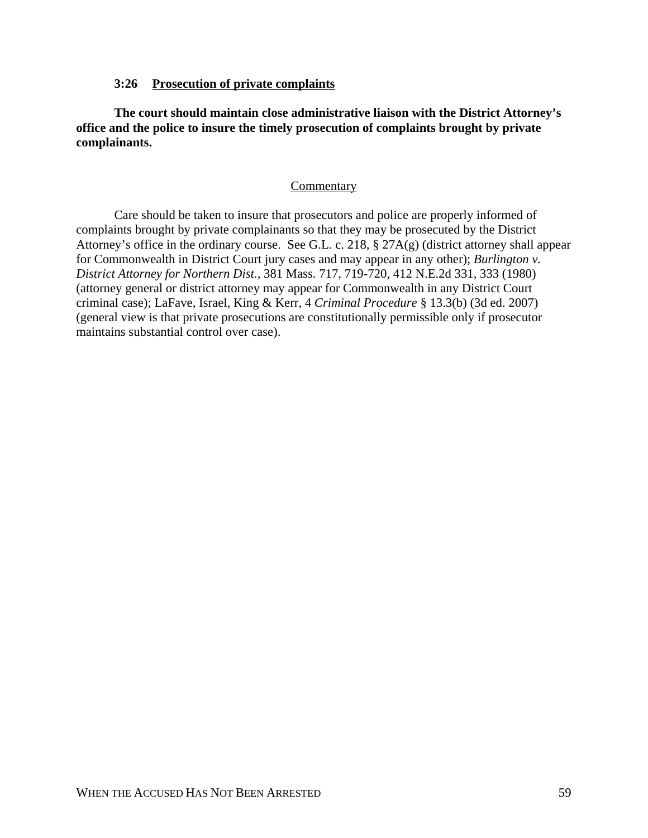## **3:26 Prosecution of private complaints**

**The court should maintain close administrative liaison with the District Attorney's office and the police to insure the timely prosecution of complaints brought by private complainants.**

## **Commentary**

Care should be taken to insure that prosecutors and police are properly informed of complaints brought by private complainants so that they may be prosecuted by the District Attorney's office in the ordinary course. See G.L. c. 218, § 27A(g) (district attorney shall appear for Commonwealth in District Court jury cases and may appear in any other); *Burlington v. District Attorney for Northern Dist.,* 381 Mass. 717, 719-720, 412 N.E.2d 331, 333 (1980) (attorney general or district attorney may appear for Commonwealth in any District Court criminal case); LaFave, Israel, King & Kerr, 4 *Criminal Procedure* § 13.3(b) (3d ed. 2007) (general view is that private prosecutions are constitutionally permissible only if prosecutor maintains substantial control over case).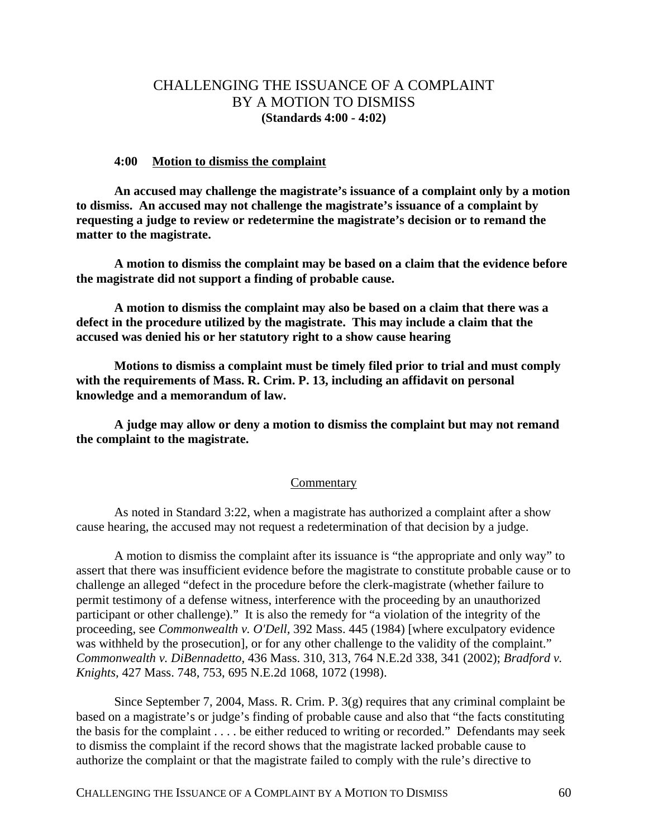# CHALLENGING THE ISSUANCE OF A COMPLAINT BY A MOTION TO DISMISS **(Standards 4:00 - 4:02)**

#### **4:00 Motion to dismiss the complaint**

**An accused may challenge the magistrate's issuance of a complaint only by a motion to dismiss. An accused may not challenge the magistrate's issuance of a complaint by requesting a judge to review or redetermine the magistrate's decision or to remand the matter to the magistrate.**

**A motion to dismiss the complaint may be based on a claim that the evidence before the magistrate did not support a finding of probable cause.**

**A motion to dismiss the complaint may also be based on a claim that there was a defect in the procedure utilized by the magistrate. This may include a claim that the accused was denied his or her statutory right to a show cause hearing**

**Motions to dismiss a complaint must be timely filed prior to trial and must comply with the requirements of Mass. R. Crim. P. 13, including an affidavit on personal knowledge and a memorandum of law.**

**A judge may allow or deny a motion to dismiss the complaint but may not remand the complaint to the magistrate.**

#### **Commentary**

As noted in Standard 3:22, when a magistrate has authorized a complaint after a show cause hearing, the accused may not request a redetermination of that decision by a judge.

A motion to dismiss the complaint after its issuance is "the appropriate and only way" to assert that there was insufficient evidence before the magistrate to constitute probable cause or to challenge an alleged "defect in the procedure before the clerk-magistrate (whether failure to permit testimony of a defense witness, interference with the proceeding by an unauthorized participant or other challenge)." It is also the remedy for "a violation of the integrity of the proceeding, see *Commonwealth v. O'Dell,* 392 Mass. 445 (1984) [where exculpatory evidence was withheld by the prosecution], or for any other challenge to the validity of the complaint." *Commonwealth v. DiBennadetto*, 436 Mass. 310, 313, 764 N.E.2d 338, 341 (2002); *Bradford v. Knights,* 427 Mass. 748, 753, 695 N.E.2d 1068, 1072 (1998).

Since September 7, 2004, Mass. R. Crim. P. 3(g) requires that any criminal complaint be based on a magistrate's or judge's finding of probable cause and also that "the facts constituting the basis for the complaint . . . . be either reduced to writing or recorded." Defendants may seek to dismiss the complaint if the record shows that the magistrate lacked probable cause to authorize the complaint or that the magistrate failed to comply with the rule's directive to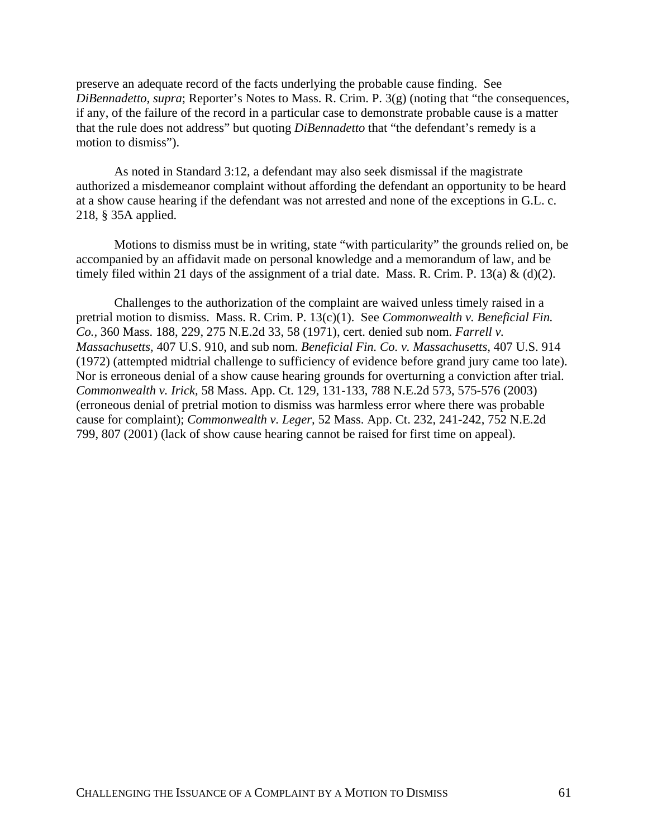preserve an adequate record of the facts underlying the probable cause finding. See *DiBennadetto, supra*; Reporter's Notes to Mass. R. Crim. P. 3(g) (noting that "the consequences, if any, of the failure of the record in a particular case to demonstrate probable cause is a matter that the rule does not address" but quoting *DiBennadetto* that "the defendant's remedy is a motion to dismiss").

As noted in Standard 3:12, a defendant may also seek dismissal if the magistrate authorized a misdemeanor complaint without affording the defendant an opportunity to be heard at a show cause hearing if the defendant was not arrested and none of the exceptions in G.L. c. 218, § 35A applied.

Motions to dismiss must be in writing, state "with particularity" the grounds relied on, be accompanied by an affidavit made on personal knowledge and a memorandum of law, and be timely filed within 21 days of the assignment of a trial date. Mass. R. Crim. P. 13(a) & (d)(2).

Challenges to the authorization of the complaint are waived unless timely raised in a pretrial motion to dismiss. Mass. R. Crim. P. 13(c)(1). See *Commonwealth v. Beneficial Fin. Co.,* 360 Mass. 188, 229, 275 N.E.2d 33, 58 (1971), cert. denied sub nom. *Farrell v. Massachusetts,* 407 U.S. 910, and sub nom. *Beneficial Fin. Co. v. Massachusetts,* 407 U.S. 914 (1972) (attempted midtrial challenge to sufficiency of evidence before grand jury came too late). Nor is erroneous denial of a show cause hearing grounds for overturning a conviction after trial. *Commonwealth v. Irick,* 58 Mass. App. Ct. 129, 131-133, 788 N.E.2d 573, 575-576 (2003) (erroneous denial of pretrial motion to dismiss was harmless error where there was probable cause for complaint); *Commonwealth v. Leger,* 52 Mass. App. Ct. 232, 241-242, 752 N.E.2d 799, 807 (2001) (lack of show cause hearing cannot be raised for first time on appeal).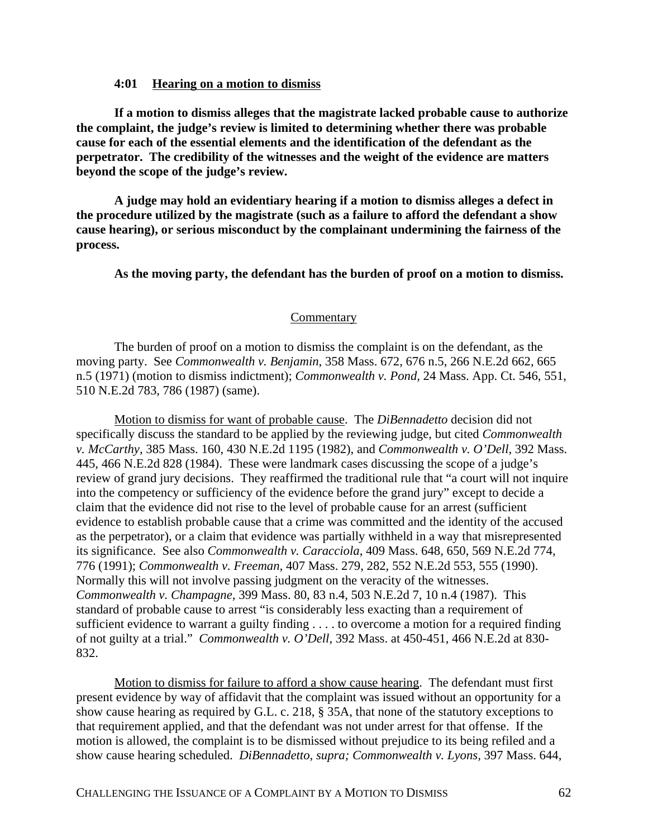### **4:01 Hearing on a motion to dismiss**

**If a motion to dismiss alleges that the magistrate lacked probable cause to authorize the complaint, the judge's review is limited to determining whether there was probable cause for each of the essential elements and the identification of the defendant as the perpetrator. The credibility of the witnesses and the weight of the evidence are matters beyond the scope of the judge's review.**

**A judge may hold an evidentiary hearing if a motion to dismiss alleges a defect in the procedure utilized by the magistrate (such as a failure to afford the defendant a show cause hearing), or serious misconduct by the complainant undermining the fairness of the process.**

**As the moving party, the defendant has the burden of proof on a motion to dismiss.**

#### **Commentary**

The burden of proof on a motion to dismiss the complaint is on the defendant, as the moving party. See *Commonwealth v. Benjamin*, 358 Mass. 672, 676 n.5, 266 N.E.2d 662, 665 n.5 (1971) (motion to dismiss indictment); *Commonwealth v. Pond,* 24 Mass. App. Ct. 546, 551, 510 N.E.2d 783, 786 (1987) (same).

Motion to dismiss for want of probable cause. The *DiBennadetto* decision did not specifically discuss the standard to be applied by the reviewing judge, but cited *Commonwealth v. McCarthy*, 385 Mass. 160, 430 N.E.2d 1195 (1982), and *Commonwealth v. O'Dell,* 392 Mass. 445, 466 N.E.2d 828 (1984). These were landmark cases discussing the scope of a judge's review of grand jury decisions. They reaffirmed the traditional rule that "a court will not inquire into the competency or sufficiency of the evidence before the grand jury" except to decide a claim that the evidence did not rise to the level of probable cause for an arrest (sufficient evidence to establish probable cause that a crime was committed and the identity of the accused as the perpetrator), or a claim that evidence was partially withheld in a way that misrepresented its significance. See also *Commonwealth v. Caracciola*, 409 Mass. 648, 650, 569 N.E.2d 774, 776 (1991); *Commonwealth v. Freeman,* 407 Mass. 279, 282, 552 N.E.2d 553, 555 (1990). Normally this will not involve passing judgment on the veracity of the witnesses. *Commonwealth v. Champagne,* 399 Mass. 80, 83 n.4, 503 N.E.2d 7, 10 n.4 (1987). This standard of probable cause to arrest "is considerably less exacting than a requirement of sufficient evidence to warrant a guilty finding . . . . to overcome a motion for a required finding of not guilty at a trial." *Commonwealth v. O'Dell,* 392 Mass. at 450-451, 466 N.E.2d at 830- 832.

Motion to dismiss for failure to afford a show cause hearing. The defendant must first present evidence by way of affidavit that the complaint was issued without an opportunity for a show cause hearing as required by G.L. c. 218, § 35A, that none of the statutory exceptions to that requirement applied, and that the defendant was not under arrest for that offense. If the motion is allowed, the complaint is to be dismissed without prejudice to its being refiled and a show cause hearing scheduled. *DiBennadetto, supra; Commonwealth v. Lyons,* 397 Mass. 644,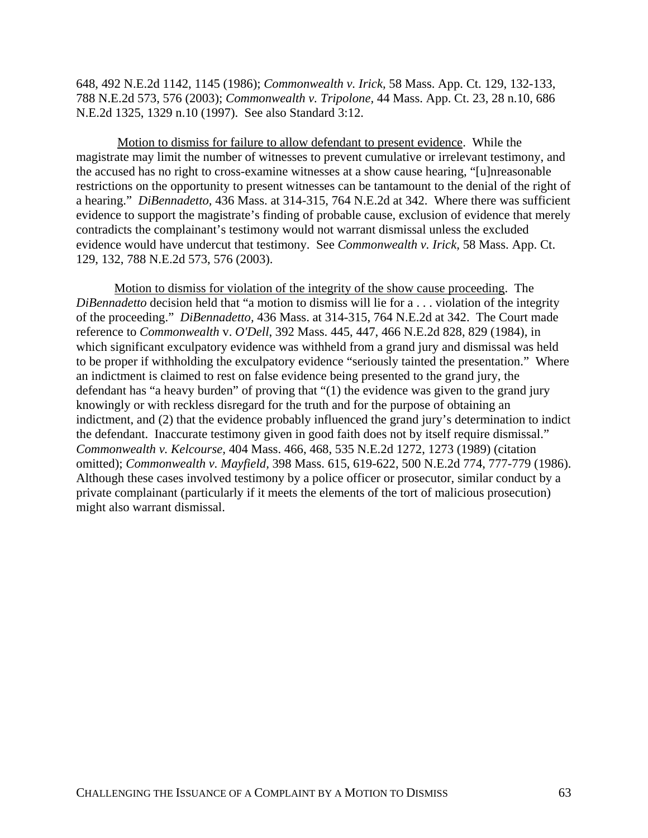648, 492 N.E.2d 1142, 1145 (1986); *Commonwealth v. Irick,* 58 Mass. App. Ct. 129, 132-133, 788 N.E.2d 573, 576 (2003); *Commonwealth v. Tripolone,* 44 Mass. App. Ct. 23, 28 n.10, 686 N.E.2d 1325, 1329 n.10 (1997). See also Standard 3:12.

 Motion to dismiss for failure to allow defendant to present evidence. While the magistrate may limit the number of witnesses to prevent cumulative or irrelevant testimony, and the accused has no right to cross-examine witnesses at a show cause hearing, "[u]nreasonable restrictions on the opportunity to present witnesses can be tantamount to the denial of the right of a hearing." *DiBennadetto,* 436 Mass. at 314-315, 764 N.E.2d at 342. Where there was sufficient evidence to support the magistrate's finding of probable cause, exclusion of evidence that merely contradicts the complainant's testimony would not warrant dismissal unless the excluded evidence would have undercut that testimony. See *Commonwealth v. Irick,* 58 Mass. App. Ct. 129, 132, 788 N.E.2d 573, 576 (2003).

Motion to dismiss for violation of the integrity of the show cause proceeding. The *DiBennadetto* decision held that "a motion to dismiss will lie for a . . . violation of the integrity of the proceeding." *DiBennadetto,* 436 Mass. at 314-315, 764 N.E.2d at 342. The Court made reference to *Commonwealth* v. *O'Dell*, 392 Mass. 445, 447, 466 N.E.2d 828, 829 (1984), in which significant exculpatory evidence was withheld from a grand jury and dismissal was held to be proper if withholding the exculpatory evidence "seriously tainted the presentation." Where an indictment is claimed to rest on false evidence being presented to the grand jury, the defendant has "a heavy burden" of proving that "(1) the evidence was given to the grand jury knowingly or with reckless disregard for the truth and for the purpose of obtaining an indictment, and (2) that the evidence probably influenced the grand jury's determination to indict the defendant. Inaccurate testimony given in good faith does not by itself require dismissal." *Commonwealth v. Kelcourse,* 404 Mass. 466, 468, 535 N.E.2d 1272, 1273 (1989) (citation omitted); *Commonwealth v. Mayfield,* 398 Mass. 615, 619-622, 500 N.E.2d 774, 777-779 (1986). Although these cases involved testimony by a police officer or prosecutor, similar conduct by a private complainant (particularly if it meets the elements of the tort of malicious prosecution) might also warrant dismissal.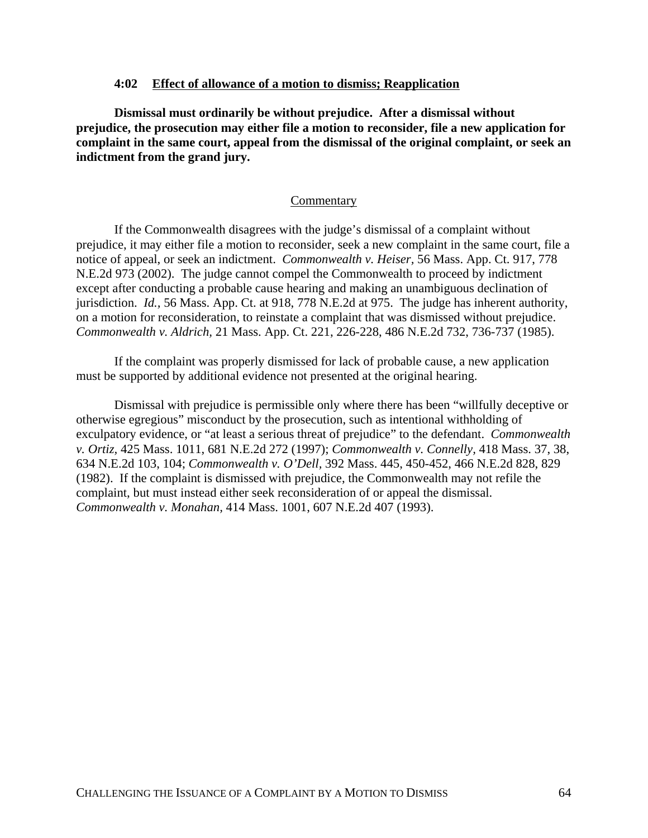### **4:02 Effect of allowance of a motion to dismiss; Reapplication**

**Dismissal must ordinarily be without prejudice. After a dismissal without prejudice, the prosecution may either file a motion to reconsider, file a new application for complaint in the same court, appeal from the dismissal of the original complaint, or seek an indictment from the grand jury.**

#### **Commentary**

If the Commonwealth disagrees with the judge's dismissal of a complaint without prejudice, it may either file a motion to reconsider, seek a new complaint in the same court, file a notice of appeal, or seek an indictment. *Commonwealth v. Heiser,* 56 Mass. App. Ct. 917, 778 N.E.2d 973 (2002). The judge cannot compel the Commonwealth to proceed by indictment except after conducting a probable cause hearing and making an unambiguous declination of jurisdiction. *Id.,* 56 Mass. App. Ct. at 918, 778 N.E.2d at 975. The judge has inherent authority, on a motion for reconsideration, to reinstate a complaint that was dismissed without prejudice. *Commonwealth v. Aldrich,* 21 Mass. App. Ct. 221, 226-228, 486 N.E.2d 732, 736-737 (1985).

If the complaint was properly dismissed for lack of probable cause, a new application must be supported by additional evidence not presented at the original hearing.

Dismissal with prejudice is permissible only where there has been "willfully deceptive or otherwise egregious" misconduct by the prosecution, such as intentional withholding of exculpatory evidence, or "at least a serious threat of prejudice" to the defendant. *Commonwealth v. Ortiz,* 425 Mass. 1011, 681 N.E.2d 272 (1997); *Commonwealth v. Connelly,* 418 Mass. 37, 38, 634 N.E.2d 103, 104; *Commonwealth v. O'Dell,* 392 Mass. 445, 450-452, 466 N.E.2d 828, 829 (1982). If the complaint is dismissed with prejudice, the Commonwealth may not refile the complaint, but must instead either seek reconsideration of or appeal the dismissal. *Commonwealth v. Monahan,* 414 Mass. 1001, 607 N.E.2d 407 (1993).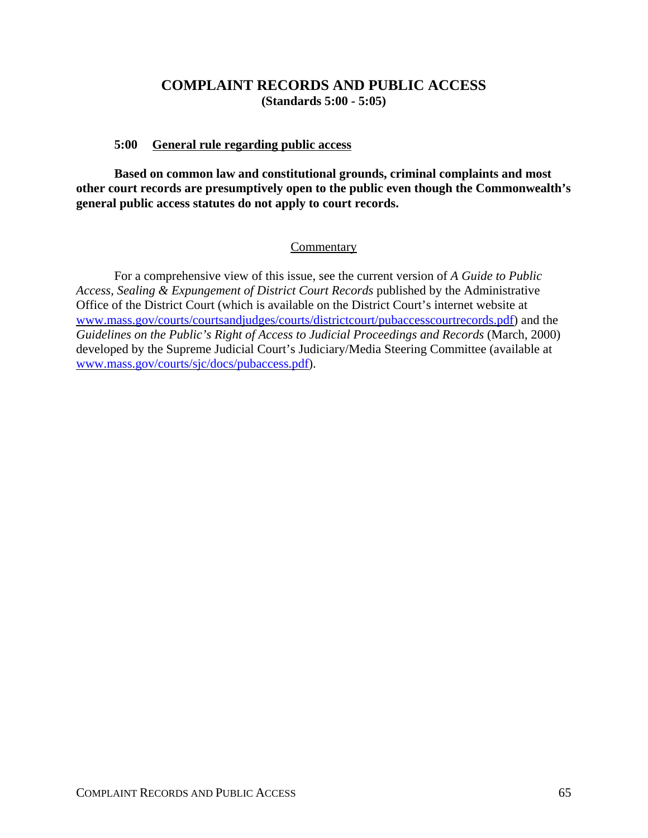# **COMPLAINT RECORDS AND PUBLIC ACCESS (Standards 5:00 - 5:05)**

# **5:00 General rule regarding public access**

**Based on common law and constitutional grounds, criminal complaints and most other court records are presumptively open to the public even though the Commonwealth's general public access statutes do not apply to court records.**

## Commentary

For a comprehensive view of this issue, see the current version of *A Guide to Public Access, Sealing & Expungement of District Court Records* published by the Administrative Office of the District Court (which is available on the District Court's internet website at www.mass.gov/courts/courtsandjudges/courts/districtcourt/pubaccesscourtrecords.pdf) and the *Guidelines on the Public's Right of Access to Judicial Proceedings and Records* (March, 2000) developed by the Supreme Judicial Court's Judiciary/Media Steering Committee (available at www.mass.gov/courts/sjc/docs/pubaccess.pdf).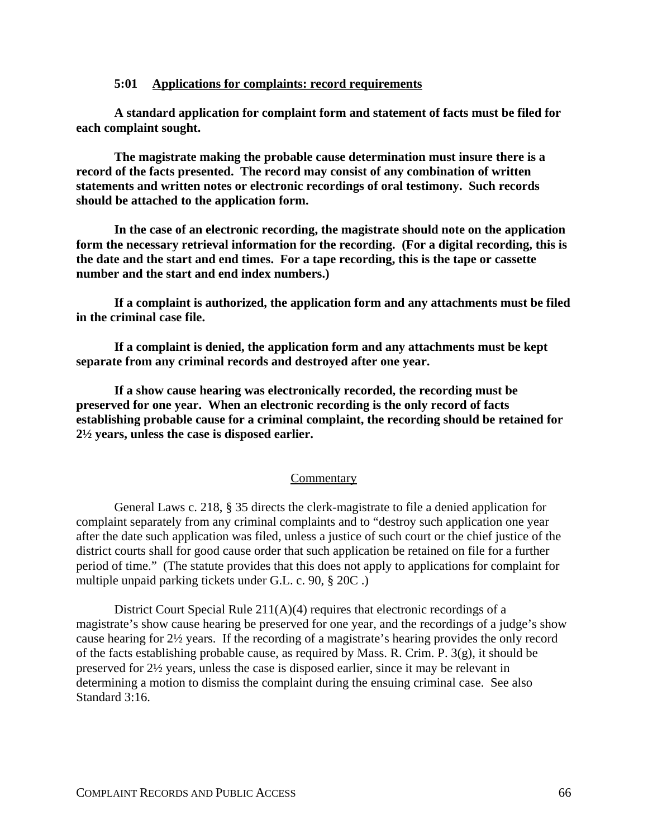## **5:01 Applications for complaints: record requirements**

**A standard application for complaint form and statement of facts must be filed for each complaint sought.**

**The magistrate making the probable cause determination must insure there is a record of the facts presented. The record may consist of any combination of written statements and written notes or electronic recordings of oral testimony. Such records should be attached to the application form.** 

**In the case of an electronic recording, the magistrate should note on the application form the necessary retrieval information for the recording. (For a digital recording, this is the date and the start and end times. For a tape recording, this is the tape or cassette number and the start and end index numbers.)**

**If a complaint is authorized, the application form and any attachments must be filed in the criminal case file.**

**If a complaint is denied, the application form and any attachments must be kept separate from any criminal records and destroyed after one year.**

**If a show cause hearing was electronically recorded, the recording must be preserved for one year. When an electronic recording is the only record of facts establishing probable cause for a criminal complaint, the recording should be retained for 2½ years, unless the case is disposed earlier.**

## **Commentary**

General Laws c. 218, § 35 directs the clerk-magistrate to file a denied application for complaint separately from any criminal complaints and to "destroy such application one year after the date such application was filed, unless a justice of such court or the chief justice of the district courts shall for good cause order that such application be retained on file for a further period of time." (The statute provides that this does not apply to applications for complaint for multiple unpaid parking tickets under G.L. c. 90, § 20C .)

District Court Special Rule 211(A)(4) requires that electronic recordings of a magistrate's show cause hearing be preserved for one year, and the recordings of a judge's show cause hearing for 2½ years. If the recording of a magistrate's hearing provides the only record of the facts establishing probable cause, as required by Mass. R. Crim. P. 3(g), it should be preserved for 2½ years, unless the case is disposed earlier, since it may be relevant in determining a motion to dismiss the complaint during the ensuing criminal case. See also Standard 3:16.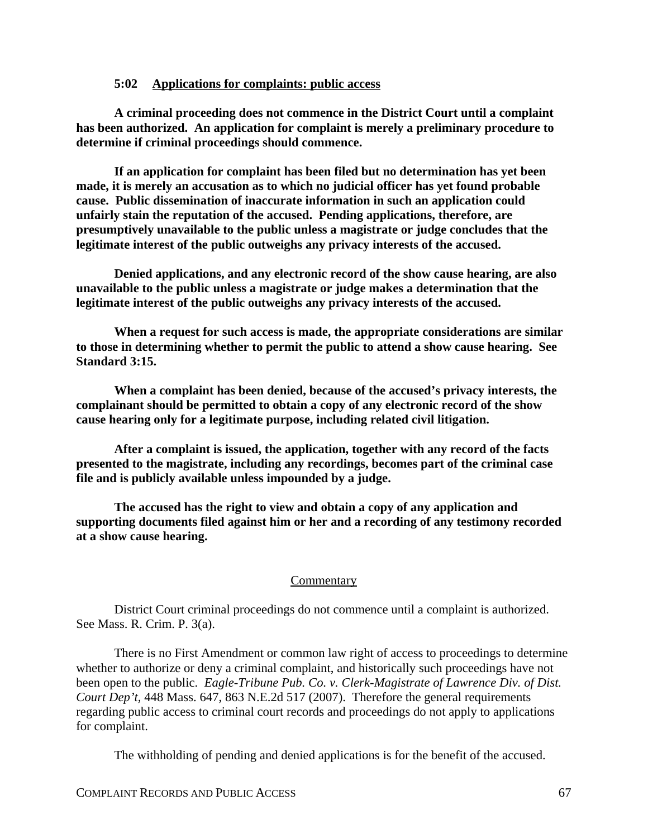### **5:02 Applications for complaints: public access**

**A criminal proceeding does not commence in the District Court until a complaint has been authorized. An application for complaint is merely a preliminary procedure to determine if criminal proceedings should commence.**

**If an application for complaint has been filed but no determination has yet been made, it is merely an accusation as to which no judicial officer has yet found probable cause. Public dissemination of inaccurate information in such an application could unfairly stain the reputation of the accused. Pending applications, therefore, are presumptively unavailable to the public unless a magistrate or judge concludes that the legitimate interest of the public outweighs any privacy interests of the accused.**

**Denied applications, and any electronic record of the show cause hearing, are also unavailable to the public unless a magistrate or judge makes a determination that the legitimate interest of the public outweighs any privacy interests of the accused.**

**When a request for such access is made, the appropriate considerations are similar to those in determining whether to permit the public to attend a show cause hearing. See Standard 3:15.**

**When a complaint has been denied, because of the accused's privacy interests, the complainant should be permitted to obtain a copy of any electronic record of the show cause hearing only for a legitimate purpose, including related civil litigation.**

**After a complaint is issued, the application, together with any record of the facts presented to the magistrate, including any recordings, becomes part of the criminal case file and is publicly available unless impounded by a judge.** 

**The accused has the right to view and obtain a copy of any application and supporting documents filed against him or her and a recording of any testimony recorded at a show cause hearing.**

#### **Commentary**

District Court criminal proceedings do not commence until a complaint is authorized. See Mass. R. Crim. P. 3(a).

There is no First Amendment or common law right of access to proceedings to determine whether to authorize or deny a criminal complaint, and historically such proceedings have not been open to the public. *Eagle-Tribune Pub. Co. v. Clerk-Magistrate of Lawrence Div. of Dist. Court Dep't,* 448 Mass. 647, 863 N.E.2d 517 (2007). Therefore the general requirements regarding public access to criminal court records and proceedings do not apply to applications for complaint.

The withholding of pending and denied applications is for the benefit of the accused.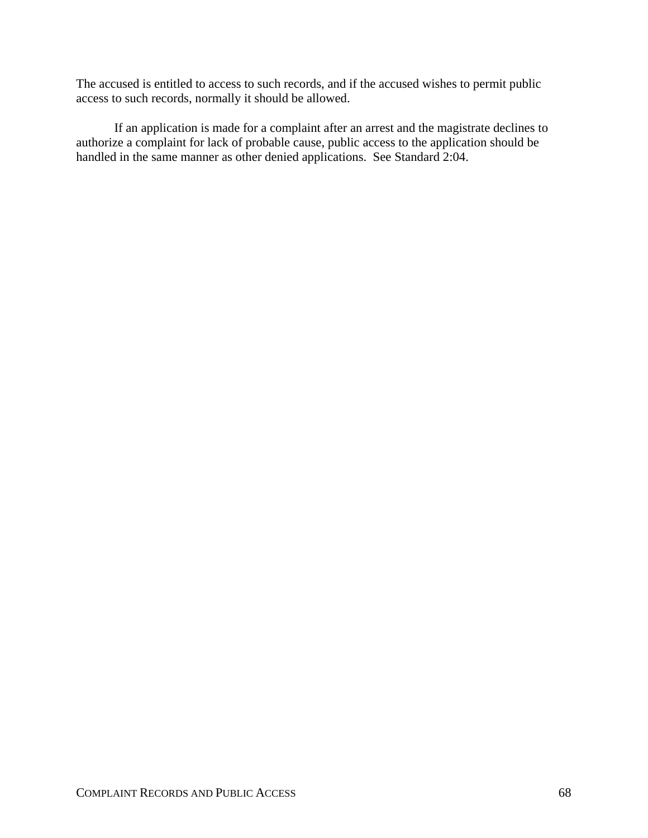The accused is entitled to access to such records, and if the accused wishes to permit public access to such records, normally it should be allowed.

If an application is made for a complaint after an arrest and the magistrate declines to authorize a complaint for lack of probable cause, public access to the application should be handled in the same manner as other denied applications. See Standard 2:04.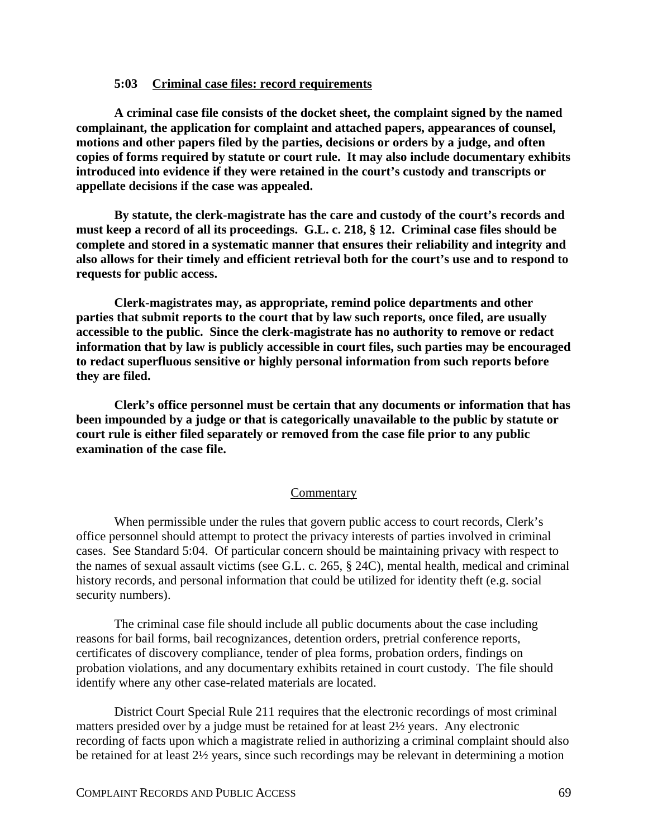## **5:03 Criminal case files: record requirements**

**A criminal case file consists of the docket sheet, the complaint signed by the named complainant, the application for complaint and attached papers, appearances of counsel, motions and other papers filed by the parties, decisions or orders by a judge, and often copies of forms required by statute or court rule. It may also include documentary exhibits introduced into evidence if they were retained in the court's custody and transcripts or appellate decisions if the case was appealed.**

**By statute, the clerk-magistrate has the care and custody of the court's records and must keep a record of all its proceedings. G.L. c. 218, § 12. Criminal case files should be complete and stored in a systematic manner that ensures their reliability and integrity and also allows for their timely and efficient retrieval both for the court's use and to respond to requests for public access.**

**Clerk-magistrates may, as appropriate, remind police departments and other parties that submit reports to the court that by law such reports, once filed, are usually accessible to the public. Since the clerk-magistrate has no authority to remove or redact information that by law is publicly accessible in court files, such parties may be encouraged to redact superfluous sensitive or highly personal information from such reports before they are filed.**

**Clerk's office personnel must be certain that any documents or information that has been impounded by a judge or that is categorically unavailable to the public by statute or court rule is either filed separately or removed from the case file prior to any public examination of the case file.**

### **Commentary**

When permissible under the rules that govern public access to court records, Clerk's office personnel should attempt to protect the privacy interests of parties involved in criminal cases. See Standard 5:04. Of particular concern should be maintaining privacy with respect to the names of sexual assault victims (see G.L. c. 265, § 24C), mental health, medical and criminal history records, and personal information that could be utilized for identity theft (e.g. social security numbers).

The criminal case file should include all public documents about the case including reasons for bail forms, bail recognizances, detention orders, pretrial conference reports, certificates of discovery compliance, tender of plea forms, probation orders, findings on probation violations, and any documentary exhibits retained in court custody. The file should identify where any other case-related materials are located.

District Court Special Rule 211 requires that the electronic recordings of most criminal matters presided over by a judge must be retained for at least 2½ years. Any electronic recording of facts upon which a magistrate relied in authorizing a criminal complaint should also be retained for at least 2½ years, since such recordings may be relevant in determining a motion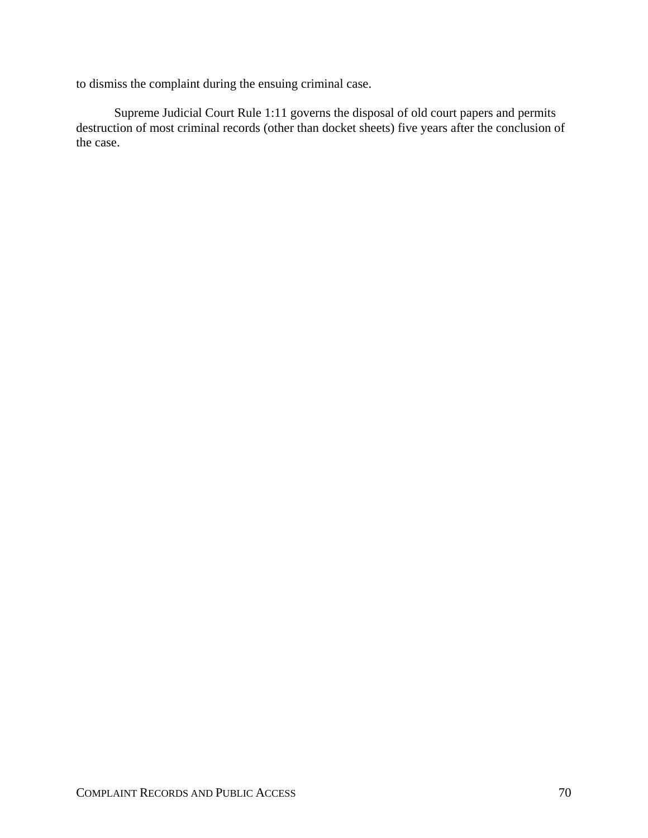to dismiss the complaint during the ensuing criminal case.

Supreme Judicial Court Rule 1:11 governs the disposal of old court papers and permits destruction of most criminal records (other than docket sheets) five years after the conclusion of the case.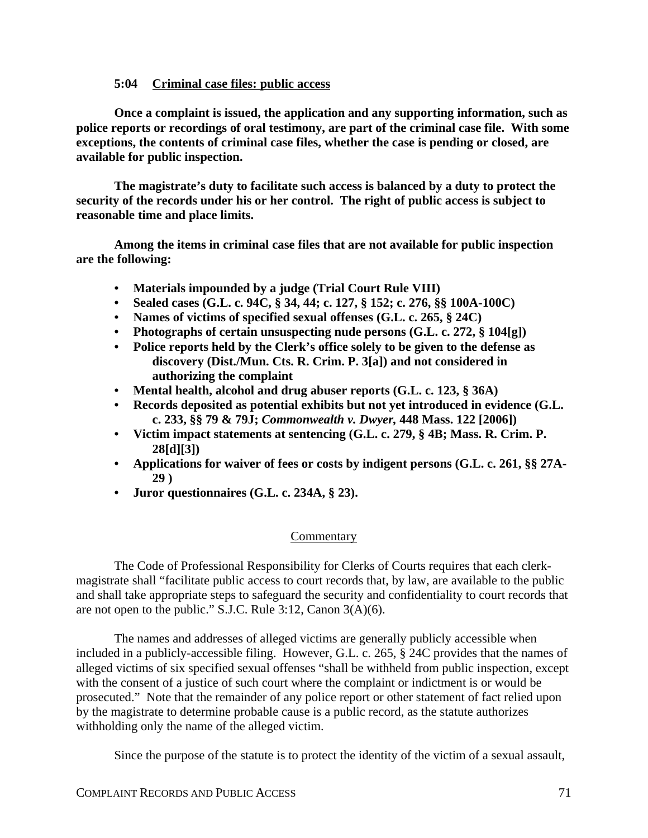# **5:04 Criminal case files: public access**

**Once a complaint is issued, the application and any supporting information, such as police reports or recordings of oral testimony, are part of the criminal case file. With some exceptions, the contents of criminal case files, whether the case is pending or closed, are available for public inspection.**

**The magistrate's duty to facilitate such access is balanced by a duty to protect the security of the records under his or her control. The right of public access is subject to reasonable time and place limits.**

**Among the items in criminal case files that are not available for public inspection are the following:**

- **Materials impounded by a judge (Trial Court Rule VIII)**
- **Sealed cases (G.L. c. 94C, § 34, 44; c. 127, § 152; c. 276, §§ 100A-100C)**
- **Names of victims of specified sexual offenses (G.L. c. 265, § 24C)**
- **Photographs of certain unsuspecting nude persons (G.L. c. 272, § 104[g])**
- **Police reports held by the Clerk's office solely to be given to the defense as discovery (Dist./Mun. Cts. R. Crim. P. 3[a]) and not considered in authorizing the complaint**
- **Mental health, alcohol and drug abuser reports (G.L. c. 123, § 36A)**
- **Records deposited as potential exhibits but not yet introduced in evidence (G.L. c. 233, §§ 79 & 79J;** *Commonwealth v. Dwyer,* **448 Mass. 122 [2006])**
- **Victim impact statements at sentencing (G.L. c. 279, § 4B; Mass. R. Crim. P. 28[d][3])**
- **Applications for waiver of fees or costs by indigent persons (G.L. c. 261, §§ 27A-29 )**
- **Juror questionnaires (G.L. c. 234A, § 23).**

# **Commentary**

The Code of Professional Responsibility for Clerks of Courts requires that each clerkmagistrate shall "facilitate public access to court records that, by law, are available to the public and shall take appropriate steps to safeguard the security and confidentiality to court records that are not open to the public." S.J.C. Rule 3:12, Canon 3(A)(6).

The names and addresses of alleged victims are generally publicly accessible when included in a publicly-accessible filing. However, G.L. c. 265, § 24C provides that the names of alleged victims of six specified sexual offenses "shall be withheld from public inspection, except with the consent of a justice of such court where the complaint or indictment is or would be prosecuted." Note that the remainder of any police report or other statement of fact relied upon by the magistrate to determine probable cause is a public record, as the statute authorizes withholding only the name of the alleged victim.

Since the purpose of the statute is to protect the identity of the victim of a sexual assault,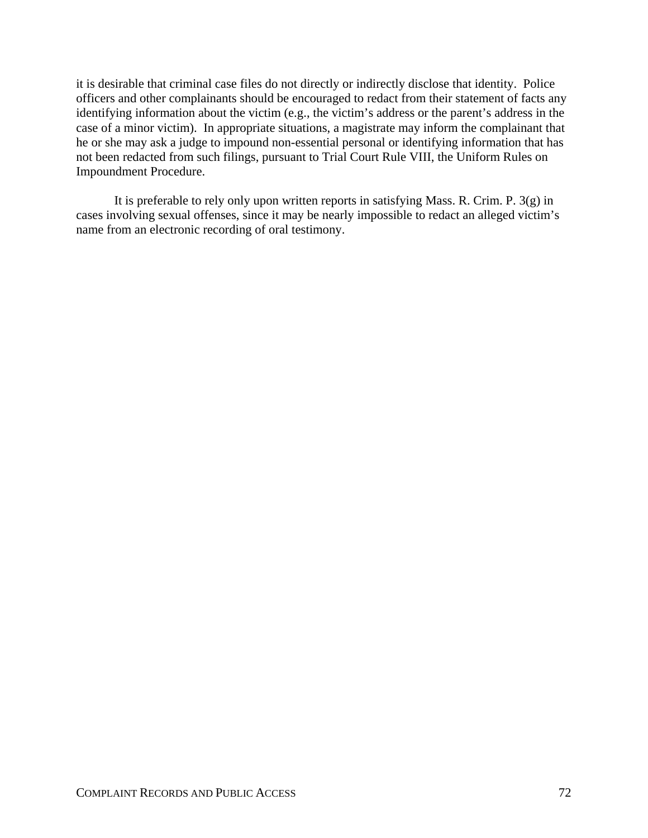it is desirable that criminal case files do not directly or indirectly disclose that identity. Police officers and other complainants should be encouraged to redact from their statement of facts any identifying information about the victim (e.g., the victim's address or the parent's address in the case of a minor victim). In appropriate situations, a magistrate may inform the complainant that he or she may ask a judge to impound non-essential personal or identifying information that has not been redacted from such filings, pursuant to Trial Court Rule VIII, the Uniform Rules on Impoundment Procedure.

It is preferable to rely only upon written reports in satisfying Mass. R. Crim. P. 3(g) in cases involving sexual offenses, since it may be nearly impossible to redact an alleged victim's name from an electronic recording of oral testimony.